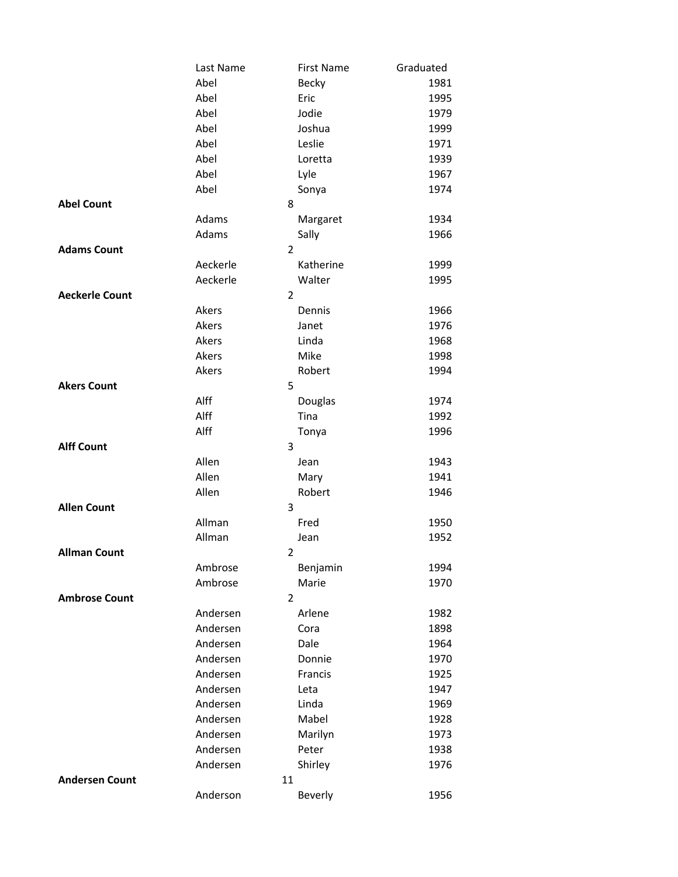|                       | Last Name | First Name              | Graduated |
|-----------------------|-----------|-------------------------|-----------|
|                       | Abel      | Becky                   | 1981      |
|                       | Abel      | Eric                    | 1995      |
|                       | Abel      | Jodie                   | 1979      |
|                       | Abel      | Joshua                  | 1999      |
|                       | Abel      | Leslie                  | 1971      |
|                       | Abel      | Loretta                 | 1939      |
|                       | Abel      | Lyle                    | 1967      |
|                       | Abel      | Sonya                   | 1974      |
| <b>Abel Count</b>     |           | 8                       |           |
|                       | Adams     | Margaret                | 1934      |
|                       | Adams     | Sally                   | 1966      |
| <b>Adams Count</b>    |           | $\overline{2}$          |           |
|                       | Aeckerle  | Katherine               | 1999      |
|                       | Aeckerle  | Walter                  | 1995      |
| <b>Aeckerle Count</b> |           | $\overline{2}$          |           |
|                       | Akers     | Dennis                  | 1966      |
|                       | Akers     | Janet                   | 1976      |
|                       | Akers     | Linda                   | 1968      |
|                       | Akers     | Mike                    | 1998      |
|                       | Akers     | Robert                  | 1994      |
| <b>Akers Count</b>    |           | 5                       |           |
|                       | Alff      | Douglas                 | 1974      |
|                       | Alff      | Tina                    | 1992      |
|                       | Alff      | Tonya                   | 1996      |
| <b>Alff Count</b>     |           | 3                       |           |
|                       | Allen     | Jean                    | 1943      |
|                       | Allen     | Mary                    | 1941      |
|                       | Allen     | Robert                  | 1946      |
| <b>Allen Count</b>    |           | 3                       |           |
|                       | Allman    | Fred                    | 1950      |
|                       | Allman    | Jean                    | 1952      |
| <b>Allman Count</b>   |           | $\overline{\mathbf{c}}$ |           |
|                       | Ambrose   | Benjamin                | 1994      |
|                       | Ambrose   | Marie                   | 1970      |
| <b>Ambrose Count</b>  |           | $\overline{2}$          |           |
|                       | Andersen  | Arlene                  | 1982      |
|                       | Andersen  | Cora                    | 1898      |
|                       | Andersen  | Dale                    | 1964      |
|                       | Andersen  | Donnie                  | 1970      |
|                       | Andersen  | Francis                 | 1925      |
|                       | Andersen  | Leta                    | 1947      |
|                       | Andersen  | Linda                   | 1969      |
|                       | Andersen  | Mabel                   | 1928      |
|                       | Andersen  | Marilyn                 | 1973      |
|                       | Andersen  | Peter                   | 1938      |
|                       | Andersen  | Shirley                 | 1976      |
| <b>Andersen Count</b> | 11        |                         |           |
|                       | Anderson  | Beverly                 | 1956      |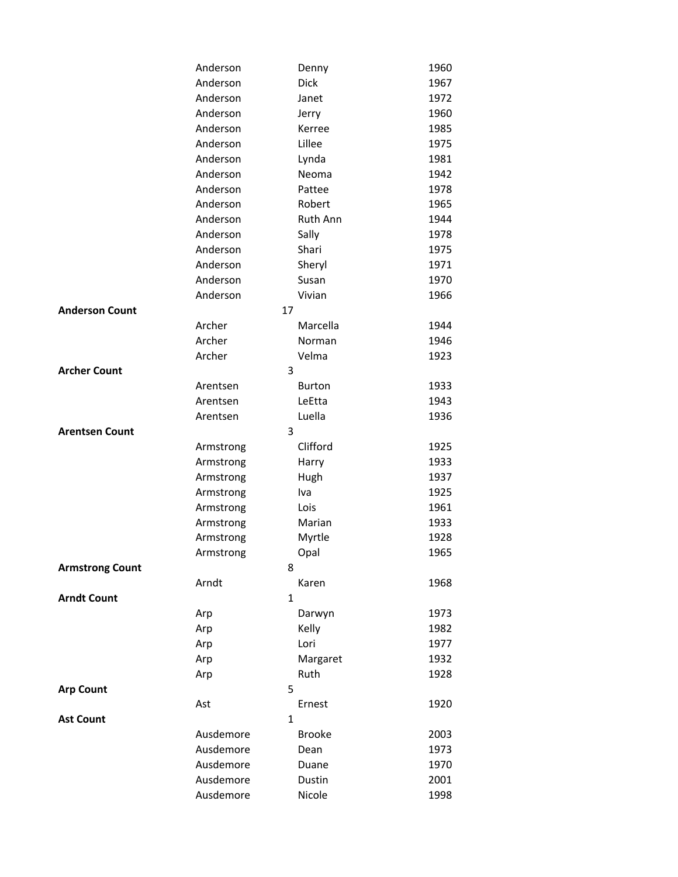|                        | Anderson              | Denny           | 1960 |
|------------------------|-----------------------|-----------------|------|
|                        | Anderson              | <b>Dick</b>     | 1967 |
|                        | Anderson              | Janet           | 1972 |
|                        | Anderson              | Jerry           | 1960 |
|                        | Anderson              | Kerree          | 1985 |
|                        | Anderson              | Lillee          | 1975 |
|                        | Anderson              | Lynda           | 1981 |
|                        | Anderson              | Neoma           | 1942 |
|                        | Anderson              | Pattee          | 1978 |
|                        | Anderson              | Robert          | 1965 |
|                        | Anderson              | <b>Ruth Ann</b> | 1944 |
|                        | Anderson              | Sally           | 1978 |
|                        | Anderson              | Shari           | 1975 |
|                        | Anderson              | Sheryl          | 1971 |
|                        | Anderson              | Susan           | 1970 |
|                        | Anderson              | Vivian          | 1966 |
| <b>Anderson Count</b>  | 17                    |                 |      |
|                        | Archer                | Marcella        | 1944 |
|                        | Archer                | Norman          | 1946 |
|                        | Archer                | Velma           | 1923 |
| <b>Archer Count</b>    | 3                     |                 |      |
|                        | Arentsen              | <b>Burton</b>   | 1933 |
|                        | Arentsen              | LeEtta          | 1943 |
|                        | Arentsen              | Luella          | 1936 |
| <b>Arentsen Count</b>  | 3                     |                 |      |
|                        | Armstrong             | Clifford        | 1925 |
|                        | Armstrong             | Harry           | 1933 |
|                        | Armstrong             | Hugh            | 1937 |
|                        | Armstrong             | Iva             | 1925 |
|                        | Armstrong             | Lois            | 1961 |
|                        | Armstrong             | Marian          | 1933 |
|                        | Armstrong             | Myrtle          | 1928 |
|                        | Armstrong             | Opal            | 1965 |
| <b>Armstrong Count</b> | 8                     |                 | 1968 |
| <b>Arndt Count</b>     | Arndt<br>$\mathbf{1}$ | Karen           |      |
|                        |                       |                 | 1973 |
|                        | Arp<br>Arp            | Darwyn<br>Kelly | 1982 |
|                        | Arp                   | Lori            | 1977 |
|                        | Arp                   | Margaret        | 1932 |
|                        | Arp                   | Ruth            | 1928 |
| <b>Arp Count</b>       | 5                     |                 |      |
|                        | Ast                   | Ernest          | 1920 |
| <b>Ast Count</b>       | $\mathbf{1}$          |                 |      |
|                        | Ausdemore             | <b>Brooke</b>   | 2003 |
|                        | Ausdemore             | Dean            | 1973 |
|                        | Ausdemore             | Duane           | 1970 |
|                        | Ausdemore             | Dustin          | 2001 |
|                        | Ausdemore             | Nicole          | 1998 |
|                        |                       |                 |      |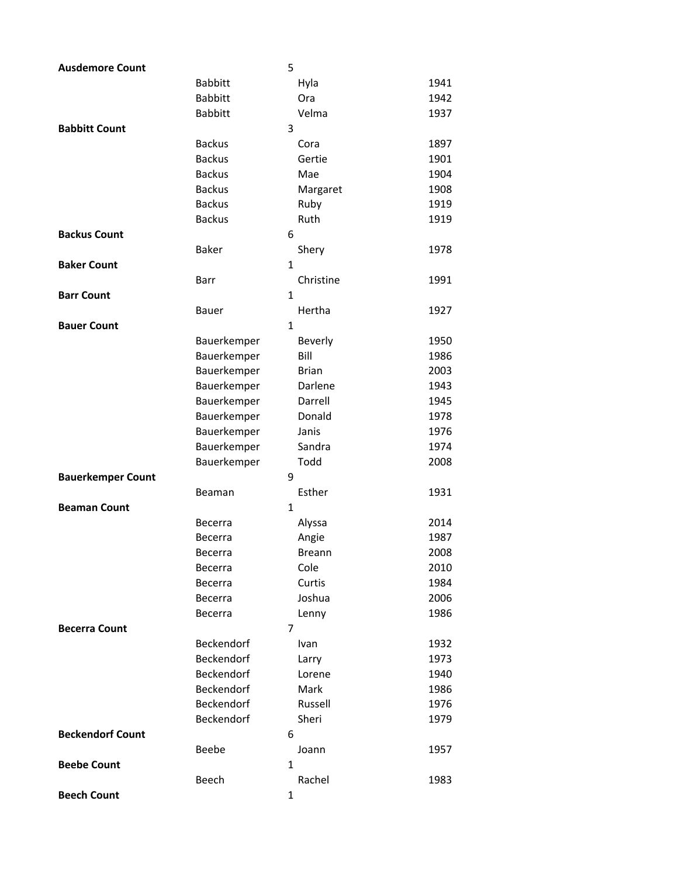| <b>Ausdemore Count</b>   |                | 5            |                |      |
|--------------------------|----------------|--------------|----------------|------|
|                          | <b>Babbitt</b> |              | Hyla           | 1941 |
|                          | <b>Babbitt</b> |              | Ora            | 1942 |
|                          | <b>Babbitt</b> |              | Velma          | 1937 |
| <b>Babbitt Count</b>     |                | 3            |                |      |
|                          | <b>Backus</b>  |              | Cora           | 1897 |
|                          | <b>Backus</b>  |              | Gertie         | 1901 |
|                          | <b>Backus</b>  |              | Mae            | 1904 |
|                          | <b>Backus</b>  |              | Margaret       | 1908 |
|                          | <b>Backus</b>  |              | Ruby           | 1919 |
|                          | <b>Backus</b>  |              | Ruth           | 1919 |
| <b>Backus Count</b>      |                | 6            |                |      |
|                          | <b>Baker</b>   |              | Shery          | 1978 |
| <b>Baker Count</b>       |                | $\mathbf{1}$ |                |      |
|                          | Barr           |              | Christine      | 1991 |
| <b>Barr Count</b>        |                | $\mathbf{1}$ |                |      |
|                          | Bauer          |              | Hertha         | 1927 |
| <b>Bauer Count</b>       |                | $\mathbf{1}$ |                |      |
|                          | Bauerkemper    |              | <b>Beverly</b> | 1950 |
|                          | Bauerkemper    |              | Bill           | 1986 |
|                          | Bauerkemper    |              | <b>Brian</b>   | 2003 |
|                          | Bauerkemper    |              | Darlene        | 1943 |
|                          | Bauerkemper    |              | Darrell        | 1945 |
|                          | Bauerkemper    |              | Donald         | 1978 |
|                          | Bauerkemper    |              | Janis          | 1976 |
|                          | Bauerkemper    |              | Sandra         | 1974 |
|                          | Bauerkemper    |              | Todd           | 2008 |
| <b>Bauerkemper Count</b> |                | 9            |                |      |
|                          | Beaman         |              | Esther         | 1931 |
| <b>Beaman Count</b>      |                | 1            |                |      |
|                          | Becerra        |              | Alyssa         | 2014 |
|                          | Becerra        |              | Angie          | 1987 |
|                          | Becerra        |              | <b>Breann</b>  | 2008 |
|                          | Becerra        |              | Cole           | 2010 |
|                          | Becerra        |              | Curtis         | 1984 |
|                          | <b>Becerra</b> |              | Joshua         | 2006 |
|                          | Becerra        |              | Lenny          | 1986 |
| <b>Becerra Count</b>     |                | 7            |                |      |
|                          | Beckendorf     |              | Ivan           | 1932 |
|                          | Beckendorf     |              | Larry          | 1973 |
|                          | Beckendorf     |              | Lorene         | 1940 |
|                          | Beckendorf     |              | Mark           | 1986 |
|                          | Beckendorf     |              | Russell        | 1976 |
|                          | Beckendorf     |              | Sheri          | 1979 |
| <b>Beckendorf Count</b>  |                | 6            |                |      |
|                          | Beebe          |              | Joann          | 1957 |
| <b>Beebe Count</b>       |                | 1            |                |      |
|                          | Beech          |              | Rachel         | 1983 |
| <b>Beech Count</b>       |                | $\mathbf 1$  |                |      |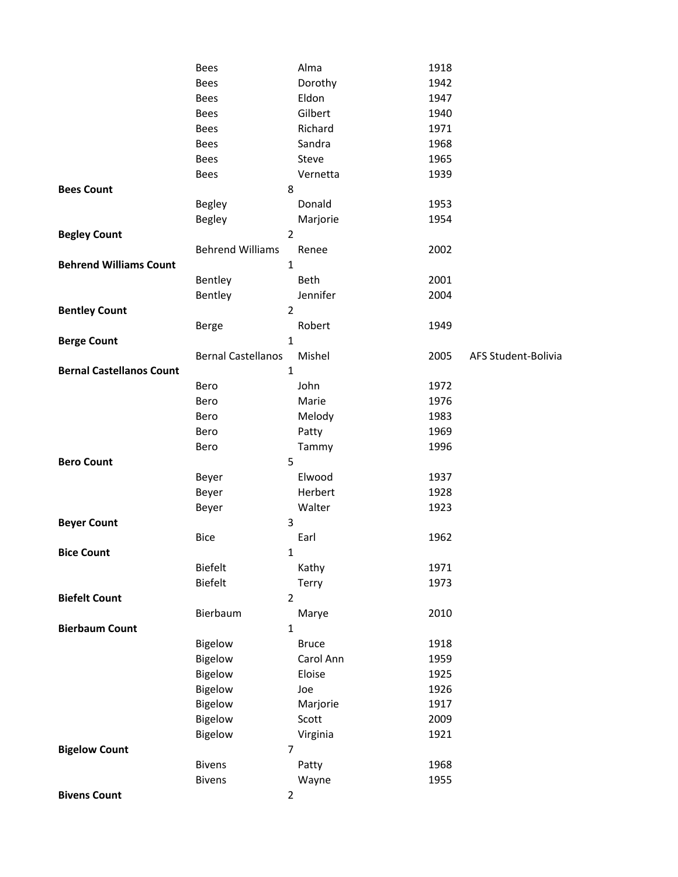|                                 | <b>Bees</b>               |                | Alma                | 1918         |                     |
|---------------------------------|---------------------------|----------------|---------------------|--------------|---------------------|
|                                 | Bees                      |                | Dorothy             | 1942         |                     |
|                                 | Bees                      |                | Eldon               | 1947         |                     |
|                                 | Bees                      |                | Gilbert             | 1940         |                     |
|                                 | Bees                      |                | Richard             | 1971         |                     |
|                                 | Bees                      |                | Sandra              | 1968         |                     |
|                                 | Bees                      |                | Steve               | 1965         |                     |
|                                 | Bees                      |                | Vernetta            | 1939         |                     |
| <b>Bees Count</b>               |                           | 8              |                     |              |                     |
|                                 | Begley                    |                | Donald              | 1953         |                     |
|                                 | <b>Begley</b>             |                | Marjorie            | 1954         |                     |
| <b>Begley Count</b>             |                           | $\overline{2}$ |                     |              |                     |
|                                 | <b>Behrend Williams</b>   |                | Renee               | 2002         |                     |
| <b>Behrend Williams Count</b>   |                           | $\mathbf 1$    |                     |              |                     |
|                                 | Bentley                   |                | Beth                | 2001         |                     |
|                                 | Bentley                   |                | Jennifer            | 2004         |                     |
| <b>Bentley Count</b>            |                           | $\overline{2}$ |                     |              |                     |
|                                 | Berge                     |                | Robert              | 1949         |                     |
| <b>Berge Count</b>              |                           | $\mathbf 1$    |                     |              |                     |
|                                 | <b>Bernal Castellanos</b> |                | Mishel              | 2005         | AFS Student-Bolivia |
| <b>Bernal Castellanos Count</b> |                           | $\mathbf{1}$   |                     |              |                     |
|                                 | Bero                      |                | John                | 1972         |                     |
|                                 | Bero                      |                | Marie               | 1976         |                     |
|                                 | Bero                      |                | Melody              | 1983         |                     |
|                                 | Bero                      |                | Patty               | 1969         |                     |
|                                 | Bero                      |                | Tammy               | 1996         |                     |
| <b>Bero Count</b>               |                           | 5              |                     |              |                     |
|                                 | Beyer                     |                | Elwood              | 1937         |                     |
|                                 | Beyer                     |                | Herbert             | 1928         |                     |
|                                 | Beyer                     |                | Walter              | 1923         |                     |
| <b>Beyer Count</b>              |                           | 3              |                     |              |                     |
|                                 | <b>Bice</b>               |                | Earl                | 1962         |                     |
| <b>Bice Count</b>               |                           | 1              |                     |              |                     |
|                                 | <b>Biefelt</b>            |                | Kathy               | 1971         |                     |
|                                 | <b>Biefelt</b>            |                | Terry               | 1973         |                     |
| <b>Biefelt Count</b>            |                           | $\mathbf 2$    |                     |              |                     |
|                                 | Bierbaum                  |                | Marye               | 2010         |                     |
| <b>Bierbaum Count</b>           |                           | $\mathbf 1$    |                     |              |                     |
|                                 | <b>Bigelow</b>            |                | <b>Bruce</b>        | 1918         |                     |
|                                 | Bigelow                   |                | Carol Ann<br>Eloise | 1959<br>1925 |                     |
|                                 | Bigelow<br>Bigelow        |                | Joe                 | 1926         |                     |
|                                 |                           |                |                     | 1917         |                     |
|                                 | Bigelow                   |                | Marjorie            | 2009         |                     |
|                                 | Bigelow<br>Bigelow        |                | Scott               | 1921         |                     |
| <b>Bigelow Count</b>            |                           | $\overline{7}$ | Virginia            |              |                     |
|                                 | <b>Bivens</b>             |                | Patty               | 1968         |                     |
|                                 | <b>Bivens</b>             |                | Wayne               | 1955         |                     |
| <b>Bivens Count</b>             |                           | $\overline{2}$ |                     |              |                     |
|                                 |                           |                |                     |              |                     |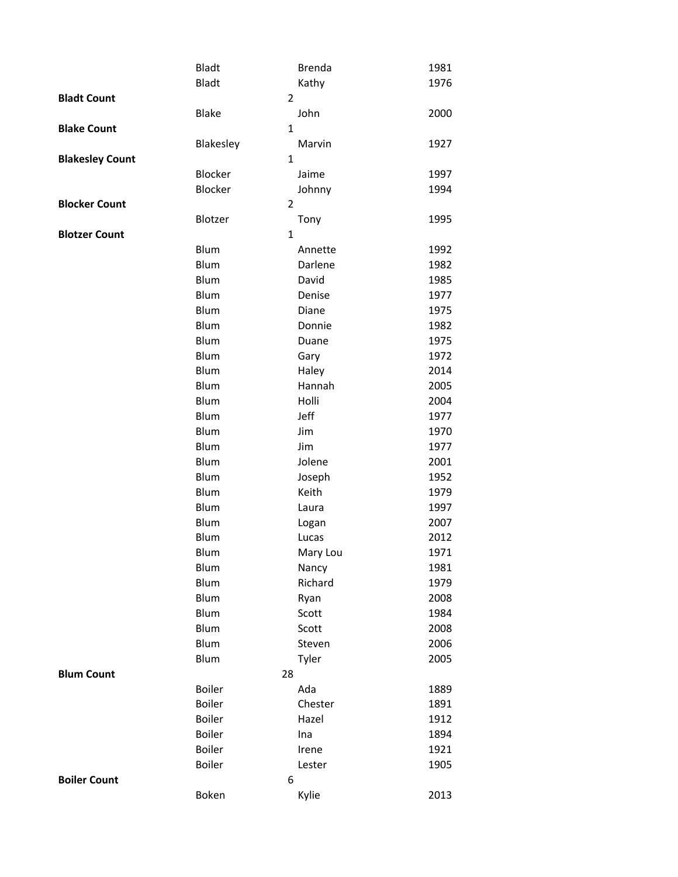|                        | <b>Bladt</b> | <b>Brenda</b>    | 1981         |
|------------------------|--------------|------------------|--------------|
|                        | <b>Bladt</b> | Kathy            | 1976         |
| <b>Bladt Count</b>     |              | $\overline{2}$   |              |
|                        | <b>Blake</b> | John             | 2000         |
| <b>Blake Count</b>     |              | $\mathbf{1}$     |              |
|                        | Blakesley    | Marvin           | 1927         |
| <b>Blakesley Count</b> |              | $\mathbf{1}$     |              |
|                        | Blocker      | Jaime            | 1997         |
|                        | Blocker      | Johnny           | 1994         |
| <b>Blocker Count</b>   |              | $\overline{2}$   |              |
|                        | Blotzer      | Tony             | 1995         |
| <b>Blotzer Count</b>   |              | $\mathbf{1}$     |              |
|                        | Blum         | Annette          | 1992         |
|                        | Blum         | Darlene          | 1982         |
|                        | Blum         | David            | 1985         |
|                        | Blum         | Denise           | 1977         |
|                        | Blum         | Diane            | 1975         |
|                        | Blum         | Donnie           | 1982         |
|                        | Blum         | Duane            | 1975         |
|                        | Blum         | Gary             | 1972         |
|                        | Blum         | Haley            | 2014         |
|                        | Blum         | Hannah           | 2005         |
|                        | Blum         | Holli            | 2004         |
|                        | Blum         | Jeff             | 1977         |
|                        | Blum         | Jim              | 1970         |
|                        | Blum         | Jim              | 1977         |
|                        | Blum         | Jolene           | 2001         |
|                        | Blum<br>Blum | Joseph           | 1952         |
|                        |              | Keith            | 1979         |
|                        | Blum<br>Blum | Laura            | 1997         |
|                        | Blum         | Logan            | 2007<br>2012 |
|                        | Blum         | Lucas            | 1971         |
|                        | Blum         | Mary Lou         | 1981         |
|                        | Blum         | Nancy<br>Richard | 1979         |
|                        | Blum         | Ryan             | 2008         |
|                        | Blum         | Scott            | 1984         |
|                        | Blum         | Scott            | 2008         |
|                        | Blum         | Steven           | 2006         |
|                        | Blum         | Tyler            | 2005         |
| <b>Blum Count</b>      |              | 28               |              |
|                        | Boiler       | Ada              | 1889         |
|                        | Boiler       | Chester          | 1891         |
|                        | Boiler       | Hazel            | 1912         |
|                        | Boiler       | Ina              | 1894         |
|                        | Boiler       | Irene            | 1921         |
|                        | Boiler       | Lester           | 1905         |
| <b>Boiler Count</b>    |              | 6                |              |
|                        | Boken        | Kylie            | 2013         |
|                        |              |                  |              |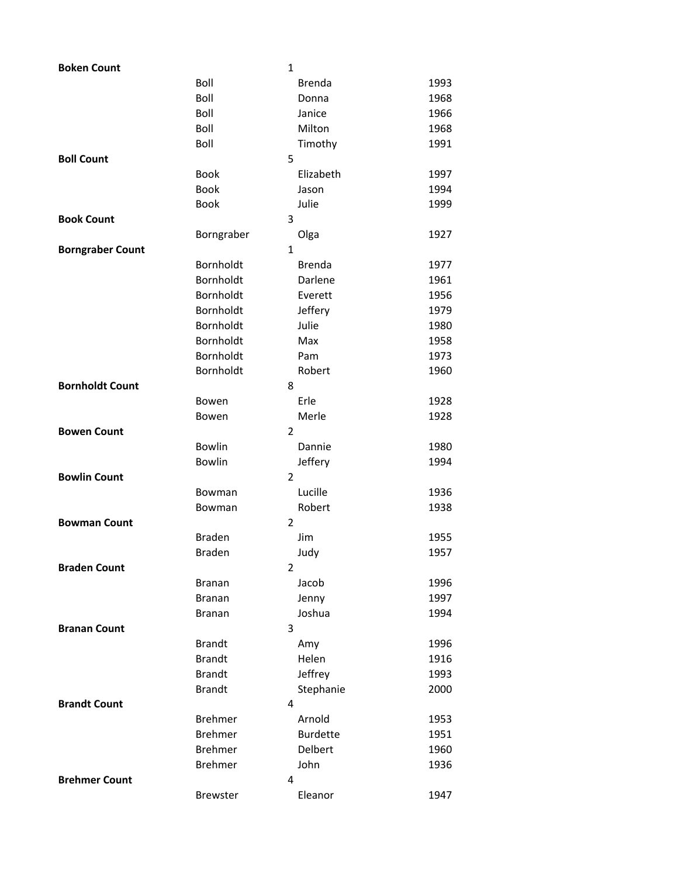| <b>Boken Count</b>      |                | 1              |                 |      |
|-------------------------|----------------|----------------|-----------------|------|
|                         | Boll           |                | <b>Brenda</b>   | 1993 |
|                         | Boll           |                | Donna           | 1968 |
|                         | Boll           |                | Janice          | 1966 |
|                         | Boll           |                | Milton          | 1968 |
|                         | Boll           |                | Timothy         | 1991 |
| <b>Boll Count</b>       |                | 5              |                 |      |
|                         | <b>Book</b>    |                | Elizabeth       | 1997 |
|                         | <b>Book</b>    |                | Jason           | 1994 |
|                         | <b>Book</b>    |                | Julie           | 1999 |
| <b>Book Count</b>       |                | 3              |                 |      |
|                         | Borngraber     |                | Olga            | 1927 |
| <b>Borngraber Count</b> |                | $\mathbf{1}$   |                 |      |
|                         | Bornholdt      |                | <b>Brenda</b>   | 1977 |
|                         | Bornholdt      |                | Darlene         | 1961 |
|                         | Bornholdt      |                | Everett         | 1956 |
|                         | Bornholdt      |                | Jeffery         | 1979 |
|                         | Bornholdt      |                | Julie           | 1980 |
|                         | Bornholdt      |                | Max             | 1958 |
|                         | Bornholdt      |                | Pam             | 1973 |
|                         | Bornholdt      |                | Robert          | 1960 |
| <b>Bornholdt Count</b>  |                | 8              |                 |      |
|                         | Bowen          |                | Erle            | 1928 |
|                         | Bowen          |                | Merle           | 1928 |
| <b>Bowen Count</b>      |                | $\overline{2}$ |                 |      |
|                         | <b>Bowlin</b>  |                | Dannie          | 1980 |
|                         | Bowlin         |                | Jeffery         | 1994 |
| <b>Bowlin Count</b>     |                | $\overline{2}$ |                 |      |
|                         | Bowman         |                | Lucille         | 1936 |
|                         | Bowman         |                | Robert          | 1938 |
| <b>Bowman Count</b>     |                | $\overline{2}$ |                 |      |
|                         | <b>Braden</b>  |                | Jim             | 1955 |
|                         | <b>Braden</b>  |                | Judy            | 1957 |
| <b>Braden Count</b>     |                | $\overline{2}$ |                 |      |
|                         | <b>Branan</b>  |                | Jacob           | 1996 |
|                         | <b>Branan</b>  |                | Jenny           | 1997 |
|                         | <b>Branan</b>  |                | Joshua          | 1994 |
| <b>Branan Count</b>     |                | 3              |                 |      |
|                         | <b>Brandt</b>  |                | Amy             | 1996 |
|                         | <b>Brandt</b>  |                | Helen           | 1916 |
|                         | <b>Brandt</b>  |                | Jeffrey         | 1993 |
|                         | <b>Brandt</b>  |                | Stephanie       | 2000 |
| <b>Brandt Count</b>     |                | 4              |                 |      |
|                         | <b>Brehmer</b> |                | Arnold          | 1953 |
|                         | <b>Brehmer</b> |                | <b>Burdette</b> | 1951 |
|                         | <b>Brehmer</b> |                | Delbert         | 1960 |
|                         | <b>Brehmer</b> |                | John            | 1936 |
| <b>Brehmer Count</b>    |                | 4              |                 |      |
|                         | Brewster       |                | Eleanor         | 1947 |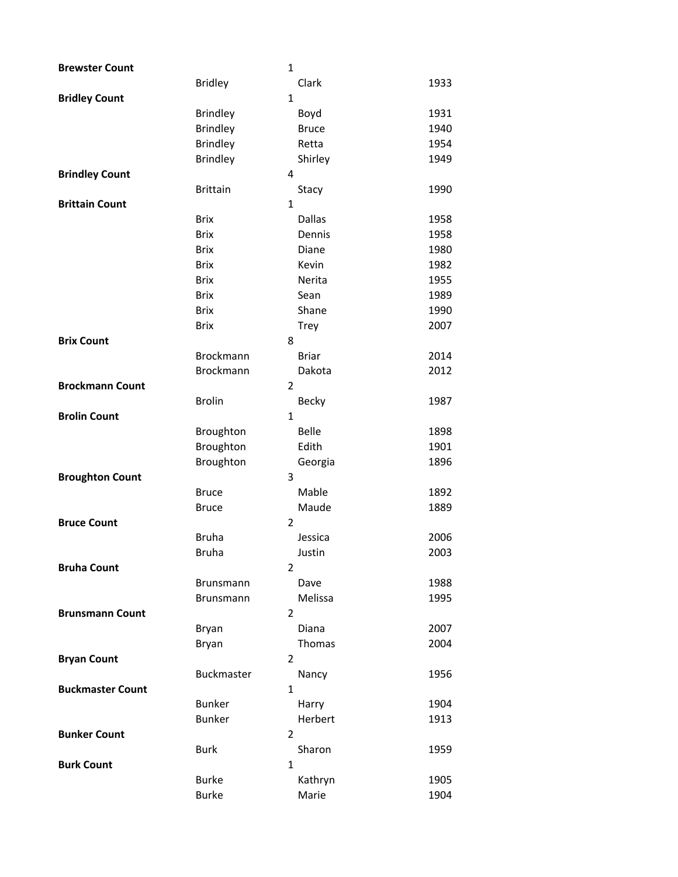| <b>Brewster Count</b>   |                  | $\mathbf{1}$   |              |      |
|-------------------------|------------------|----------------|--------------|------|
|                         | <b>Bridley</b>   |                | Clark        | 1933 |
| <b>Bridley Count</b>    |                  | $\mathbf{1}$   |              |      |
|                         | <b>Brindley</b>  |                | Boyd         | 1931 |
|                         | <b>Brindley</b>  |                | <b>Bruce</b> | 1940 |
|                         | <b>Brindley</b>  |                | Retta        | 1954 |
|                         | <b>Brindley</b>  |                | Shirley      | 1949 |
| <b>Brindley Count</b>   |                  | 4              |              |      |
|                         | <b>Brittain</b>  |                | Stacy        | 1990 |
| <b>Brittain Count</b>   |                  | $\mathbf{1}$   |              |      |
|                         | <b>Brix</b>      |                | Dallas       | 1958 |
|                         | <b>Brix</b>      |                | Dennis       | 1958 |
|                         | <b>Brix</b>      |                | Diane        | 1980 |
|                         | <b>Brix</b>      |                | Kevin        | 1982 |
|                         | <b>Brix</b>      |                | Nerita       | 1955 |
|                         | <b>Brix</b>      |                | Sean         | 1989 |
|                         | <b>Brix</b>      |                | Shane        | 1990 |
|                         | <b>Brix</b>      |                | Trey         | 2007 |
| <b>Brix Count</b>       |                  | 8              |              |      |
|                         | <b>Brockmann</b> |                | <b>Briar</b> | 2014 |
|                         | Brockmann        |                | Dakota       | 2012 |
| <b>Brockmann Count</b>  |                  | 2              |              |      |
|                         | <b>Brolin</b>    |                | <b>Becky</b> | 1987 |
| <b>Brolin Count</b>     |                  | $\mathbf{1}$   |              |      |
|                         | Broughton        |                | Belle        | 1898 |
|                         | Broughton        |                | Edith        | 1901 |
|                         | Broughton        |                | Georgia      | 1896 |
| <b>Broughton Count</b>  |                  | 3              |              |      |
|                         | <b>Bruce</b>     |                | Mable        | 1892 |
|                         | <b>Bruce</b>     |                | Maude        | 1889 |
| <b>Bruce Count</b>      |                  | $\overline{2}$ |              |      |
|                         | <b>Bruha</b>     |                | Jessica      | 2006 |
|                         | Bruha            |                | Justin       | 2003 |
| <b>Bruha Count</b>      |                  | $\overline{2}$ |              |      |
|                         | <b>Brunsmann</b> |                | Dave         | 1988 |
|                         | <b>Brunsmann</b> |                | Melissa      | 1995 |
| <b>Brunsmann Count</b>  |                  | $\overline{2}$ |              |      |
|                         | <b>Bryan</b>     |                | Diana        | 2007 |
|                         | Bryan            |                | Thomas       | 2004 |
| <b>Bryan Count</b>      |                  | 2              |              |      |
|                         | Buckmaster       |                | Nancy        | 1956 |
| <b>Buckmaster Count</b> |                  | $\mathbf{1}$   |              |      |
|                         | <b>Bunker</b>    |                | Harry        | 1904 |
|                         | <b>Bunker</b>    |                | Herbert      | 1913 |
| <b>Bunker Count</b>     |                  | $\overline{2}$ |              |      |
|                         | <b>Burk</b>      |                | Sharon       | 1959 |
| <b>Burk Count</b>       |                  | 1              |              |      |
|                         | <b>Burke</b>     |                | Kathryn      | 1905 |
|                         | <b>Burke</b>     |                | Marie        | 1904 |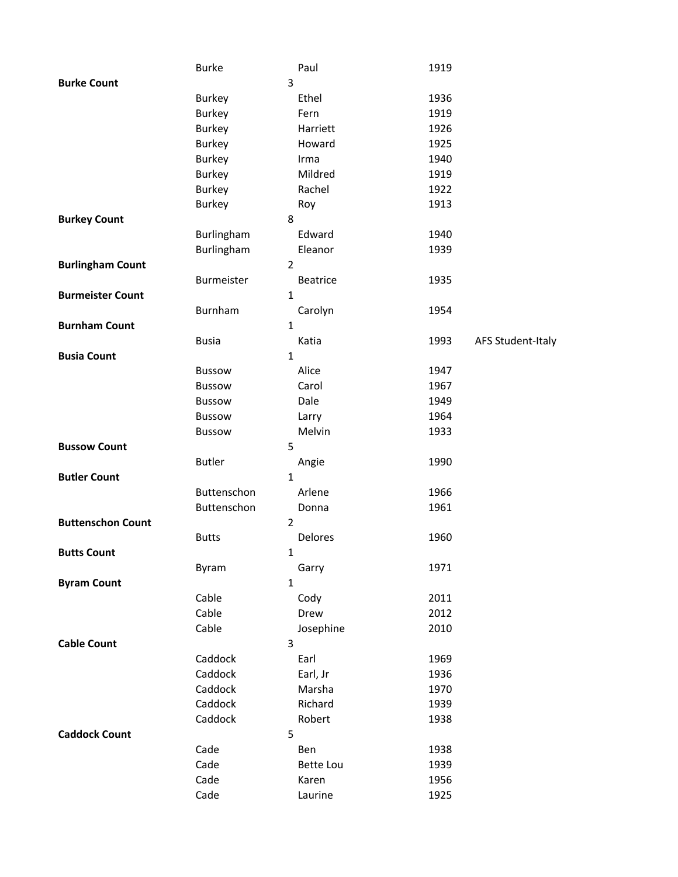|                          | <b>Burke</b>  | Paul            | 1919 |                   |
|--------------------------|---------------|-----------------|------|-------------------|
| <b>Burke Count</b>       |               | 3               |      |                   |
|                          | <b>Burkey</b> | Ethel           | 1936 |                   |
|                          | <b>Burkey</b> | Fern            | 1919 |                   |
|                          | <b>Burkey</b> | Harriett        | 1926 |                   |
|                          | <b>Burkey</b> | Howard          | 1925 |                   |
|                          | Burkey        | Irma            | 1940 |                   |
|                          | <b>Burkey</b> | Mildred         | 1919 |                   |
|                          | <b>Burkey</b> | Rachel          | 1922 |                   |
|                          | <b>Burkey</b> | Roy             | 1913 |                   |
| <b>Burkey Count</b>      |               | 8               |      |                   |
|                          | Burlingham    | Edward          | 1940 |                   |
|                          | Burlingham    | Eleanor         | 1939 |                   |
| <b>Burlingham Count</b>  |               | $\overline{2}$  |      |                   |
|                          | Burmeister    | <b>Beatrice</b> | 1935 |                   |
| <b>Burmeister Count</b>  |               | 1               |      |                   |
|                          | Burnham       | Carolyn         | 1954 |                   |
| <b>Burnham Count</b>     |               | $\mathbf{1}$    |      |                   |
|                          | <b>Busia</b>  | Katia           | 1993 | AFS Student-Italy |
| <b>Busia Count</b>       |               | $\mathbf{1}$    |      |                   |
|                          | <b>Bussow</b> | Alice           | 1947 |                   |
|                          | <b>Bussow</b> | Carol           | 1967 |                   |
|                          | <b>Bussow</b> | Dale            | 1949 |                   |
|                          | <b>Bussow</b> | Larry           | 1964 |                   |
|                          | <b>Bussow</b> | Melvin          | 1933 |                   |
| <b>Bussow Count</b>      | 5             |                 |      |                   |
|                          | <b>Butler</b> | Angie           | 1990 |                   |
| <b>Butler Count</b>      |               | $\mathbf{1}$    |      |                   |
|                          | Buttenschon   | Arlene          | 1966 |                   |
|                          | Buttenschon   | Donna           | 1961 |                   |
| <b>Buttenschon Count</b> |               | $\overline{2}$  |      |                   |
|                          | <b>Butts</b>  | Delores         | 1960 |                   |
| <b>Butts Count</b>       |               | 1               |      |                   |
|                          | Byram         | Garry           | 1971 |                   |
| <b>Byram Count</b>       |               | 1               |      |                   |
|                          | Cable         | Cody            | 2011 |                   |
|                          | Cable         | Drew            | 2012 |                   |
|                          | Cable         | Josephine       | 2010 |                   |
| <b>Cable Count</b>       | 3             |                 |      |                   |
|                          | Caddock       | Earl            | 1969 |                   |
|                          | Caddock       | Earl, Jr        | 1936 |                   |
|                          | Caddock       | Marsha          | 1970 |                   |
|                          | Caddock       | Richard         | 1939 |                   |
|                          | Caddock       | Robert          | 1938 |                   |
| <b>Caddock Count</b>     | 5             |                 |      |                   |
|                          | Cade          | Ben             | 1938 |                   |
|                          | Cade          | Bette Lou       | 1939 |                   |
|                          | Cade          | Karen           | 1956 |                   |
|                          | Cade          | Laurine         | 1925 |                   |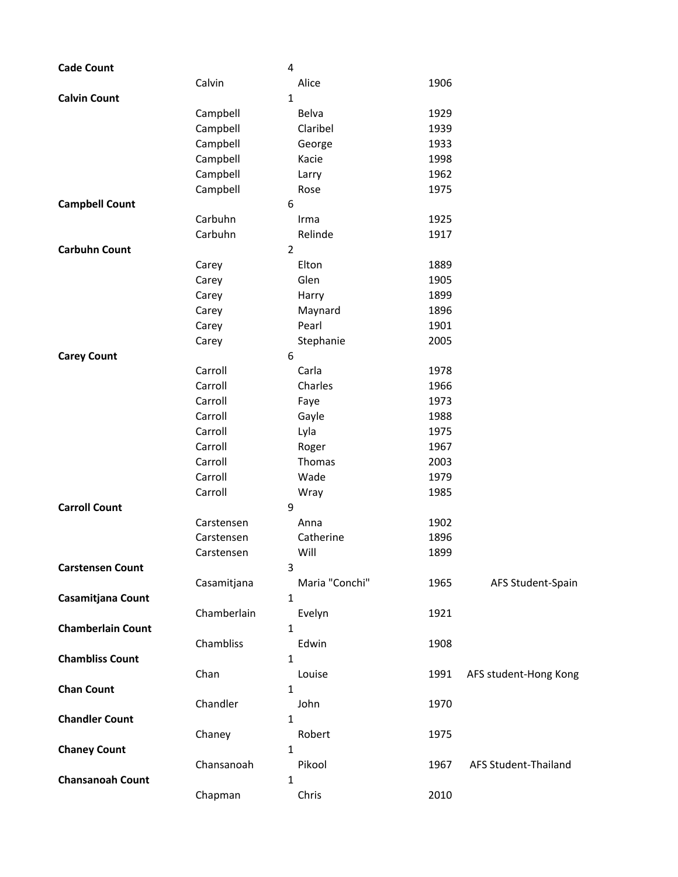| <b>Cade Count</b>        |             | 4              |      |                       |
|--------------------------|-------------|----------------|------|-----------------------|
|                          | Calvin      | Alice          | 1906 |                       |
| <b>Calvin Count</b>      |             | $\mathbf{1}$   |      |                       |
|                          | Campbell    | Belva          | 1929 |                       |
|                          | Campbell    | Claribel       | 1939 |                       |
|                          | Campbell    | George         | 1933 |                       |
|                          | Campbell    | Kacie          | 1998 |                       |
|                          | Campbell    | Larry          | 1962 |                       |
|                          | Campbell    | Rose           | 1975 |                       |
| <b>Campbell Count</b>    |             | 6              |      |                       |
|                          | Carbuhn     | Irma           | 1925 |                       |
|                          | Carbuhn     | Relinde        | 1917 |                       |
| <b>Carbuhn Count</b>     |             | 2              |      |                       |
|                          | Carey       | Elton          | 1889 |                       |
|                          | Carey       | Glen           | 1905 |                       |
|                          | Carey       | Harry          | 1899 |                       |
|                          | Carey       | Maynard        | 1896 |                       |
|                          | Carey       | Pearl          | 1901 |                       |
|                          | Carey       | Stephanie      | 2005 |                       |
| <b>Carey Count</b>       |             | 6              |      |                       |
|                          | Carroll     | Carla          | 1978 |                       |
|                          | Carroll     | Charles        | 1966 |                       |
|                          | Carroll     | Faye           | 1973 |                       |
|                          | Carroll     | Gayle          | 1988 |                       |
|                          | Carroll     | Lyla           | 1975 |                       |
|                          | Carroll     | Roger          | 1967 |                       |
|                          | Carroll     | Thomas         | 2003 |                       |
|                          | Carroll     | Wade           | 1979 |                       |
|                          | Carroll     | Wray           | 1985 |                       |
| <b>Carroll Count</b>     |             | 9              |      |                       |
|                          | Carstensen  | Anna           | 1902 |                       |
|                          | Carstensen  | Catherine      | 1896 |                       |
|                          | Carstensen  | Will           | 1899 |                       |
| <b>Carstensen Count</b>  |             | 3              |      |                       |
|                          | Casamitjana | Maria "Conchi" | 1965 | AFS Student-Spain     |
| Casamitjana Count        |             | 1              |      |                       |
|                          | Chamberlain | Evelyn         | 1921 |                       |
| <b>Chamberlain Count</b> |             | 1              |      |                       |
|                          | Chambliss   | Edwin          | 1908 |                       |
| <b>Chambliss Count</b>   |             | 1              |      |                       |
|                          | Chan        | Louise         | 1991 | AFS student-Hong Kong |
| <b>Chan Count</b>        |             | 1              |      |                       |
|                          | Chandler    | John           | 1970 |                       |
| <b>Chandler Count</b>    |             | 1              |      |                       |
|                          | Chaney      | Robert         | 1975 |                       |
| <b>Chaney Count</b>      |             | 1              |      |                       |
|                          | Chansanoah  | Pikool         | 1967 | AFS Student-Thailand  |
| <b>Chansanoah Count</b>  |             | 1              |      |                       |
|                          | Chapman     | Chris          | 2010 |                       |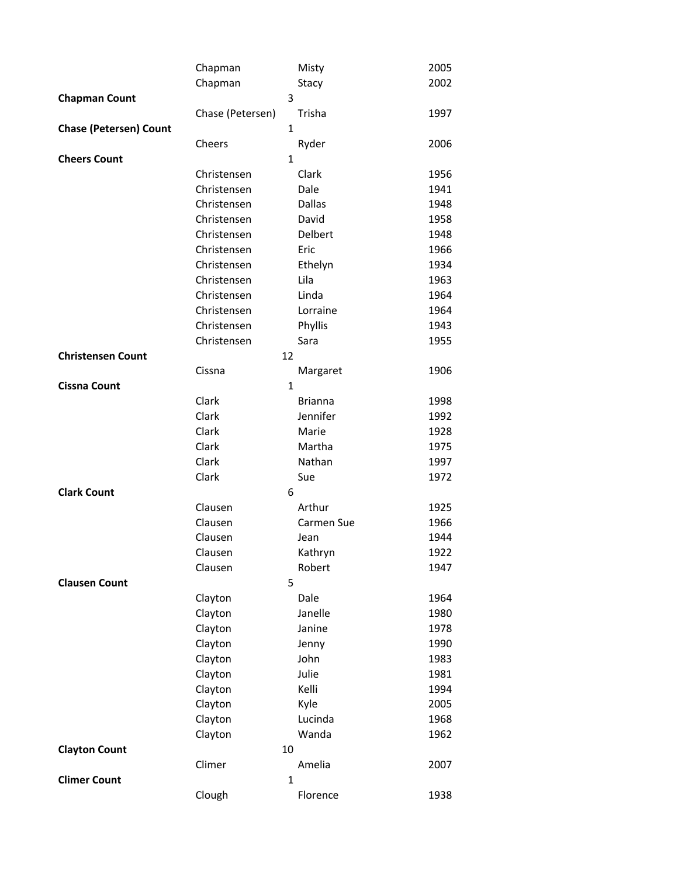|                               | Chapman          |              | Misty          | 2005 |
|-------------------------------|------------------|--------------|----------------|------|
|                               | Chapman          |              | Stacy          | 2002 |
| <b>Chapman Count</b>          |                  | 3            |                |      |
|                               | Chase (Petersen) |              | Trisha         | 1997 |
| <b>Chase (Petersen) Count</b> |                  | $\mathbf{1}$ |                |      |
|                               | Cheers           |              | Ryder          | 2006 |
| <b>Cheers Count</b>           |                  | $\mathbf{1}$ |                |      |
|                               | Christensen      |              | Clark          | 1956 |
|                               | Christensen      |              | Dale           | 1941 |
|                               | Christensen      |              | Dallas         | 1948 |
|                               | Christensen      |              | David          | 1958 |
|                               | Christensen      |              | Delbert        | 1948 |
|                               | Christensen      |              | Eric           | 1966 |
|                               | Christensen      |              | Ethelyn        | 1934 |
|                               | Christensen      |              | Lila           | 1963 |
|                               | Christensen      |              | Linda          | 1964 |
|                               | Christensen      |              | Lorraine       | 1964 |
|                               | Christensen      |              | Phyllis        | 1943 |
|                               | Christensen      |              | Sara           | 1955 |
| <b>Christensen Count</b>      |                  | 12           |                |      |
|                               | Cissna           |              | Margaret       | 1906 |
| <b>Cissna Count</b>           |                  | $\mathbf{1}$ |                |      |
|                               | Clark            |              | <b>Brianna</b> | 1998 |
|                               | Clark            |              | Jennifer       | 1992 |
|                               | Clark            |              | Marie          | 1928 |
|                               | Clark            |              | Martha         | 1975 |
|                               | Clark            |              | Nathan         | 1997 |
|                               | Clark            |              | Sue            | 1972 |
| <b>Clark Count</b>            |                  | 6            |                |      |
|                               | Clausen          |              | Arthur         | 1925 |
|                               | Clausen          |              | Carmen Sue     | 1966 |
|                               | Clausen          |              | Jean           | 1944 |
|                               | Clausen          |              | Kathryn        | 1922 |
|                               | Clausen          |              | Robert         | 1947 |
| <b>Clausen Count</b>          |                  | 5            |                |      |
|                               | Clayton          |              | Dale           | 1964 |
|                               | Clayton          |              | Janelle        | 1980 |
|                               | Clayton          |              | Janine         | 1978 |
|                               | Clayton          |              | Jenny          | 1990 |
|                               | Clayton          |              | John           | 1983 |
|                               | Clayton          |              | Julie          | 1981 |
|                               | Clayton          |              | Kelli          | 1994 |
|                               | Clayton          |              | Kyle           | 2005 |
|                               | Clayton          |              | Lucinda        | 1968 |
|                               | Clayton          |              | Wanda          | 1962 |
| <b>Clayton Count</b>          |                  | 10           |                |      |
|                               | Climer           |              | Amelia         | 2007 |
| <b>Climer Count</b>           |                  | $\mathbf{1}$ |                |      |
|                               | Clough           |              | Florence       | 1938 |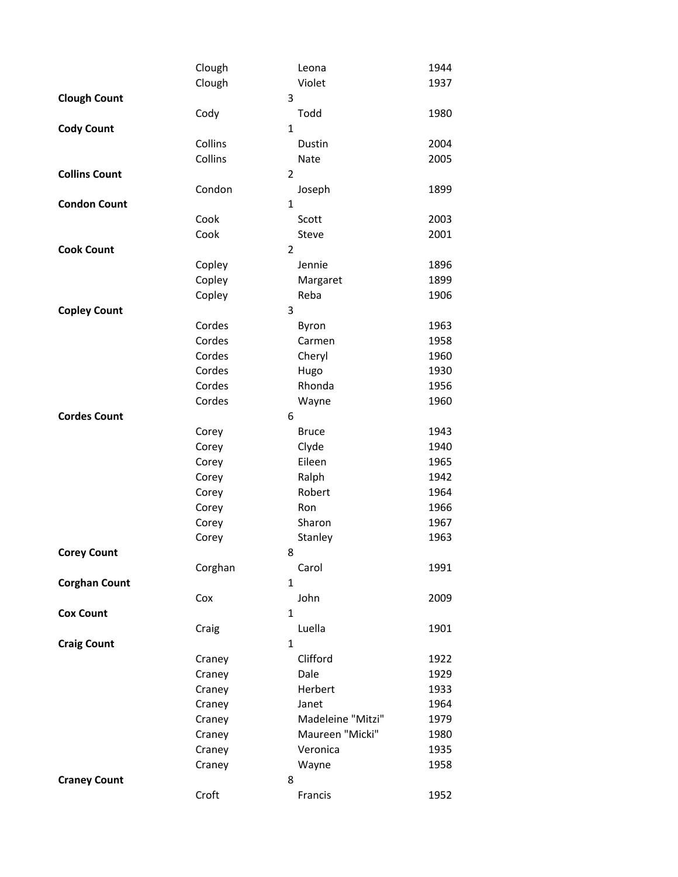|                      | Clough  |                | Leona             | 1944 |
|----------------------|---------|----------------|-------------------|------|
|                      | Clough  |                | Violet            | 1937 |
| <b>Clough Count</b>  |         | 3              |                   |      |
|                      | Cody    |                | Todd              | 1980 |
| <b>Cody Count</b>    |         | $\mathbf{1}$   |                   |      |
|                      | Collins |                | Dustin            | 2004 |
|                      | Collins |                | Nate              | 2005 |
| <b>Collins Count</b> |         | $\overline{2}$ |                   |      |
|                      | Condon  |                | Joseph            | 1899 |
| <b>Condon Count</b>  |         | 1              |                   |      |
|                      | Cook    |                | Scott             | 2003 |
|                      | Cook    |                | Steve             | 2001 |
| <b>Cook Count</b>    |         | $\overline{2}$ |                   |      |
|                      | Copley  |                | Jennie            | 1896 |
|                      | Copley  |                | Margaret          | 1899 |
|                      | Copley  |                | Reba              | 1906 |
| <b>Copley Count</b>  |         | 3              |                   |      |
|                      | Cordes  |                | Byron             | 1963 |
|                      | Cordes  |                | Carmen            | 1958 |
|                      | Cordes  |                | Cheryl            | 1960 |
|                      | Cordes  |                | Hugo              | 1930 |
|                      | Cordes  |                | Rhonda            | 1956 |
|                      | Cordes  |                | Wayne             | 1960 |
| <b>Cordes Count</b>  |         | 6              |                   |      |
|                      | Corey   |                | <b>Bruce</b>      | 1943 |
|                      | Corey   |                | Clyde             | 1940 |
|                      | Corey   |                | Eileen            | 1965 |
|                      | Corey   |                | Ralph             | 1942 |
|                      | Corey   |                | Robert            | 1964 |
|                      | Corey   |                | Ron               | 1966 |
|                      | Corey   |                | Sharon            | 1967 |
|                      | Corey   |                | Stanley           | 1963 |
| <b>Corey Count</b>   |         | 8              |                   |      |
|                      | Corghan |                | Carol             | 1991 |
| <b>Corghan Count</b> |         | $\mathbf{1}$   |                   |      |
|                      | Cox     |                | John              | 2009 |
| <b>Cox Count</b>     |         | 1              |                   |      |
|                      | Craig   |                | Luella            | 1901 |
| <b>Craig Count</b>   |         | $\mathbf{1}$   |                   |      |
|                      | Craney  |                | Clifford          | 1922 |
|                      | Craney  |                | Dale              | 1929 |
|                      | Craney  |                | Herbert           | 1933 |
|                      | Craney  |                | Janet             | 1964 |
|                      | Craney  |                | Madeleine "Mitzi" | 1979 |
|                      | Craney  |                | Maureen "Micki"   | 1980 |
|                      | Craney  |                | Veronica          | 1935 |
|                      | Craney  |                | Wayne             | 1958 |
| <b>Craney Count</b>  |         | 8              |                   |      |
|                      | Croft   |                | Francis           | 1952 |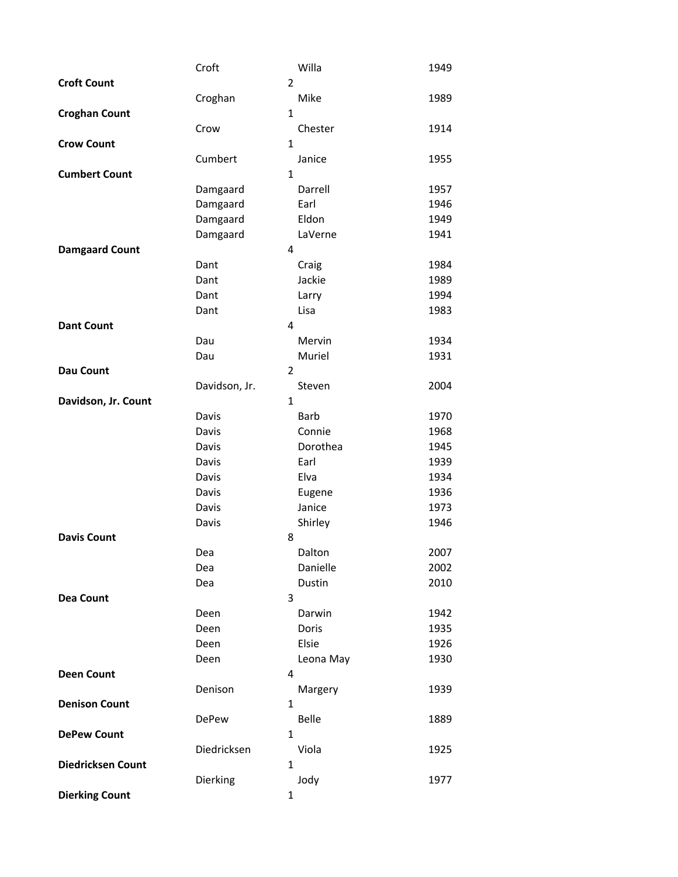|                          | Croft         |                | Willa       | 1949 |
|--------------------------|---------------|----------------|-------------|------|
| <b>Croft Count</b>       |               | $\overline{2}$ |             |      |
|                          | Croghan       |                | Mike        | 1989 |
| <b>Croghan Count</b>     |               | $\mathbf{1}$   |             |      |
|                          | Crow          |                | Chester     | 1914 |
| <b>Crow Count</b>        |               | $\mathbf{1}$   |             |      |
|                          | Cumbert       |                | Janice      | 1955 |
| <b>Cumbert Count</b>     |               | $\mathbf{1}$   |             |      |
|                          | Damgaard      |                | Darrell     | 1957 |
|                          | Damgaard      |                | Earl        | 1946 |
|                          | Damgaard      |                | Eldon       | 1949 |
|                          | Damgaard      |                | LaVerne     | 1941 |
| <b>Damgaard Count</b>    |               | 4              |             |      |
|                          | Dant          |                | Craig       | 1984 |
|                          | Dant          |                | Jackie      | 1989 |
|                          | Dant          |                | Larry       | 1994 |
|                          | Dant          |                | Lisa        | 1983 |
| <b>Dant Count</b>        |               | 4              |             |      |
|                          | Dau           |                | Mervin      | 1934 |
|                          | Dau           |                | Muriel      | 1931 |
| <b>Dau Count</b>         |               | $\overline{2}$ |             |      |
|                          | Davidson, Jr. |                | Steven      | 2004 |
| Davidson, Jr. Count      |               | 1              |             |      |
|                          | Davis         |                | <b>Barb</b> | 1970 |
|                          | Davis         |                | Connie      | 1968 |
|                          | Davis         |                | Dorothea    | 1945 |
|                          | Davis         |                | Earl        | 1939 |
|                          | Davis         |                | Elva        | 1934 |
|                          | Davis         |                | Eugene      | 1936 |
|                          | Davis         |                | Janice      | 1973 |
|                          | Davis         |                | Shirley     | 1946 |
| <b>Davis Count</b>       |               | 8              |             |      |
|                          | Dea           |                | Dalton      | 2007 |
|                          | Dea           |                | Danielle    | 2002 |
|                          | Dea           |                | Dustin      | 2010 |
| <b>Dea Count</b>         |               | 3              |             |      |
|                          | Deen          |                | Darwin      | 1942 |
|                          | Deen          |                | Doris       | 1935 |
|                          | Deen          |                | Elsie       | 1926 |
|                          | Deen          |                | Leona May   | 1930 |
| <b>Deen Count</b>        |               | 4              |             |      |
|                          | Denison       |                | Margery     | 1939 |
| <b>Denison Count</b>     |               | $\mathbf{1}$   |             |      |
|                          | <b>DePew</b>  |                | Belle       | 1889 |
| <b>DePew Count</b>       |               | $\mathbf{1}$   |             |      |
|                          | Diedricksen   |                | Viola       | 1925 |
| <b>Diedricksen Count</b> |               | $\mathbf{1}$   |             |      |
|                          | Dierking      |                | Jody        | 1977 |
| <b>Dierking Count</b>    |               | 1              |             |      |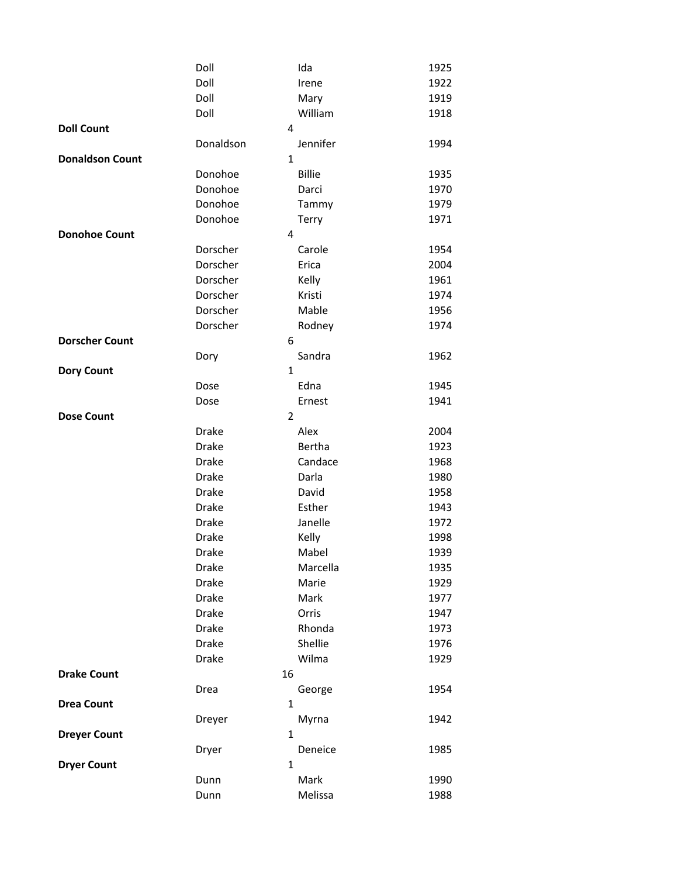|                        | Doll         | Ida            | 1925 |
|------------------------|--------------|----------------|------|
|                        | Doll         | Irene          | 1922 |
|                        |              |                |      |
|                        | Doll         | Mary           | 1919 |
|                        | Doll         | William        | 1918 |
| <b>Doll Count</b>      |              | 4              |      |
|                        | Donaldson    | Jennifer       | 1994 |
| <b>Donaldson Count</b> |              | $\mathbf{1}$   |      |
|                        | Donohoe      | <b>Billie</b>  | 1935 |
|                        | Donohoe      | Darci          | 1970 |
|                        | Donohoe      | Tammy          | 1979 |
|                        | Donohoe      | Terry          | 1971 |
| <b>Donohoe Count</b>   |              | 4              |      |
|                        | Dorscher     | Carole         | 1954 |
|                        | Dorscher     | Erica          | 2004 |
|                        | Dorscher     | Kelly          | 1961 |
|                        | Dorscher     | Kristi         | 1974 |
|                        | Dorscher     | Mable          | 1956 |
|                        | Dorscher     | Rodney         | 1974 |
|                        |              |                |      |
| <b>Dorscher Count</b>  |              | 6              |      |
|                        | Dory         | Sandra         | 1962 |
| <b>Dory Count</b>      |              | $\mathbf{1}$   |      |
|                        | Dose         | Edna           | 1945 |
|                        | Dose         | Ernest         | 1941 |
| <b>Dose Count</b>      |              | $\overline{2}$ |      |
|                        | <b>Drake</b> | Alex           | 2004 |
|                        | <b>Drake</b> | Bertha         | 1923 |
|                        | <b>Drake</b> | Candace        | 1968 |
|                        | <b>Drake</b> | Darla          | 1980 |
|                        | <b>Drake</b> | David          | 1958 |
|                        | <b>Drake</b> | Esther         | 1943 |
|                        | <b>Drake</b> | Janelle        | 1972 |
|                        | <b>Drake</b> | Kelly          | 1998 |
|                        | Drake        | Mabel          | 1939 |
|                        | Drake        | Marcella       | 1935 |
|                        | <b>Drake</b> | Marie          | 1929 |
|                        |              | Mark           |      |
|                        | <b>Drake</b> |                | 1977 |
|                        | <b>Drake</b> | Orris          | 1947 |
|                        | <b>Drake</b> | Rhonda         | 1973 |
|                        | <b>Drake</b> | Shellie        | 1976 |
|                        | <b>Drake</b> | Wilma          | 1929 |
| <b>Drake Count</b>     |              | 16             |      |
|                        | Drea         | George         | 1954 |
| <b>Drea Count</b>      |              | 1              |      |
|                        | Dreyer       | Myrna          | 1942 |
| <b>Dreyer Count</b>    |              | 1              |      |
|                        | Dryer        | Deneice        | 1985 |
| <b>Dryer Count</b>     |              | 1              |      |
|                        | Dunn         | Mark           | 1990 |
|                        | Dunn         | Melissa        | 1988 |
|                        |              |                |      |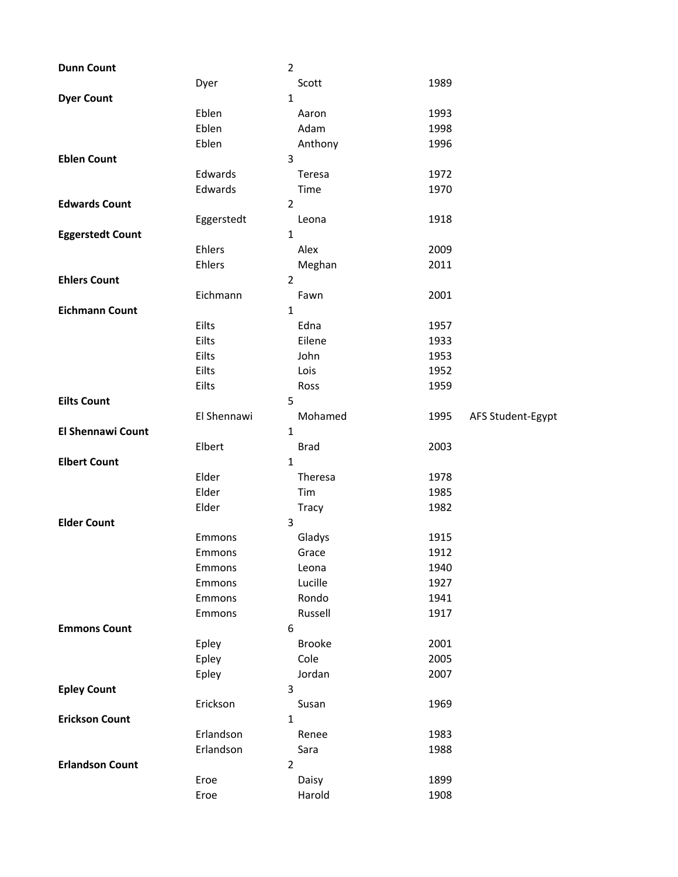| <b>Dunn Count</b>        |              | $\overline{2}$  |                           |
|--------------------------|--------------|-----------------|---------------------------|
|                          | Dyer         | Scott           | 1989                      |
| <b>Dyer Count</b>        |              | $\mathbf{1}$    |                           |
|                          | Eblen        | Aaron           | 1993                      |
|                          | Eblen        | Adam            | 1998                      |
|                          | Eblen        | Anthony         | 1996                      |
| <b>Eblen Count</b>       |              | 3               |                           |
|                          | Edwards      | Teresa          | 1972                      |
|                          | Edwards      | Time            | 1970                      |
| <b>Edwards Count</b>     |              | $\overline{2}$  |                           |
|                          | Eggerstedt   | Leona           | 1918                      |
| <b>Eggerstedt Count</b>  |              | $\mathbf{1}$    |                           |
|                          | Ehlers       | Alex            | 2009                      |
|                          | Ehlers       | Meghan          | 2011                      |
| <b>Ehlers Count</b>      |              | $\overline{2}$  |                           |
|                          | Eichmann     | Fawn            | 2001                      |
| <b>Eichmann Count</b>    |              | $\mathbf{1}$    |                           |
|                          | Eilts        | Edna            | 1957                      |
|                          | Eilts        | Eilene          | 1933                      |
|                          | Eilts        | John            | 1953                      |
|                          | Eilts        | Lois            | 1952                      |
|                          | Eilts        | Ross            | 1959                      |
| <b>Eilts Count</b>       |              | 5               |                           |
|                          | El Shennawi  | Mohamed         | 1995<br>AFS Student-Egypt |
| <b>El Shennawi Count</b> |              | $\mathbf{1}$    |                           |
|                          | Elbert       | <b>Brad</b>     | 2003                      |
| <b>Elbert Count</b>      |              |                 |                           |
|                          |              | 1               |                           |
|                          | Elder        | Theresa         | 1978                      |
|                          | Elder        | Tim             | 1985                      |
|                          | Elder        | Tracy           | 1982                      |
| <b>Elder Count</b>       |              | 3               |                           |
|                          | Emmons       | Gladys          | 1915                      |
|                          | Emmons       | Grace           | 1912                      |
|                          | Emmons       | Leona           | 1940                      |
|                          | Emmons       | Lucille         | 1927                      |
|                          | Emmons       | Rondo           | 1941                      |
|                          | Emmons       | Russell         | 1917                      |
| <b>Emmons Count</b>      |              | 6               |                           |
|                          | Epley        | <b>Brooke</b>   | 2001                      |
|                          | Epley        | Cole            | 2005                      |
|                          | Epley        | Jordan          | 2007                      |
| <b>Epley Count</b>       |              | 3               |                           |
|                          | Erickson     | Susan           | 1969                      |
| <b>Erickson Count</b>    |              | $\mathbf{1}$    |                           |
|                          | Erlandson    | Renee           | 1983                      |
|                          | Erlandson    | Sara            | 1988                      |
| <b>Erlandson Count</b>   |              | $\overline{2}$  |                           |
|                          | Eroe<br>Eroe | Daisy<br>Harold | 1899<br>1908              |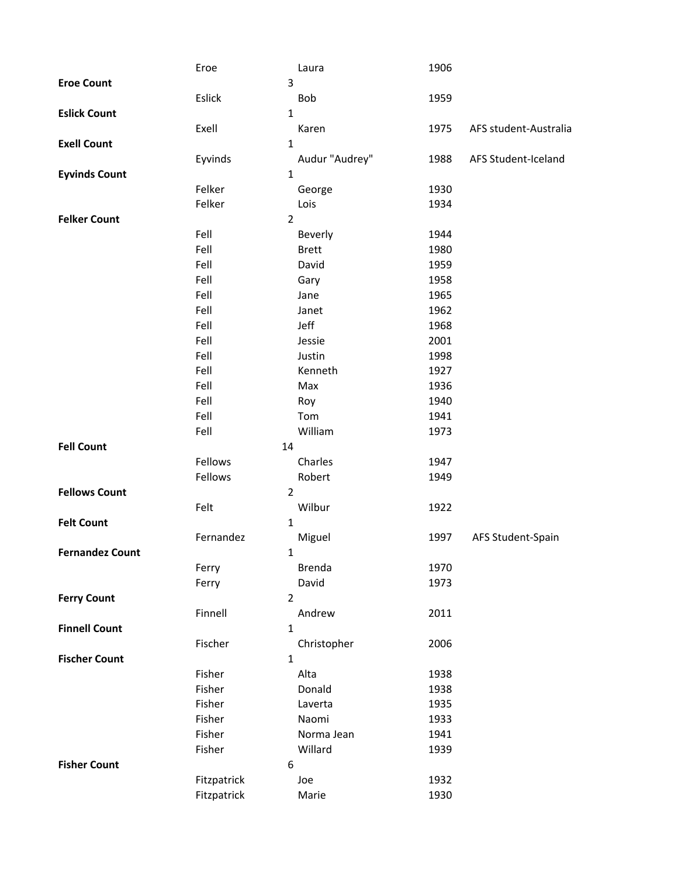|                        | Eroe        | Laura            | 1906 |                       |
|------------------------|-------------|------------------|------|-----------------------|
| <b>Eroe Count</b>      |             | 3                |      |                       |
|                        | Eslick      | <b>Bob</b>       | 1959 |                       |
| <b>Eslick Count</b>    |             | $\mathbf{1}$     |      |                       |
|                        | Exell       | Karen            | 1975 | AFS student-Australia |
| <b>Exell Count</b>     |             | $\mathbf 1$      |      |                       |
|                        | Eyvinds     | Audur "Audrey"   | 1988 | AFS Student-Iceland   |
| <b>Eyvinds Count</b>   |             | $\mathbf 1$      |      |                       |
|                        | Felker      | George           | 1930 |                       |
|                        | Felker      | Lois             | 1934 |                       |
| <b>Felker Count</b>    |             | $\overline{2}$   |      |                       |
|                        | Fell        | Beverly          | 1944 |                       |
|                        | Fell        | <b>Brett</b>     | 1980 |                       |
|                        | Fell        | David            | 1959 |                       |
|                        | Fell        | Gary             | 1958 |                       |
|                        | Fell        | Jane             | 1965 |                       |
|                        | Fell        | Janet            | 1962 |                       |
|                        | Fell        | Jeff             | 1968 |                       |
|                        | Fell        | Jessie           | 2001 |                       |
|                        | Fell        | Justin           | 1998 |                       |
|                        | Fell        | Kenneth          | 1927 |                       |
|                        | Fell        | Max              | 1936 |                       |
|                        | Fell        | Roy              | 1940 |                       |
|                        | Fell        | Tom              | 1941 |                       |
|                        | Fell        | William          | 1973 |                       |
| <b>Fell Count</b>      | 14          |                  |      |                       |
|                        | Fellows     | Charles          | 1947 |                       |
|                        | Fellows     | Robert           | 1949 |                       |
| <b>Fellows Count</b>   |             | $\overline{2}$   |      |                       |
|                        | Felt        | Wilbur           | 1922 |                       |
| <b>Felt Count</b>      |             | $\mathbf{1}$     |      |                       |
|                        | Fernandez   | Miguel           | 1997 | AFS Student-Spain     |
| <b>Fernandez Count</b> |             | 1                |      |                       |
|                        | Ferry       | <b>Brenda</b>    | 1970 |                       |
|                        | Ferry       | David            | 1973 |                       |
| <b>Ferry Count</b>     |             | $\overline{2}$   |      |                       |
|                        | Finnell     | Andrew           | 2011 |                       |
| <b>Finnell Count</b>   |             | $\mathbf{1}$     |      |                       |
|                        | Fischer     | Christopher      | 2006 |                       |
| <b>Fischer Count</b>   |             | $\mathbf{1}$     |      |                       |
|                        | Fisher      | Alta             | 1938 |                       |
|                        | Fisher      | Donald           | 1938 |                       |
|                        | Fisher      | Laverta          | 1935 |                       |
|                        | Fisher      | Naomi            | 1933 |                       |
|                        | Fisher      | Norma Jean       | 1941 |                       |
|                        | Fisher      | Willard          | 1939 |                       |
| <b>Fisher Count</b>    |             | $\boldsymbol{6}$ |      |                       |
|                        | Fitzpatrick | Joe              | 1932 |                       |
|                        | Fitzpatrick | Marie            | 1930 |                       |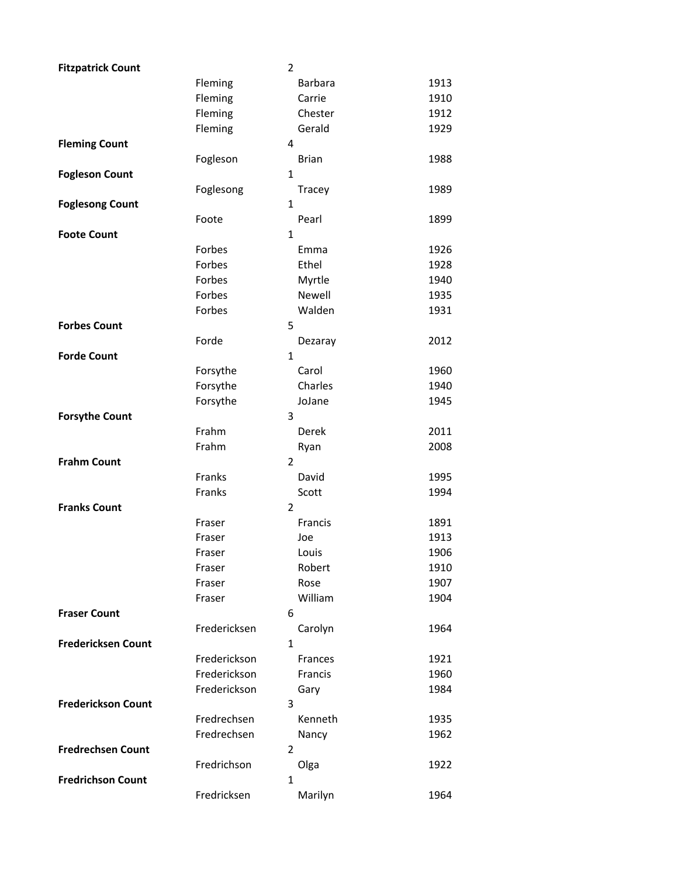| <b>Fitzpatrick Count</b>  |              | $\overline{2}$ |                |      |
|---------------------------|--------------|----------------|----------------|------|
|                           | Fleming      |                | <b>Barbara</b> | 1913 |
|                           | Fleming      |                | Carrie         | 1910 |
|                           | Fleming      |                | Chester        | 1912 |
|                           | Fleming      |                | Gerald         | 1929 |
| <b>Fleming Count</b>      |              | 4              |                |      |
|                           | Fogleson     |                | <b>Brian</b>   | 1988 |
| <b>Fogleson Count</b>     |              | 1              |                |      |
|                           | Foglesong    |                | Tracey         | 1989 |
| <b>Foglesong Count</b>    |              | $\mathbf{1}$   |                |      |
|                           | Foote        |                | Pearl          | 1899 |
| <b>Foote Count</b>        |              | $\mathbf{1}$   |                |      |
|                           | Forbes       |                | Emma           | 1926 |
|                           | Forbes       |                | Ethel          | 1928 |
|                           | Forbes       |                | Myrtle         | 1940 |
|                           | Forbes       |                | Newell         | 1935 |
|                           | Forbes       |                | Walden         | 1931 |
| <b>Forbes Count</b>       |              | 5              |                |      |
|                           | Forde        |                | Dezaray        | 2012 |
| <b>Forde Count</b>        |              | $\mathbf{1}$   |                |      |
|                           | Forsythe     |                | Carol          | 1960 |
|                           | Forsythe     |                | Charles        | 1940 |
|                           | Forsythe     |                | JoJane         | 1945 |
| <b>Forsythe Count</b>     |              | 3              |                |      |
|                           | Frahm        |                | Derek          | 2011 |
|                           | Frahm        |                | Ryan           | 2008 |
| <b>Frahm Count</b>        |              | $\overline{2}$ |                |      |
|                           | Franks       |                | David          | 1995 |
|                           | Franks       |                | Scott          | 1994 |
| <b>Franks Count</b>       |              | $\overline{2}$ |                |      |
|                           | Fraser       |                | Francis        | 1891 |
|                           | Fraser       |                | Joe            | 1913 |
|                           | Fraser       |                | Louis          | 1906 |
|                           | Fraser       |                | Robert         | 1910 |
|                           | Fraser       |                | Rose           | 1907 |
|                           | Fraser       |                | William        | 1904 |
| <b>Fraser Count</b>       |              | 6              |                |      |
|                           | Fredericksen |                | Carolyn        | 1964 |
| <b>Fredericksen Count</b> |              | $\mathbf{1}$   |                |      |
|                           | Frederickson |                | Frances        | 1921 |
|                           | Frederickson |                | Francis        | 1960 |
|                           | Frederickson |                | Gary           | 1984 |
| <b>Frederickson Count</b> |              | 3              |                |      |
|                           | Fredrechsen  |                | Kenneth        | 1935 |
|                           | Fredrechsen  |                | Nancy          | 1962 |
| <b>Fredrechsen Count</b>  |              | $\overline{2}$ |                |      |
|                           | Fredrichson  |                | Olga           | 1922 |
| <b>Fredrichson Count</b>  |              | 1              |                |      |
|                           | Fredricksen  |                | Marilyn        | 1964 |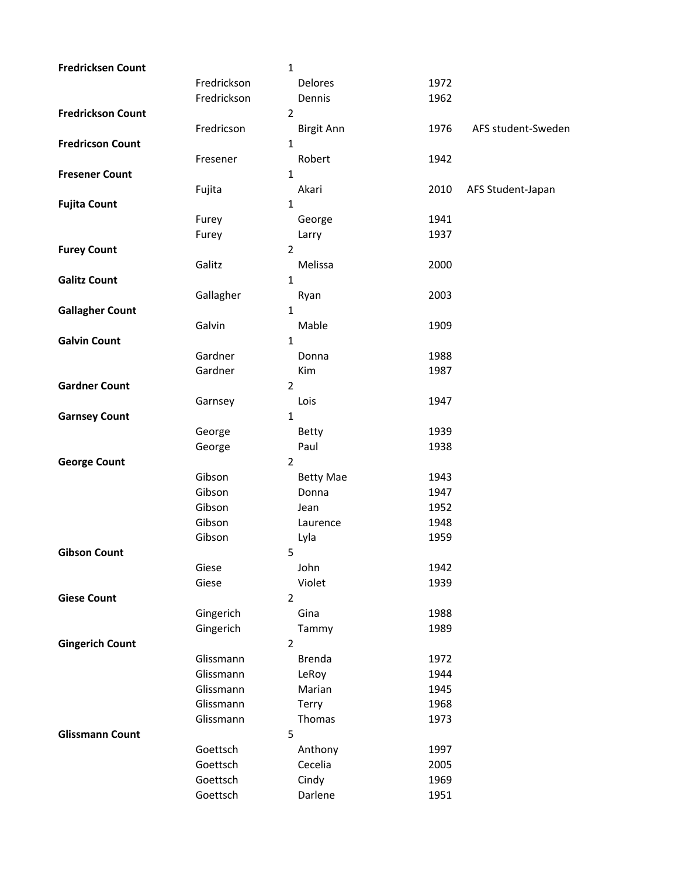| <b>Fredricksen Count</b> |             | $\mathbf 1$       |      |                    |
|--------------------------|-------------|-------------------|------|--------------------|
|                          | Fredrickson | Delores           | 1972 |                    |
|                          | Fredrickson | Dennis            | 1962 |                    |
| <b>Fredrickson Count</b> |             | $\overline{2}$    |      |                    |
|                          | Fredricson  | <b>Birgit Ann</b> | 1976 | AFS student-Sweden |
| <b>Fredricson Count</b>  |             | $\mathbf{1}$      |      |                    |
|                          | Fresener    | Robert            | 1942 |                    |
| <b>Fresener Count</b>    |             | $\mathbf{1}$      |      |                    |
|                          | Fujita      | Akari             | 2010 | AFS Student-Japan  |
| <b>Fujita Count</b>      |             | $\mathbf{1}$      |      |                    |
|                          | Furey       | George            | 1941 |                    |
|                          | Furey       | Larry             | 1937 |                    |
| <b>Furey Count</b>       |             | $\overline{2}$    |      |                    |
|                          | Galitz      | Melissa           | 2000 |                    |
| <b>Galitz Count</b>      |             | $\mathbf{1}$      |      |                    |
|                          | Gallagher   | Ryan              | 2003 |                    |
| <b>Gallagher Count</b>   |             | $\mathbf{1}$      |      |                    |
|                          | Galvin      | Mable             | 1909 |                    |
| <b>Galvin Count</b>      |             | $\mathbf{1}$      |      |                    |
|                          | Gardner     | Donna             | 1988 |                    |
|                          | Gardner     | Kim               | 1987 |                    |
| <b>Gardner Count</b>     |             | $\overline{2}$    |      |                    |
|                          | Garnsey     | Lois              | 1947 |                    |
| <b>Garnsey Count</b>     |             | $\mathbf{1}$      |      |                    |
|                          | George      | Betty             | 1939 |                    |
|                          | George      | Paul              | 1938 |                    |
| <b>George Count</b>      |             | $\overline{2}$    |      |                    |
|                          | Gibson      | <b>Betty Mae</b>  | 1943 |                    |
|                          | Gibson      | Donna             | 1947 |                    |
|                          | Gibson      | Jean              | 1952 |                    |
|                          | Gibson      | Laurence          | 1948 |                    |
|                          | Gibson      | Lyla              | 1959 |                    |
| <b>Gibson Count</b>      |             | 5                 |      |                    |
|                          | Giese       | John              | 1942 |                    |
|                          | Giese       | Violet            | 1939 |                    |
| <b>Giese Count</b>       |             | $\overline{2}$    |      |                    |
|                          | Gingerich   | Gina              | 1988 |                    |
|                          | Gingerich   | Tammy             | 1989 |                    |
| <b>Gingerich Count</b>   |             | $\overline{2}$    |      |                    |
|                          | Glissmann   | <b>Brenda</b>     | 1972 |                    |
|                          | Glissmann   | LeRoy             | 1944 |                    |
|                          | Glissmann   | Marian            | 1945 |                    |
|                          | Glissmann   | Terry             | 1968 |                    |
|                          | Glissmann   | Thomas            | 1973 |                    |
| <b>Glissmann Count</b>   |             | 5                 |      |                    |
|                          | Goettsch    | Anthony           | 1997 |                    |
|                          | Goettsch    | Cecelia           | 2005 |                    |
|                          | Goettsch    | Cindy             | 1969 |                    |
|                          | Goettsch    | Darlene           | 1951 |                    |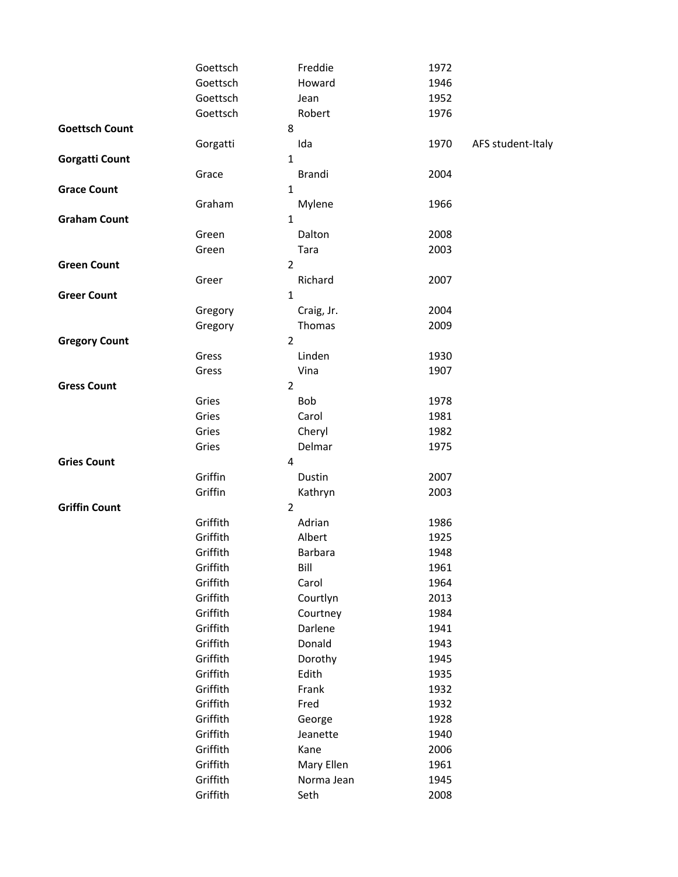|                       | Goettsch       | Freddie        | 1972 |                   |
|-----------------------|----------------|----------------|------|-------------------|
|                       | Goettsch       | Howard         | 1946 |                   |
|                       | Goettsch       | Jean           | 1952 |                   |
|                       | Goettsch       | Robert         | 1976 |                   |
| <b>Goettsch Count</b> | 8              |                |      |                   |
|                       | Gorgatti       | Ida            | 1970 | AFS student-Italy |
| <b>Gorgatti Count</b> |                | 1              |      |                   |
|                       | Grace          | <b>Brandi</b>  | 2004 |                   |
| <b>Grace Count</b>    |                | $\mathbf{1}$   |      |                   |
|                       | Graham         | Mylene         | 1966 |                   |
| <b>Graham Count</b>   | $\mathbf 1$    |                |      |                   |
|                       | Green          | Dalton         | 2008 |                   |
|                       | Green          | Tara           | 2003 |                   |
| <b>Green Count</b>    |                | $\overline{2}$ |      |                   |
|                       | Greer          | Richard        | 2007 |                   |
| <b>Greer Count</b>    |                | $\mathbf{1}$   |      |                   |
|                       | Gregory        | Craig, Jr.     | 2004 |                   |
|                       | Gregory        | Thomas         | 2009 |                   |
| <b>Gregory Count</b>  | $\overline{2}$ |                |      |                   |
|                       | Gress          | Linden         | 1930 |                   |
|                       | Gress          | Vina           | 1907 |                   |
| <b>Gress Count</b>    | $\overline{2}$ |                |      |                   |
|                       | Gries          | Bob            | 1978 |                   |
|                       | Gries          | Carol          | 1981 |                   |
|                       | Gries          | Cheryl         | 1982 |                   |
|                       | Gries          | Delmar         | 1975 |                   |
| <b>Gries Count</b>    | 4              |                |      |                   |
|                       | Griffin        | Dustin         | 2007 |                   |
|                       | Griffin        | Kathryn        | 2003 |                   |
| <b>Griffin Count</b>  | $\overline{2}$ |                |      |                   |
|                       | Griffith       | Adrian         | 1986 |                   |
|                       | Griffith       | Albert         | 1925 |                   |
|                       | Griffith       | Barbara        | 1948 |                   |
|                       | Griffith       | Bill           | 1961 |                   |
|                       | Griffith       | Carol          | 1964 |                   |
|                       | Griffith       | Courtlyn       | 2013 |                   |
|                       | Griffith       | Courtney       | 1984 |                   |
|                       | Griffith       | Darlene        | 1941 |                   |
|                       | Griffith       | Donald         | 1943 |                   |
|                       | Griffith       | Dorothy        | 1945 |                   |
|                       | Griffith       | Edith          | 1935 |                   |
|                       | Griffith       | Frank          | 1932 |                   |
|                       | Griffith       | Fred           | 1932 |                   |
|                       | Griffith       | George         | 1928 |                   |
|                       | Griffith       | Jeanette       | 1940 |                   |
|                       | Griffith       | Kane           | 2006 |                   |
|                       | Griffith       | Mary Ellen     | 1961 |                   |
|                       | Griffith       | Norma Jean     | 1945 |                   |
|                       | Griffith       | Seth           | 2008 |                   |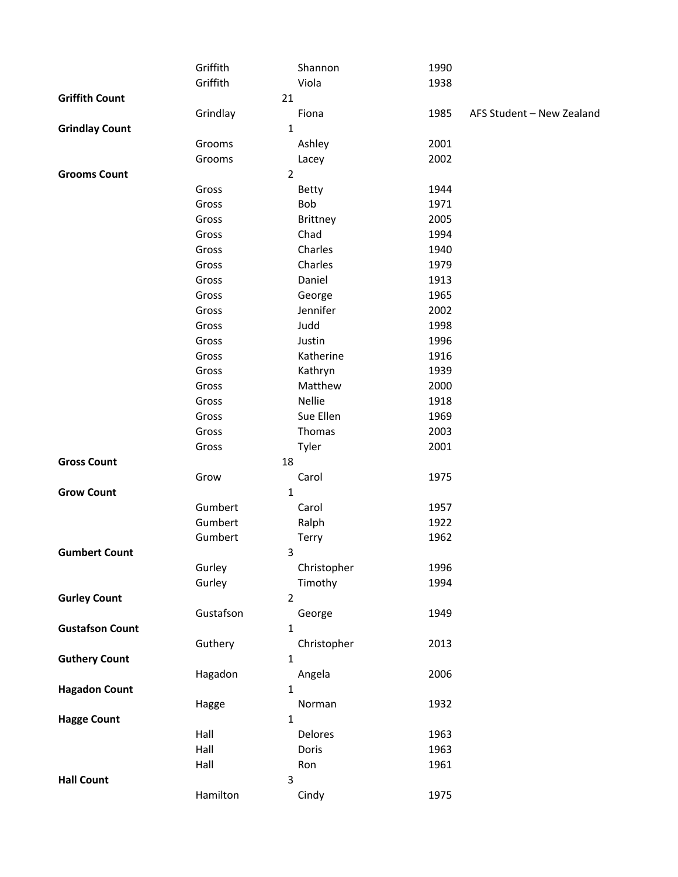|                        | Griffith       | Shannon         | 1990 |                           |
|------------------------|----------------|-----------------|------|---------------------------|
|                        | Griffith       | Viola           | 1938 |                           |
| <b>Griffith Count</b>  | 21             |                 |      |                           |
|                        | Grindlay       | Fiona           | 1985 | AFS Student - New Zealand |
| <b>Grindlay Count</b>  | 1              |                 |      |                           |
|                        | Grooms         | Ashley          | 2001 |                           |
|                        | Grooms         | Lacey           | 2002 |                           |
| <b>Grooms Count</b>    | $\overline{2}$ |                 |      |                           |
|                        | Gross          | <b>Betty</b>    | 1944 |                           |
|                        | Gross          | Bob             | 1971 |                           |
|                        | Gross          | <b>Brittney</b> | 2005 |                           |
|                        | Gross          | Chad            | 1994 |                           |
|                        | Gross          | Charles         | 1940 |                           |
|                        | Gross          | Charles         | 1979 |                           |
|                        | Gross          | Daniel          | 1913 |                           |
|                        | Gross          | George          | 1965 |                           |
|                        | Gross          | Jennifer        | 2002 |                           |
|                        | Gross          | Judd            | 1998 |                           |
|                        | Gross          | Justin          | 1996 |                           |
|                        | Gross          | Katherine       | 1916 |                           |
|                        | Gross          | Kathryn         | 1939 |                           |
|                        | Gross          | Matthew         | 2000 |                           |
|                        | Gross          | Nellie          | 1918 |                           |
|                        | Gross          | Sue Ellen       | 1969 |                           |
|                        | Gross          | Thomas          | 2003 |                           |
|                        | Gross          | Tyler           | 2001 |                           |
| <b>Gross Count</b>     | 18             |                 |      |                           |
|                        | Grow           | Carol           | 1975 |                           |
| <b>Grow Count</b>      | 1              |                 |      |                           |
|                        | Gumbert        | Carol           | 1957 |                           |
|                        | Gumbert        | Ralph           | 1922 |                           |
|                        | Gumbert        | Terry           | 1962 |                           |
| <b>Gumbert Count</b>   | 3              |                 |      |                           |
|                        | Gurley         | Christopher     | 1996 |                           |
|                        | Gurley         | Timothy         | 1994 |                           |
| <b>Gurley Count</b>    | $\overline{2}$ |                 |      |                           |
|                        | Gustafson      | George          | 1949 |                           |
| <b>Gustafson Count</b> | 1              |                 |      |                           |
|                        | Guthery        | Christopher     | 2013 |                           |
| <b>Guthery Count</b>   | 1              |                 |      |                           |
|                        | Hagadon        | Angela          | 2006 |                           |
| <b>Hagadon Count</b>   | 1              |                 |      |                           |
|                        | Hagge          | Norman          | 1932 |                           |
| <b>Hagge Count</b>     | 1              |                 |      |                           |
|                        | Hall           | Delores         | 1963 |                           |
|                        | Hall           | Doris           | 1963 |                           |
|                        | Hall           | Ron             | 1961 |                           |
| <b>Hall Count</b>      | 3              |                 |      |                           |
|                        | Hamilton       | Cindy           | 1975 |                           |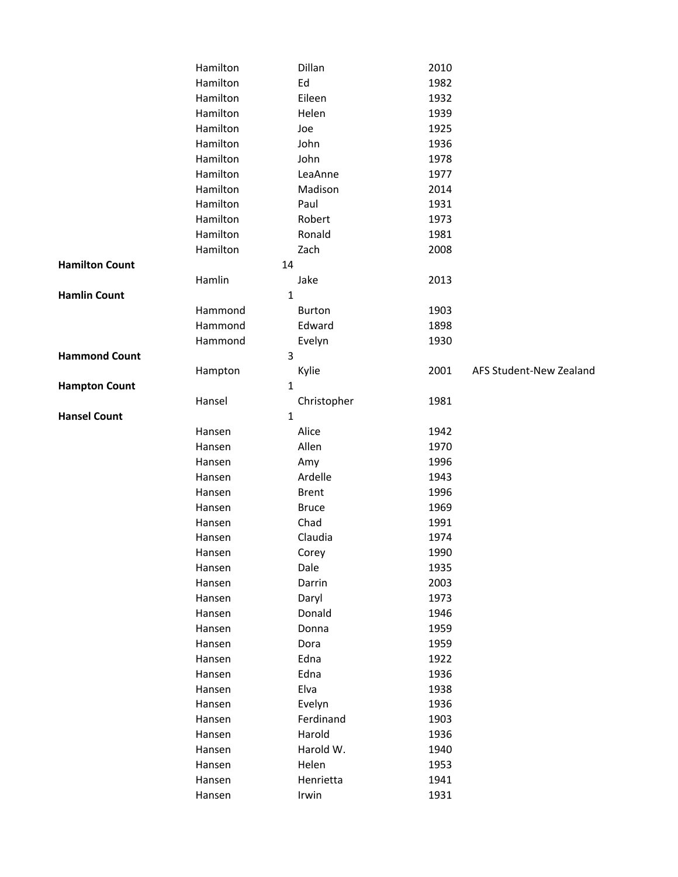|                       | Hamilton     | Dillan        | 2010 |                         |
|-----------------------|--------------|---------------|------|-------------------------|
|                       | Hamilton     | Ed            | 1982 |                         |
|                       | Hamilton     | Eileen        | 1932 |                         |
|                       | Hamilton     | Helen         | 1939 |                         |
|                       | Hamilton     | Joe           | 1925 |                         |
|                       | Hamilton     | John          | 1936 |                         |
|                       | Hamilton     | John          | 1978 |                         |
|                       | Hamilton     | LeaAnne       | 1977 |                         |
|                       | Hamilton     | Madison       | 2014 |                         |
|                       | Hamilton     | Paul          | 1931 |                         |
|                       | Hamilton     | Robert        | 1973 |                         |
|                       | Hamilton     | Ronald        | 1981 |                         |
|                       | Hamilton     | Zach          | 2008 |                         |
| <b>Hamilton Count</b> | 14           |               |      |                         |
|                       | Hamlin       | Jake          | 2013 |                         |
| <b>Hamlin Count</b>   |              | 1             |      |                         |
|                       | Hammond      | <b>Burton</b> | 1903 |                         |
|                       | Hammond      | Edward        | 1898 |                         |
|                       | Hammond      | Evelyn        | 1930 |                         |
| <b>Hammond Count</b>  | 3            |               |      |                         |
|                       | Hampton      | Kylie         | 2001 | AFS Student-New Zealand |
| <b>Hampton Count</b>  | $\mathbf{1}$ |               |      |                         |
|                       | Hansel       | Christopher   | 1981 |                         |
| <b>Hansel Count</b>   | $\mathbf{1}$ |               |      |                         |
|                       | Hansen       | Alice         | 1942 |                         |
|                       | Hansen       | Allen         | 1970 |                         |
|                       | Hansen       | Amy           | 1996 |                         |
|                       | Hansen       | Ardelle       | 1943 |                         |
|                       | Hansen       | <b>Brent</b>  | 1996 |                         |
|                       | Hansen       | <b>Bruce</b>  | 1969 |                         |
|                       | Hansen       | Chad          | 1991 |                         |
|                       | Hansen       | Claudia       | 1974 |                         |
|                       | Hansen       | Corey         | 1990 |                         |
|                       | Hansen       | Dale          | 1935 |                         |
|                       | Hansen       | Darrin        | 2003 |                         |
|                       | Hansen       | Daryl         | 1973 |                         |
|                       | Hansen       | Donald        | 1946 |                         |
|                       | Hansen       | Donna         | 1959 |                         |
|                       | Hansen       | Dora          | 1959 |                         |
|                       | Hansen       | Edna          | 1922 |                         |
|                       | Hansen       | Edna          | 1936 |                         |
|                       | Hansen       | Elva          | 1938 |                         |
|                       | Hansen       | Evelyn        | 1936 |                         |
|                       | Hansen       | Ferdinand     | 1903 |                         |
|                       | Hansen       | Harold        | 1936 |                         |
|                       | Hansen       | Harold W.     | 1940 |                         |
|                       | Hansen       | Helen         | 1953 |                         |
|                       | Hansen       | Henrietta     | 1941 |                         |
|                       | Hansen       | Irwin         | 1931 |                         |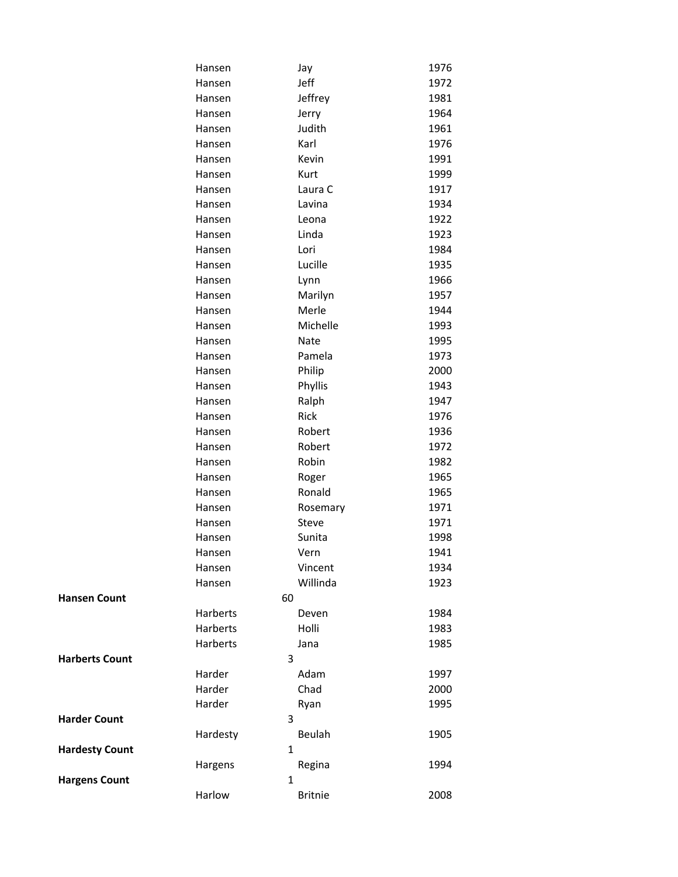|                       | Hansen       | Jay            | 1976 |
|-----------------------|--------------|----------------|------|
|                       | Hansen       | Jeff           | 1972 |
|                       | Hansen       | Jeffrey        | 1981 |
|                       | Hansen       | Jerry          | 1964 |
|                       | Hansen       | Judith         | 1961 |
|                       | Hansen       | Karl           | 1976 |
|                       | Hansen       | Kevin          | 1991 |
|                       | Hansen       | Kurt           | 1999 |
|                       | Hansen       | Laura C        | 1917 |
|                       | Hansen       | Lavina         | 1934 |
|                       | Hansen       | Leona          | 1922 |
|                       | Hansen       | Linda          | 1923 |
|                       | Hansen       | Lori           | 1984 |
|                       | Hansen       | Lucille        | 1935 |
|                       | Hansen       | Lynn           | 1966 |
|                       | Hansen       | Marilyn        | 1957 |
|                       | Hansen       | Merle          | 1944 |
|                       | Hansen       | Michelle       | 1993 |
|                       | Hansen       | Nate           | 1995 |
|                       | Hansen       | Pamela         | 1973 |
|                       | Hansen       | Philip         | 2000 |
|                       | Hansen       | Phyllis        | 1943 |
|                       | Hansen       | Ralph          | 1947 |
|                       | Hansen       | Rick           | 1976 |
|                       | Hansen       | Robert         | 1936 |
|                       | Hansen       | Robert         | 1972 |
|                       | Hansen       | Robin          | 1982 |
|                       | Hansen       | Roger          | 1965 |
|                       | Hansen       | Ronald         | 1965 |
|                       | Hansen       | Rosemary       | 1971 |
|                       | Hansen       | Steve          | 1971 |
|                       | Hansen       | Sunita         | 1998 |
|                       | Hansen       | Vern           | 1941 |
|                       | Hansen       | Vincent        | 1934 |
|                       | Hansen       | Willinda       | 1923 |
| <b>Hansen Count</b>   | 60           |                |      |
|                       | Harberts     | Deven          | 1984 |
|                       | Harberts     | Holli          | 1983 |
|                       | Harberts     | Jana           | 1985 |
| <b>Harberts Count</b> | 3            |                |      |
|                       | Harder       | Adam           | 1997 |
|                       | Harder       | Chad           | 2000 |
|                       | Harder       | Ryan           | 1995 |
| <b>Harder Count</b>   | 3            |                |      |
|                       | Hardesty     | Beulah         | 1905 |
| <b>Hardesty Count</b> | $\mathbf{1}$ |                |      |
|                       | Hargens      | Regina         | 1994 |
| <b>Hargens Count</b>  | 1            |                |      |
|                       | Harlow       | <b>Britnie</b> | 2008 |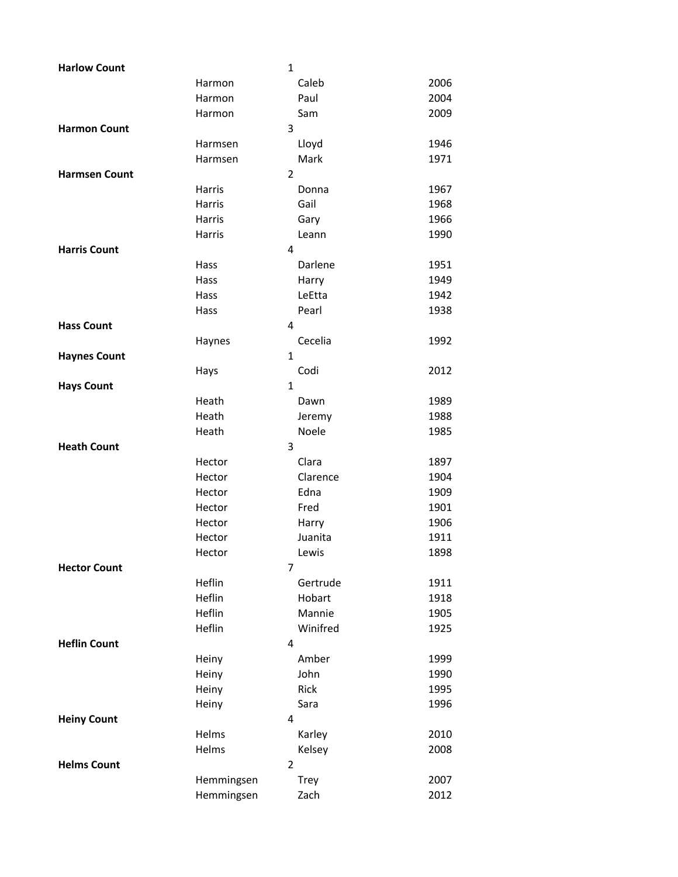| <b>Harlow Count</b>  |            | $\mathbf{1}$   |      |
|----------------------|------------|----------------|------|
|                      | Harmon     | Caleb          | 2006 |
|                      | Harmon     | Paul           | 2004 |
|                      | Harmon     | Sam            | 2009 |
| <b>Harmon Count</b>  |            | 3              |      |
|                      | Harmsen    | Lloyd          | 1946 |
|                      | Harmsen    | Mark           | 1971 |
| <b>Harmsen Count</b> |            | $\overline{2}$ |      |
|                      | Harris     | Donna          | 1967 |
|                      | Harris     | Gail           | 1968 |
|                      | Harris     | Gary           | 1966 |
|                      | Harris     | Leann          | 1990 |
| <b>Harris Count</b>  |            | 4              |      |
|                      | Hass       | Darlene        | 1951 |
|                      | Hass       | Harry          | 1949 |
|                      | Hass       | LeEtta         | 1942 |
|                      | Hass       | Pearl          | 1938 |
| <b>Hass Count</b>    |            | 4              |      |
|                      | Haynes     | Cecelia        | 1992 |
| <b>Haynes Count</b>  |            | $\mathbf{1}$   |      |
|                      | Hays       | Codi           | 2012 |
| <b>Hays Count</b>    |            | $\mathbf{1}$   |      |
|                      | Heath      | Dawn           | 1989 |
|                      | Heath      | Jeremy         | 1988 |
|                      | Heath      | Noele          | 1985 |
| <b>Heath Count</b>   |            | 3              |      |
|                      | Hector     | Clara          | 1897 |
|                      | Hector     | Clarence       | 1904 |
|                      | Hector     | Edna           | 1909 |
|                      | Hector     | Fred           | 1901 |
|                      | Hector     | Harry          | 1906 |
|                      | Hector     | Juanita        | 1911 |
|                      | Hector     | Lewis          | 1898 |
| <b>Hector Count</b>  |            | $\overline{7}$ |      |
|                      | Heflin     | Gertrude       | 1911 |
|                      | Heflin     | Hobart         | 1918 |
|                      | Heflin     | Mannie         | 1905 |
|                      | Heflin     | Winifred       | 1925 |
| <b>Heflin Count</b>  |            | 4              |      |
|                      | Heiny      | Amber          | 1999 |
|                      | Heiny      | John           | 1990 |
|                      | Heiny      | Rick           | 1995 |
|                      | Heiny      | Sara           | 1996 |
| <b>Heiny Count</b>   |            | 4              |      |
|                      | Helms      | Karley         | 2010 |
|                      | Helms      | Kelsey         | 2008 |
| <b>Helms Count</b>   |            | $\overline{2}$ |      |
|                      | Hemmingsen | <b>Trey</b>    | 2007 |
|                      | Hemmingsen | Zach           | 2012 |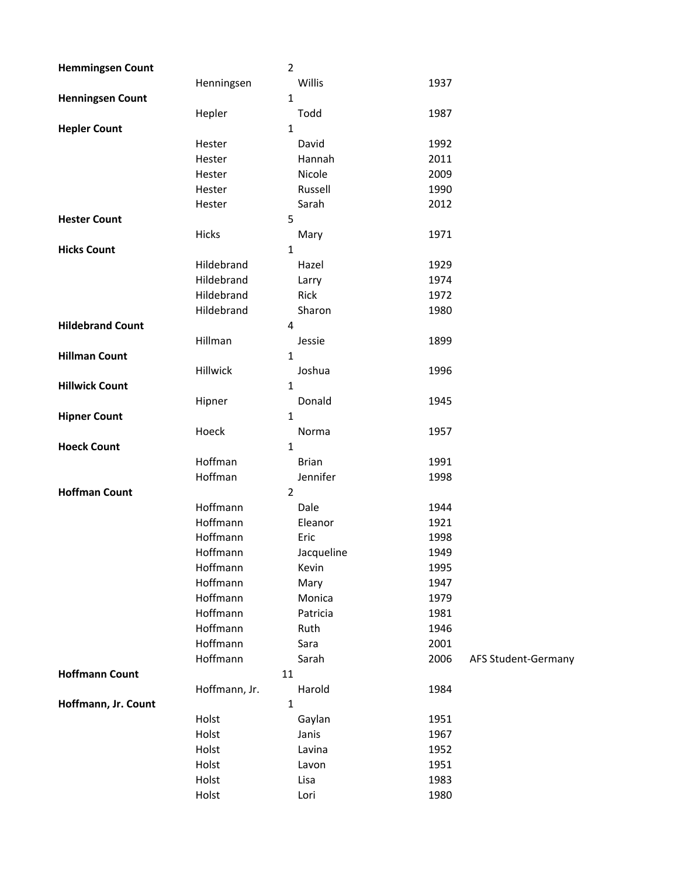| <b>Hemmingsen Count</b> |               | $\overline{2}$ |              |      |                     |
|-------------------------|---------------|----------------|--------------|------|---------------------|
|                         | Henningsen    |                | Willis       | 1937 |                     |
| <b>Henningsen Count</b> |               | $\mathbf{1}$   |              |      |                     |
|                         | Hepler        |                | Todd         | 1987 |                     |
| <b>Hepler Count</b>     |               | 1              |              |      |                     |
|                         | Hester        |                | David        | 1992 |                     |
|                         | Hester        |                | Hannah       | 2011 |                     |
|                         | Hester        |                | Nicole       | 2009 |                     |
|                         | Hester        |                | Russell      | 1990 |                     |
|                         | Hester        |                | Sarah        | 2012 |                     |
| <b>Hester Count</b>     |               | 5              |              |      |                     |
|                         | Hicks         |                | Mary         | 1971 |                     |
| <b>Hicks Count</b>      |               | 1              |              |      |                     |
|                         | Hildebrand    |                | Hazel        | 1929 |                     |
|                         | Hildebrand    |                | Larry        | 1974 |                     |
|                         | Hildebrand    |                | Rick         | 1972 |                     |
|                         | Hildebrand    |                | Sharon       | 1980 |                     |
| <b>Hildebrand Count</b> |               | 4              |              |      |                     |
|                         | Hillman       |                | Jessie       | 1899 |                     |
| <b>Hillman Count</b>    |               | 1              |              |      |                     |
|                         | Hillwick      |                | Joshua       | 1996 |                     |
| <b>Hillwick Count</b>   |               | 1              |              |      |                     |
|                         | Hipner        |                | Donald       | 1945 |                     |
| <b>Hipner Count</b>     |               | $\mathbf{1}$   |              |      |                     |
|                         | Hoeck         |                | Norma        | 1957 |                     |
| <b>Hoeck Count</b>      |               | 1              |              |      |                     |
|                         | Hoffman       |                | <b>Brian</b> | 1991 |                     |
|                         | Hoffman       |                | Jennifer     | 1998 |                     |
| <b>Hoffman Count</b>    |               | $\overline{2}$ |              |      |                     |
|                         | Hoffmann      |                | Dale         | 1944 |                     |
|                         | Hoffmann      |                | Eleanor      | 1921 |                     |
|                         | Hoffmann      |                | Eric         | 1998 |                     |
|                         | Hoffmann      |                | Jacqueline   | 1949 |                     |
|                         | Hoffmann      |                | Kevin        | 1995 |                     |
|                         | Hoffmann      |                | Mary         | 1947 |                     |
|                         | Hoffmann      |                | Monica       | 1979 |                     |
|                         | Hoffmann      |                | Patricia     | 1981 |                     |
|                         | Hoffmann      |                | Ruth         | 1946 |                     |
|                         | Hoffmann      |                | Sara         | 2001 |                     |
|                         | Hoffmann      |                | Sarah        | 2006 | AFS Student-Germany |
| <b>Hoffmann Count</b>   |               | 11             |              |      |                     |
|                         | Hoffmann, Jr. |                | Harold       | 1984 |                     |
| Hoffmann, Jr. Count     |               | $\mathbf 1$    |              |      |                     |
|                         | Holst         |                | Gaylan       | 1951 |                     |
|                         | Holst         |                | Janis        | 1967 |                     |
|                         | Holst         |                | Lavina       | 1952 |                     |
|                         | Holst         |                | Lavon        | 1951 |                     |
|                         | Holst         |                | Lisa         | 1983 |                     |
|                         | Holst         |                | Lori         | 1980 |                     |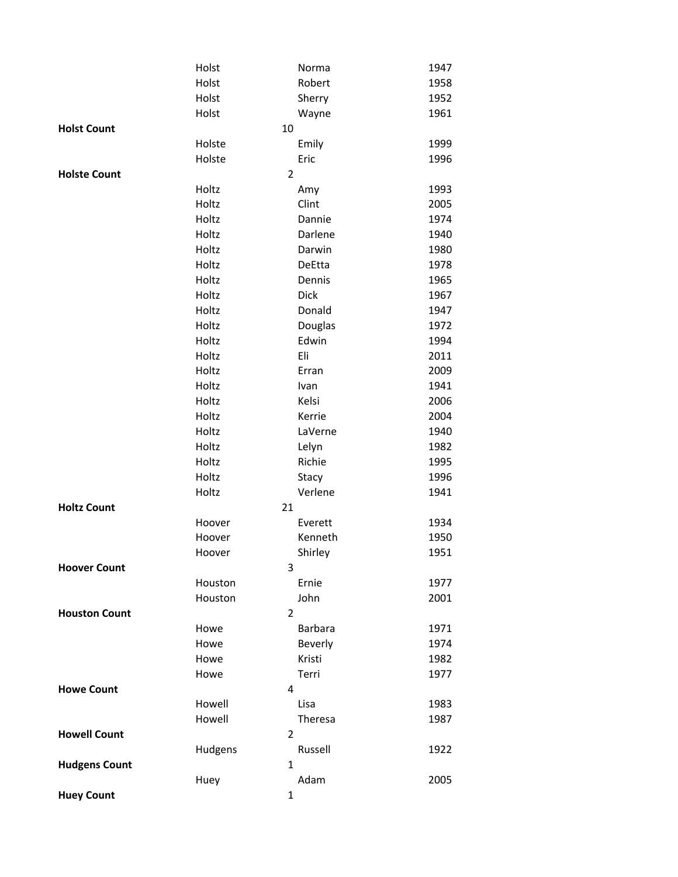|                      | Holst   |                | Norma          | 1947 |
|----------------------|---------|----------------|----------------|------|
|                      | Holst   |                | Robert         | 1958 |
|                      | Holst   |                | Sherry         | 1952 |
|                      | Holst   |                | Wayne          | 1961 |
| <b>Holst Count</b>   |         | 10             |                |      |
|                      | Holste  |                | Emily          | 1999 |
|                      | Holste  |                | Eric           | 1996 |
| <b>Holste Count</b>  |         | $\overline{2}$ |                |      |
|                      | Holtz   |                | Amy            | 1993 |
|                      | Holtz   |                | Clint          | 2005 |
|                      | Holtz   |                | Dannie         | 1974 |
|                      | Holtz   |                | Darlene        | 1940 |
|                      | Holtz   |                | Darwin         | 1980 |
|                      | Holtz   |                | DeEtta         | 1978 |
|                      | Holtz   |                | Dennis         | 1965 |
|                      | Holtz   |                | <b>Dick</b>    | 1967 |
|                      | Holtz   |                | Donald         | 1947 |
|                      | Holtz   |                | Douglas        | 1972 |
|                      | Holtz   |                | Edwin          | 1994 |
|                      | Holtz   |                | Eli            | 2011 |
|                      | Holtz   |                | Erran          | 2009 |
|                      | Holtz   |                | Ivan           | 1941 |
|                      | Holtz   |                | Kelsi          | 2006 |
|                      | Holtz   |                | Kerrie         | 2004 |
|                      | Holtz   |                | LaVerne        | 1940 |
|                      | Holtz   |                | Lelyn          | 1982 |
|                      | Holtz   |                | Richie         | 1995 |
|                      | Holtz   |                | Stacy          | 1996 |
|                      | Holtz   |                | Verlene        | 1941 |
| <b>Holtz Count</b>   |         | 21             |                |      |
|                      | Hoover  |                | Everett        | 1934 |
|                      | Hoover  |                | Kenneth        | 1950 |
|                      | Hoover  |                | Shirley        | 1951 |
| <b>Hoover Count</b>  |         | 3              |                |      |
|                      | Houston |                | Ernie          | 1977 |
|                      | Houston |                | John           | 2001 |
| <b>Houston Count</b> |         | $\overline{2}$ |                |      |
|                      | Howe    |                | <b>Barbara</b> | 1971 |
|                      | Howe    |                | Beverly        | 1974 |
|                      | Howe    |                | Kristi         | 1982 |
|                      | Howe    |                | Terri          | 1977 |
| <b>Howe Count</b>    |         | 4              |                |      |
|                      | Howell  |                | Lisa           | 1983 |
|                      | Howell  |                | Theresa        | 1987 |
| <b>Howell Count</b>  |         | 2              |                |      |
|                      | Hudgens |                | Russell        | 1922 |
| <b>Hudgens Count</b> |         | 1              |                |      |
|                      | Huey    |                | Adam           | 2005 |
| <b>Huey Count</b>    |         | $\mathbf{1}$   |                |      |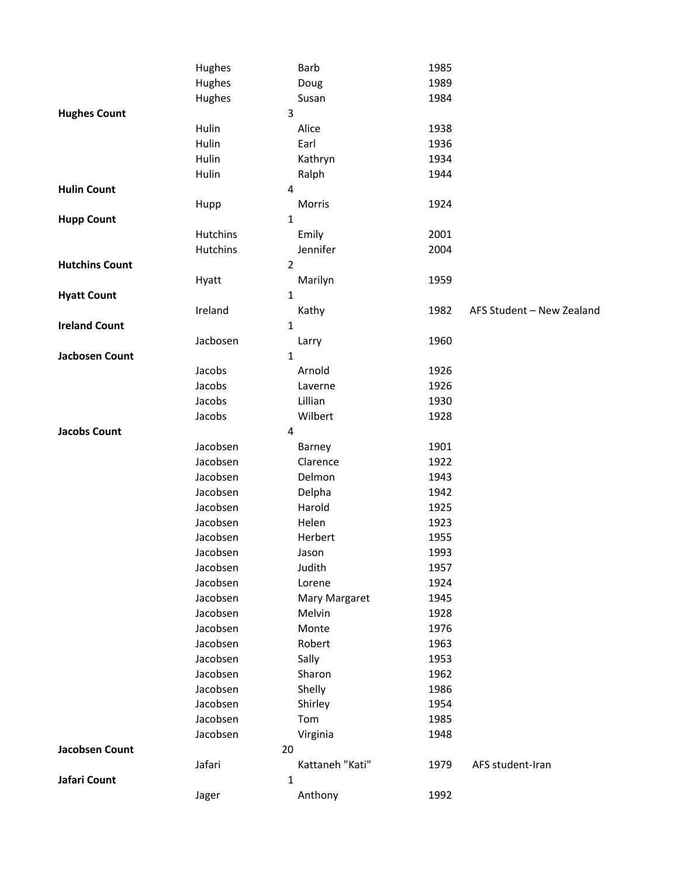|                       | Hughes         | Barb            | 1985 |                           |
|-----------------------|----------------|-----------------|------|---------------------------|
|                       | Hughes         | Doug            | 1989 |                           |
|                       | Hughes         | Susan           | 1984 |                           |
| <b>Hughes Count</b>   | 3              |                 |      |                           |
|                       | Hulin          | Alice           | 1938 |                           |
|                       | Hulin          | Earl            | 1936 |                           |
|                       | Hulin          | Kathryn         | 1934 |                           |
|                       | Hulin          | Ralph           | 1944 |                           |
| <b>Hulin Count</b>    | 4              |                 |      |                           |
|                       | Hupp           | Morris          | 1924 |                           |
| <b>Hupp Count</b>     | 1              |                 |      |                           |
|                       | Hutchins       | Emily           | 2001 |                           |
|                       | Hutchins       | Jennifer        | 2004 |                           |
| <b>Hutchins Count</b> | $\overline{2}$ |                 |      |                           |
|                       | Hyatt          | Marilyn         | 1959 |                           |
| <b>Hyatt Count</b>    | $\mathbf{1}$   |                 |      |                           |
|                       | Ireland        | Kathy           | 1982 | AFS Student - New Zealand |
| <b>Ireland Count</b>  | $\mathbf{1}$   |                 |      |                           |
|                       | Jacbosen       | Larry           | 1960 |                           |
| <b>Jacbosen Count</b> | 1              |                 |      |                           |
|                       | Jacobs         | Arnold          | 1926 |                           |
|                       | Jacobs         | Laverne         | 1926 |                           |
|                       | Jacobs         | Lillian         | 1930 |                           |
|                       | Jacobs         | Wilbert         | 1928 |                           |
| <b>Jacobs Count</b>   | 4              |                 |      |                           |
|                       | Jacobsen       | Barney          | 1901 |                           |
|                       | Jacobsen       | Clarence        | 1922 |                           |
|                       | Jacobsen       | Delmon          | 1943 |                           |
|                       | Jacobsen       | Delpha          | 1942 |                           |
|                       | Jacobsen       | Harold          | 1925 |                           |
|                       | Jacobsen       | Helen           | 1923 |                           |
|                       | Jacobsen       | Herbert         | 1955 |                           |
|                       | Jacobsen       | Jason           | 1993 |                           |
|                       | Jacobsen       | Judith          | 1957 |                           |
|                       | Jacobsen       | Lorene          | 1924 |                           |
|                       | Jacobsen       | Mary Margaret   | 1945 |                           |
|                       | Jacobsen       | Melvin          | 1928 |                           |
|                       | Jacobsen       | Monte           | 1976 |                           |
|                       | Jacobsen       | Robert          | 1963 |                           |
|                       | Jacobsen       | Sally           | 1953 |                           |
|                       | Jacobsen       | Sharon          | 1962 |                           |
|                       | Jacobsen       | Shelly          | 1986 |                           |
|                       | Jacobsen       | Shirley         | 1954 |                           |
|                       | Jacobsen       | Tom             | 1985 |                           |
|                       | Jacobsen       | Virginia        | 1948 |                           |
| <b>Jacobsen Count</b> | 20             |                 |      |                           |
|                       | Jafari         | Kattaneh "Kati" | 1979 | AFS student-Iran          |
| Jafari Count          | 1              |                 |      |                           |
|                       | Jager          | Anthony         | 1992 |                           |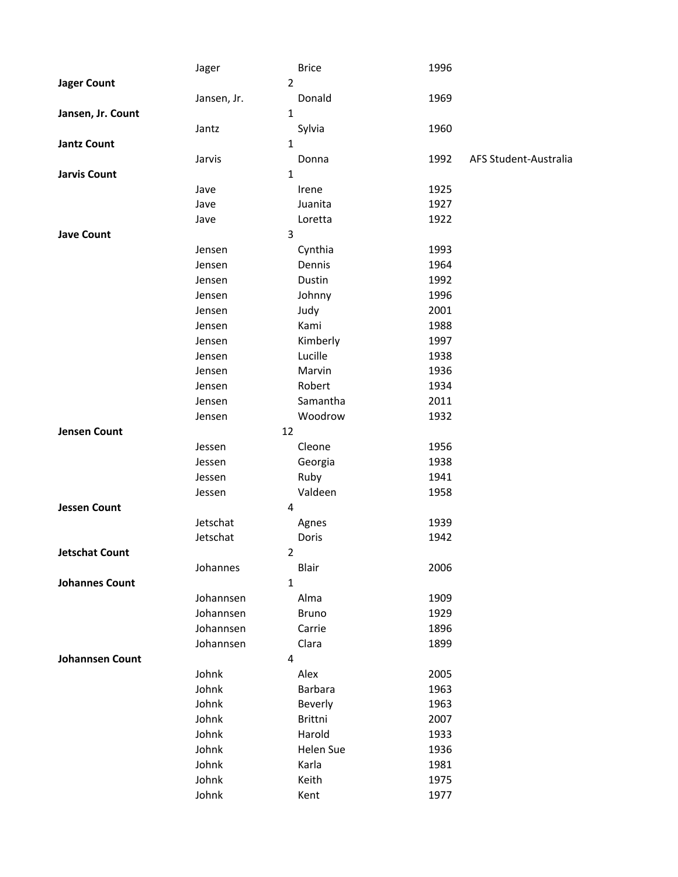|                        | Jager          | <b>Brice</b>   | 1996                          |
|------------------------|----------------|----------------|-------------------------------|
| <b>Jager Count</b>     | $\overline{2}$ |                |                               |
|                        | Jansen, Jr.    | Donald         | 1969                          |
| Jansen, Jr. Count      | $\mathbf{1}$   |                |                               |
|                        | Jantz          | Sylvia         | 1960                          |
| <b>Jantz Count</b>     | $\mathbf{1}$   |                |                               |
|                        | Jarvis         | Donna          | 1992<br>AFS Student-Australia |
| <b>Jarvis Count</b>    | $\mathbf{1}$   |                |                               |
|                        | Jave           | Irene          | 1925                          |
|                        | Jave           | Juanita        | 1927                          |
|                        | Jave           | Loretta        | 1922                          |
| <b>Jave Count</b>      | 3              |                |                               |
|                        | Jensen         | Cynthia        | 1993                          |
|                        | Jensen         | Dennis         | 1964                          |
|                        | Jensen         | Dustin         | 1992                          |
|                        | Jensen         | Johnny         | 1996                          |
|                        | Jensen         | Judy           | 2001                          |
|                        | Jensen         | Kami           | 1988                          |
|                        | Jensen         | Kimberly       | 1997                          |
|                        | Jensen         | Lucille        | 1938                          |
|                        | Jensen         | Marvin         | 1936                          |
|                        | Jensen         | Robert         | 1934                          |
|                        | Jensen         | Samantha       | 2011                          |
|                        | Jensen         | Woodrow        | 1932                          |
| <b>Jensen Count</b>    | 12             |                |                               |
|                        | Jessen         | Cleone         | 1956                          |
|                        | Jessen         | Georgia        | 1938                          |
|                        | Jessen         | Ruby           | 1941                          |
|                        | Jessen         | Valdeen        | 1958                          |
| <b>Jessen Count</b>    | 4              |                |                               |
|                        | Jetschat       | Agnes          | 1939                          |
|                        | Jetschat       | Doris          | 1942                          |
| <b>Jetschat Count</b>  | $\mathbf 2$    |                |                               |
|                        | Johannes       | Blair          | 2006                          |
| <b>Johannes Count</b>  | $\mathbf{1}$   |                |                               |
|                        | Johannsen      | Alma           | 1909                          |
|                        | Johannsen      | <b>Bruno</b>   | 1929                          |
|                        | Johannsen      | Carrie         | 1896                          |
|                        | Johannsen      | Clara          | 1899                          |
| <b>Johannsen Count</b> | 4              |                |                               |
|                        | Johnk          | Alex           | 2005                          |
|                        | Johnk          | <b>Barbara</b> | 1963                          |
|                        | Johnk          | Beverly        | 1963                          |
|                        | Johnk          | Brittni        | 2007                          |
|                        | Johnk          | Harold         | 1933                          |
|                        | Johnk          | Helen Sue      | 1936                          |
|                        | Johnk          | Karla          | 1981                          |
|                        | Johnk          | Keith          | 1975                          |
|                        | Johnk          | Kent           | 1977                          |
|                        |                |                |                               |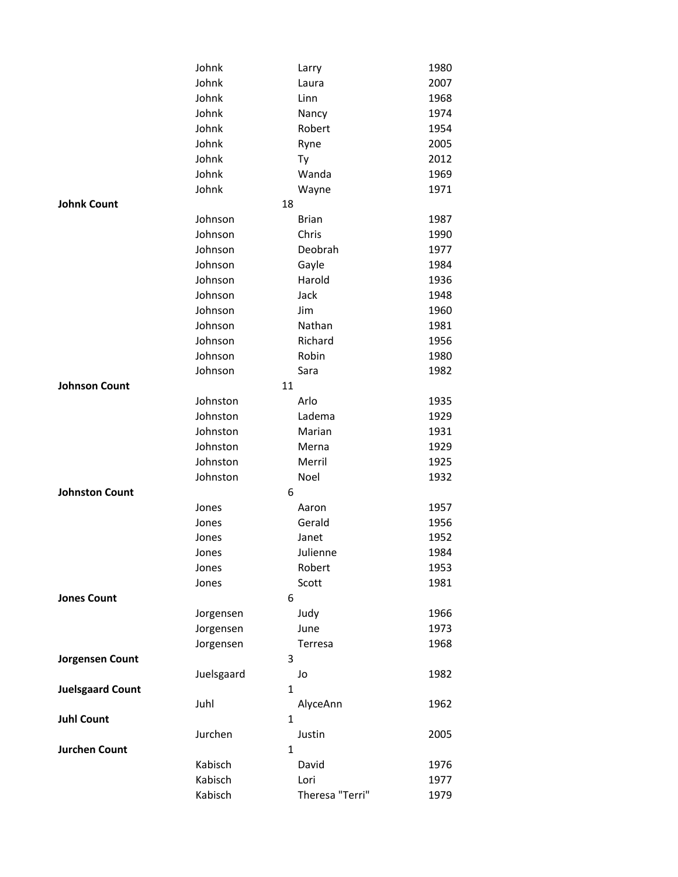|                         | Johnk      | Larry           | 1980 |
|-------------------------|------------|-----------------|------|
|                         | Johnk      | Laura           | 2007 |
|                         | Johnk      | Linn            | 1968 |
|                         | Johnk      | Nancy           | 1974 |
|                         | Johnk      | Robert          | 1954 |
|                         | Johnk      | Ryne            | 2005 |
|                         | Johnk      | Ty              | 2012 |
|                         | Johnk      | Wanda           | 1969 |
|                         | Johnk      | Wayne           | 1971 |
| <b>Johnk Count</b>      |            | 18              |      |
|                         | Johnson    | <b>Brian</b>    | 1987 |
|                         | Johnson    | Chris           | 1990 |
|                         | Johnson    | Deobrah         | 1977 |
|                         | Johnson    | Gayle           | 1984 |
|                         | Johnson    | Harold          | 1936 |
|                         | Johnson    | Jack            | 1948 |
|                         | Johnson    | Jim             | 1960 |
|                         | Johnson    | Nathan          | 1981 |
|                         | Johnson    | Richard         | 1956 |
|                         | Johnson    | Robin           | 1980 |
|                         | Johnson    | Sara            | 1982 |
| <b>Johnson Count</b>    |            | 11              |      |
|                         | Johnston   | Arlo            | 1935 |
|                         | Johnston   | Ladema          | 1929 |
|                         | Johnston   | Marian          | 1931 |
|                         | Johnston   | Merna           | 1929 |
|                         | Johnston   | Merril          | 1925 |
|                         | Johnston   | Noel            | 1932 |
| <b>Johnston Count</b>   |            | 6               |      |
|                         | Jones      | Aaron           | 1957 |
|                         | Jones      | Gerald          | 1956 |
|                         | Jones      | Janet           | 1952 |
|                         | Jones      | Julienne        | 1984 |
|                         | Jones      | Robert          | 1953 |
|                         | Jones      | Scott           | 1981 |
| <b>Jones Count</b>      |            | 6               |      |
|                         | Jorgensen  | Judy            | 1966 |
|                         | Jorgensen  | June            | 1973 |
|                         | Jorgensen  | Terresa         | 1968 |
| Jorgensen Count         |            | 3               |      |
|                         | Juelsgaard | Jo              | 1982 |
| <b>Juelsgaard Count</b> |            | $\mathbf{1}$    |      |
|                         | Juhl       | AlyceAnn        | 1962 |
| <b>Juhl Count</b>       |            | $\mathbf{1}$    |      |
|                         | Jurchen    | Justin          | 2005 |
| <b>Jurchen Count</b>    |            | $\mathbf{1}$    |      |
|                         | Kabisch    | David           | 1976 |
|                         | Kabisch    | Lori            | 1977 |
|                         | Kabisch    | Theresa "Terri" | 1979 |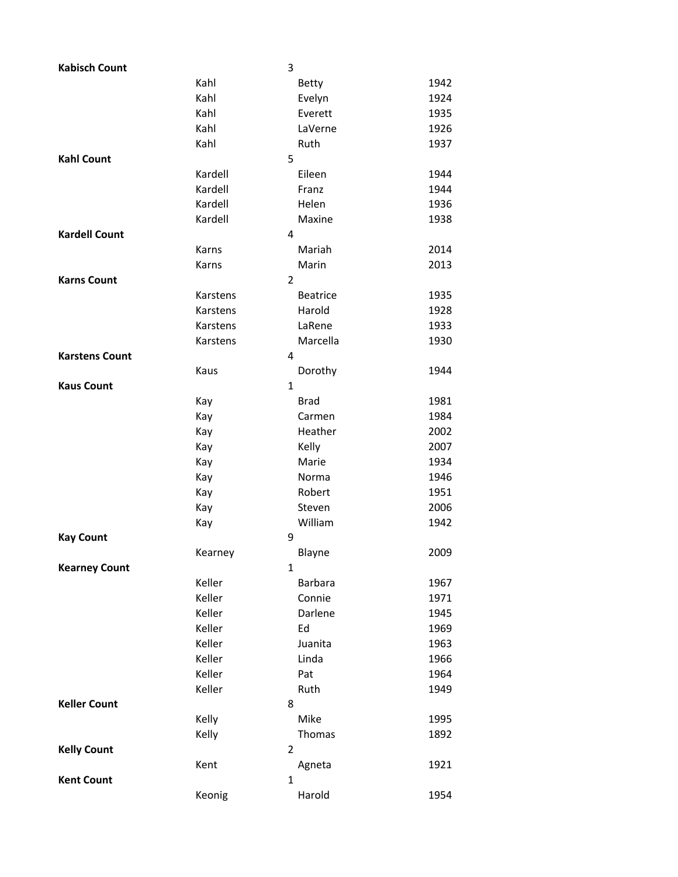| <b>Kabisch Count</b>  |          | 3              |                 |      |
|-----------------------|----------|----------------|-----------------|------|
|                       | Kahl     |                | <b>Betty</b>    | 1942 |
|                       | Kahl     |                | Evelyn          | 1924 |
|                       | Kahl     |                | Everett         | 1935 |
|                       | Kahl     |                | LaVerne         | 1926 |
|                       | Kahl     |                | Ruth            | 1937 |
| <b>Kahl Count</b>     |          | 5              |                 |      |
|                       | Kardell  |                | Eileen          | 1944 |
|                       | Kardell  |                | Franz           | 1944 |
|                       | Kardell  |                | Helen           | 1936 |
|                       | Kardell  |                | Maxine          | 1938 |
| <b>Kardell Count</b>  |          | 4              |                 |      |
|                       | Karns    |                | Mariah          | 2014 |
|                       | Karns    |                | Marin           | 2013 |
| <b>Karns Count</b>    |          | 2              |                 |      |
|                       | Karstens |                | <b>Beatrice</b> | 1935 |
|                       | Karstens |                | Harold          | 1928 |
|                       | Karstens |                | LaRene          | 1933 |
|                       | Karstens |                | Marcella        | 1930 |
| <b>Karstens Count</b> |          | 4              |                 |      |
|                       | Kaus     |                | Dorothy         | 1944 |
| <b>Kaus Count</b>     |          | $\mathbf{1}$   |                 |      |
|                       | Kay      |                | <b>Brad</b>     | 1981 |
|                       | Kay      |                | Carmen          | 1984 |
|                       | Kay      |                | Heather         | 2002 |
|                       | Kay      |                | Kelly           | 2007 |
|                       | Kay      |                | Marie           | 1934 |
|                       | Kay      |                | Norma           | 1946 |
|                       | Kay      |                | Robert          | 1951 |
|                       | Kay      |                | Steven          | 2006 |
|                       | Kay      |                | William         | 1942 |
| <b>Kay Count</b>      |          | 9              |                 |      |
|                       | Kearney  |                | Blayne          | 2009 |
| <b>Kearney Count</b>  |          | 1              |                 |      |
|                       | Keller   |                | Barbara         | 1967 |
|                       | Keller   |                | Connie          | 1971 |
|                       | Keller   |                | Darlene         | 1945 |
|                       | Keller   |                | Ed              | 1969 |
|                       | Keller   |                | Juanita         | 1963 |
|                       | Keller   |                | Linda           | 1966 |
|                       | Keller   |                | Pat             | 1964 |
|                       | Keller   |                | Ruth            | 1949 |
| <b>Keller Count</b>   |          | 8              |                 |      |
|                       | Kelly    |                | Mike            | 1995 |
|                       | Kelly    |                | Thomas          | 1892 |
| <b>Kelly Count</b>    |          | $\overline{2}$ |                 |      |
|                       | Kent     | 1              | Agneta          | 1921 |
| <b>Kent Count</b>     |          |                |                 |      |
|                       | Keonig   |                | Harold          | 1954 |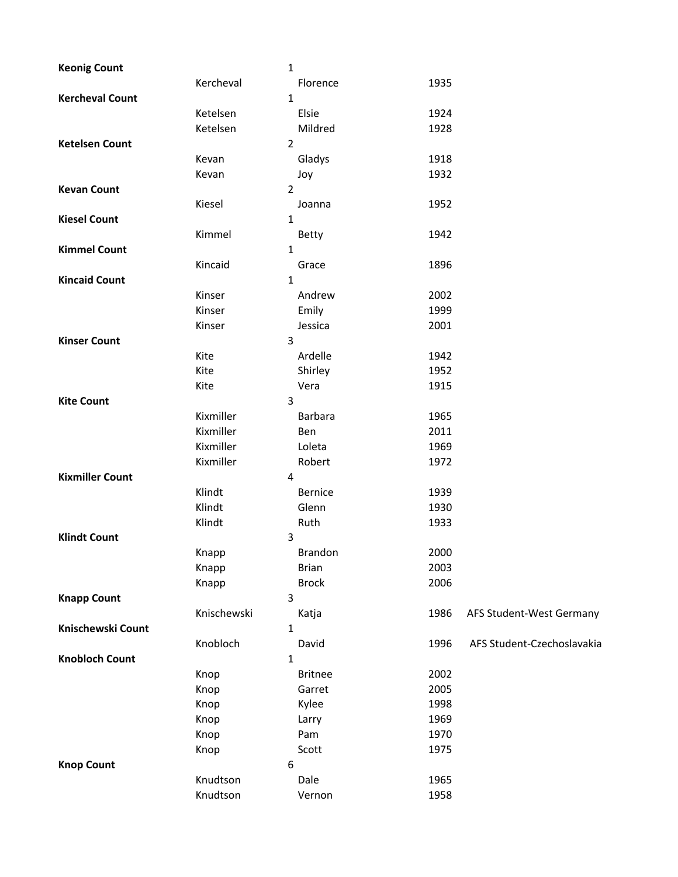| <b>Keonig Count</b>    | $\mathbf{1}$   |                |      |                            |
|------------------------|----------------|----------------|------|----------------------------|
|                        | Kercheval      | Florence       | 1935 |                            |
| <b>Kercheval Count</b> | $\mathbf{1}$   |                |      |                            |
|                        | Ketelsen       | Elsie          | 1924 |                            |
|                        | Ketelsen       | Mildred        | 1928 |                            |
| <b>Ketelsen Count</b>  | $\overline{2}$ |                |      |                            |
|                        | Kevan          | Gladys         | 1918 |                            |
|                        | Kevan          | Joy            | 1932 |                            |
| <b>Kevan Count</b>     | $\overline{2}$ |                |      |                            |
|                        | Kiesel         | Joanna         | 1952 |                            |
| <b>Kiesel Count</b>    | $\mathbf{1}$   |                |      |                            |
|                        | Kimmel         | <b>Betty</b>   | 1942 |                            |
| <b>Kimmel Count</b>    | 1              |                |      |                            |
|                        | Kincaid        | Grace          | 1896 |                            |
| <b>Kincaid Count</b>   | 1              |                |      |                            |
|                        | Kinser         | Andrew         | 2002 |                            |
|                        | Kinser         | Emily          | 1999 |                            |
|                        | Kinser         | Jessica        | 2001 |                            |
| <b>Kinser Count</b>    | 3              |                |      |                            |
|                        | Kite           | Ardelle        | 1942 |                            |
|                        | Kite           | Shirley        | 1952 |                            |
|                        | Kite           | Vera           | 1915 |                            |
| <b>Kite Count</b>      | 3              |                |      |                            |
|                        | Kixmiller      | Barbara        | 1965 |                            |
|                        | Kixmiller      | Ben            | 2011 |                            |
|                        | Kixmiller      | Loleta         | 1969 |                            |
|                        | Kixmiller      | Robert         | 1972 |                            |
| <b>Kixmiller Count</b> | 4              |                |      |                            |
|                        | Klindt         | Bernice        | 1939 |                            |
|                        | Klindt         | Glenn          | 1930 |                            |
|                        | Klindt         | Ruth           | 1933 |                            |
| <b>Klindt Count</b>    | 3              |                |      |                            |
|                        | Knapp          | <b>Brandon</b> | 2000 |                            |
|                        | Knapp          | <b>Brian</b>   | 2003 |                            |
|                        | Knapp          | <b>Brock</b>   | 2006 |                            |
| <b>Knapp Count</b>     | 3              |                |      |                            |
|                        | Knischewski    | Katja          | 1986 | AFS Student-West Germany   |
| Knischewski Count      | 1              |                |      |                            |
|                        | Knobloch       | David          | 1996 | AFS Student-Czechoslavakia |
| <b>Knobloch Count</b>  | 1              |                |      |                            |
|                        | Knop           | <b>Britnee</b> | 2002 |                            |
|                        | Knop           | Garret         | 2005 |                            |
|                        | Knop           | Kylee          | 1998 |                            |
|                        | Knop           | Larry          | 1969 |                            |
|                        | Knop           | Pam            | 1970 |                            |
|                        | Knop           | Scott          | 1975 |                            |
| <b>Knop Count</b>      | 6              |                |      |                            |
|                        | Knudtson       | Dale           | 1965 |                            |
|                        | Knudtson       | Vernon         | 1958 |                            |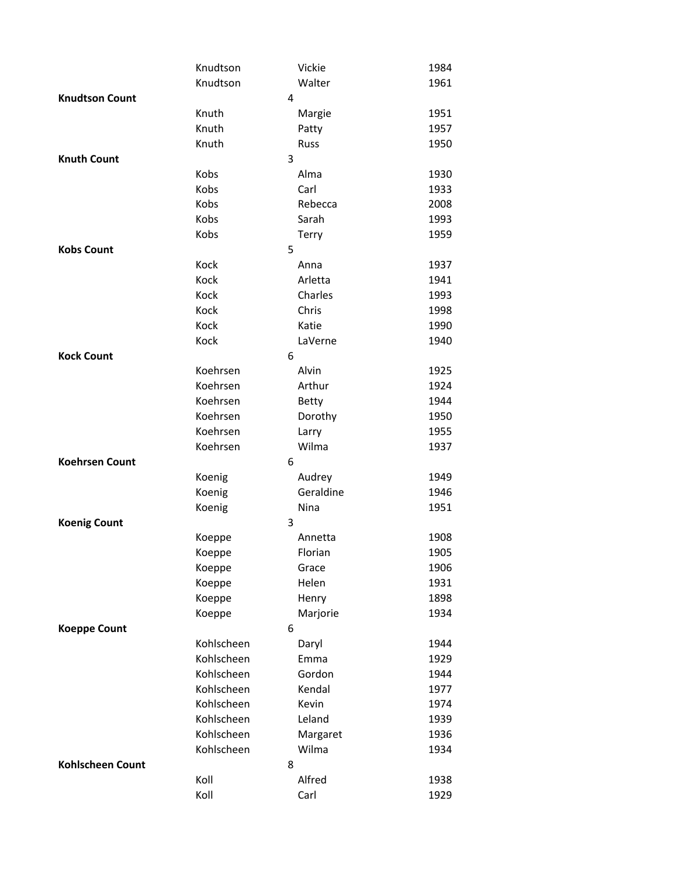|                       | Knudtson   |   | Vickie       | 1984 |
|-----------------------|------------|---|--------------|------|
|                       | Knudtson   |   | Walter       | 1961 |
| <b>Knudtson Count</b> |            | 4 |              |      |
|                       | Knuth      |   | Margie       | 1951 |
|                       | Knuth      |   | Patty        | 1957 |
|                       | Knuth      |   | Russ         | 1950 |
| <b>Knuth Count</b>    |            | 3 |              |      |
|                       | Kobs       |   | Alma         | 1930 |
|                       | Kobs       |   | Carl         | 1933 |
|                       | Kobs       |   | Rebecca      | 2008 |
|                       | Kobs       |   | Sarah        | 1993 |
|                       | Kobs       |   | Terry        | 1959 |
| <b>Kobs Count</b>     |            | 5 |              |      |
|                       | Kock       |   | Anna         | 1937 |
|                       | Kock       |   | Arletta      | 1941 |
|                       | Kock       |   | Charles      | 1993 |
|                       | Kock       |   | Chris        | 1998 |
|                       | Kock       |   | Katie        | 1990 |
|                       | Kock       |   | LaVerne      | 1940 |
| <b>Kock Count</b>     |            | 6 |              |      |
|                       | Koehrsen   |   | Alvin        | 1925 |
|                       | Koehrsen   |   | Arthur       | 1924 |
|                       | Koehrsen   |   | <b>Betty</b> | 1944 |
|                       | Koehrsen   |   | Dorothy      | 1950 |
|                       | Koehrsen   |   | Larry        | 1955 |
|                       | Koehrsen   |   | Wilma        | 1937 |
| <b>Koehrsen Count</b> |            | 6 |              |      |
|                       | Koenig     |   | Audrey       | 1949 |
|                       | Koenig     |   | Geraldine    | 1946 |
|                       | Koenig     |   | Nina         | 1951 |
| <b>Koenig Count</b>   |            | 3 |              |      |
|                       | Koeppe     |   | Annetta      | 1908 |
|                       | Koeppe     |   | Florian      | 1905 |
|                       | Koeppe     |   | Grace        | 1906 |
|                       | Koeppe     |   | Helen        | 1931 |
|                       | Koeppe     |   | Henry        | 1898 |
|                       | Koeppe     |   | Marjorie     | 1934 |
| <b>Koeppe Count</b>   |            | 6 |              |      |
|                       | Kohlscheen |   | Daryl        | 1944 |
|                       | Kohlscheen |   | Emma         | 1929 |
|                       | Kohlscheen |   | Gordon       | 1944 |
|                       | Kohlscheen |   | Kendal       | 1977 |
|                       | Kohlscheen |   | Kevin        | 1974 |
|                       | Kohlscheen |   | Leland       | 1939 |
|                       | Kohlscheen |   | Margaret     | 1936 |
|                       | Kohlscheen |   | Wilma        | 1934 |
| Kohlscheen Count      |            | 8 |              |      |
|                       | Koll       |   | Alfred       | 1938 |
|                       | Koll       |   | Carl         | 1929 |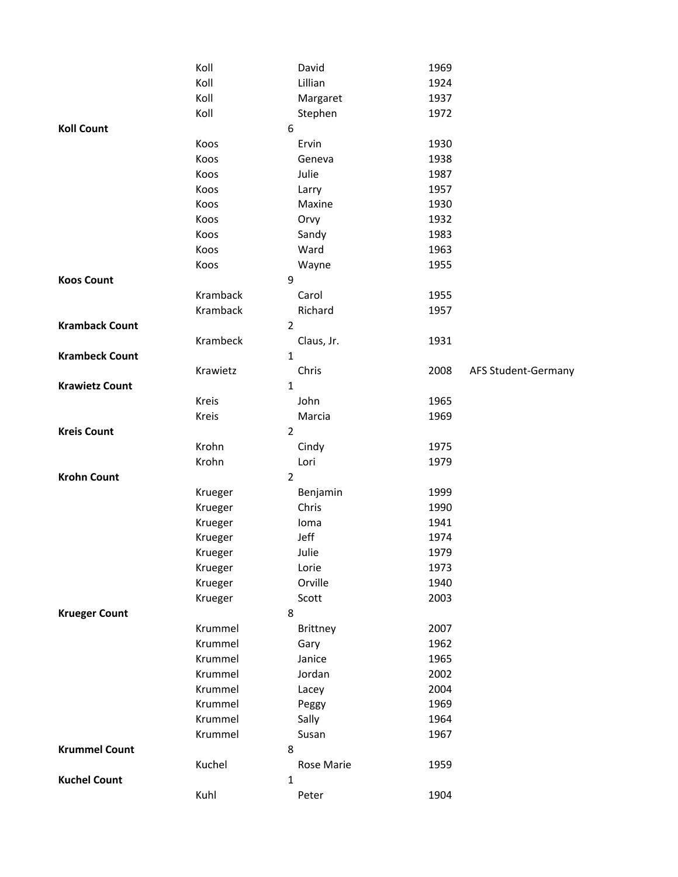|                       | Koll           | David      | 1969 |                     |
|-----------------------|----------------|------------|------|---------------------|
|                       | Koll           | Lillian    | 1924 |                     |
|                       | Koll           | Margaret   | 1937 |                     |
|                       | Koll           | Stephen    | 1972 |                     |
| <b>Koll Count</b>     | 6              |            |      |                     |
|                       | Koos           | Ervin      | 1930 |                     |
|                       | Koos           | Geneva     | 1938 |                     |
|                       | Koos           | Julie      | 1987 |                     |
|                       | Koos           | Larry      | 1957 |                     |
|                       | Koos           | Maxine     | 1930 |                     |
|                       | Koos           | Orvy       | 1932 |                     |
|                       | Koos           | Sandy      | 1983 |                     |
|                       | Koos           | Ward       | 1963 |                     |
|                       | Koos           | Wayne      | 1955 |                     |
| <b>Koos Count</b>     | 9              |            |      |                     |
|                       | Kramback       | Carol      | 1955 |                     |
|                       | Kramback       | Richard    | 1957 |                     |
| <b>Kramback Count</b> | $\overline{2}$ |            |      |                     |
|                       | Krambeck       | Claus, Jr. | 1931 |                     |
| <b>Krambeck Count</b> | $\mathbf{1}$   |            |      |                     |
|                       | Krawietz       | Chris      | 2008 | AFS Student-Germany |
| <b>Krawietz Count</b> | $\mathbf{1}$   |            |      |                     |
|                       | Kreis          | John       | 1965 |                     |
|                       | Kreis          | Marcia     | 1969 |                     |
| <b>Kreis Count</b>    | $\overline{2}$ |            |      |                     |
|                       | Krohn          | Cindy      | 1975 |                     |
|                       | Krohn          | Lori       | 1979 |                     |
| <b>Krohn Count</b>    | $\overline{2}$ |            |      |                     |
|                       | Krueger        | Benjamin   | 1999 |                     |
|                       | Krueger        | Chris      | 1990 |                     |
|                       | Krueger        | Ioma       | 1941 |                     |
|                       | Krueger        | Jeff       | 1974 |                     |
|                       | Krueger        | Julie      | 1979 |                     |
|                       | Krueger        | Lorie      | 1973 |                     |
|                       | Krueger        | Orville    | 1940 |                     |
|                       | Krueger        | Scott      | 2003 |                     |
| <b>Krueger Count</b>  | 8              |            |      |                     |
|                       | Krummel        | Brittney   | 2007 |                     |
|                       | Krummel        | Gary       | 1962 |                     |
|                       | Krummel        | Janice     | 1965 |                     |
|                       | Krummel        | Jordan     | 2002 |                     |
|                       | Krummel        | Lacey      | 2004 |                     |
|                       | Krummel        | Peggy      | 1969 |                     |
|                       | Krummel        | Sally      | 1964 |                     |
| <b>Krummel Count</b>  | Krummel<br>8   | Susan      | 1967 |                     |
|                       | Kuchel         | Rose Marie | 1959 |                     |
| <b>Kuchel Count</b>   | $\mathbf{1}$   |            |      |                     |
|                       | Kuhl           | Peter      | 1904 |                     |
|                       |                |            |      |                     |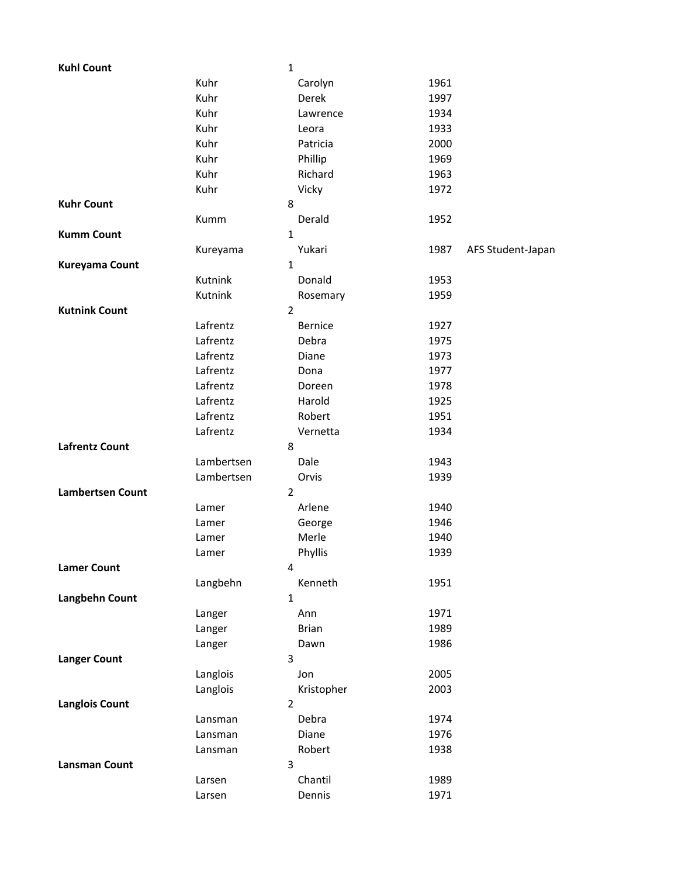| <b>Kuhl Count</b>       |            | $\mathbf 1$    |                |      |                   |
|-------------------------|------------|----------------|----------------|------|-------------------|
|                         | Kuhr       |                | Carolyn        | 1961 |                   |
|                         | Kuhr       |                | Derek          | 1997 |                   |
|                         | Kuhr       |                | Lawrence       | 1934 |                   |
|                         | Kuhr       |                | Leora          | 1933 |                   |
|                         | Kuhr       |                | Patricia       | 2000 |                   |
|                         | Kuhr       |                | Phillip        | 1969 |                   |
|                         | Kuhr       |                | Richard        | 1963 |                   |
|                         | Kuhr       |                | Vicky          | 1972 |                   |
| <b>Kuhr Count</b>       |            | 8              |                |      |                   |
|                         | Kumm       |                | Derald         | 1952 |                   |
| <b>Kumm Count</b>       |            | $\mathbf{1}$   |                |      |                   |
|                         | Kureyama   |                | Yukari         | 1987 | AFS Student-Japan |
| <b>Kureyama Count</b>   |            | $\mathbf{1}$   |                |      |                   |
|                         | Kutnink    |                | Donald         | 1953 |                   |
|                         | Kutnink    |                | Rosemary       | 1959 |                   |
| <b>Kutnink Count</b>    |            | $\overline{2}$ |                |      |                   |
|                         | Lafrentz   |                | <b>Bernice</b> | 1927 |                   |
|                         | Lafrentz   |                | Debra          | 1975 |                   |
|                         | Lafrentz   |                | Diane          | 1973 |                   |
|                         | Lafrentz   |                | Dona           | 1977 |                   |
|                         | Lafrentz   |                | Doreen         | 1978 |                   |
|                         | Lafrentz   |                | Harold         | 1925 |                   |
|                         | Lafrentz   |                | Robert         | 1951 |                   |
|                         | Lafrentz   |                | Vernetta       | 1934 |                   |
| <b>Lafrentz Count</b>   |            | 8              |                |      |                   |
|                         | Lambertsen |                | Dale           | 1943 |                   |
|                         | Lambertsen |                | Orvis          | 1939 |                   |
| <b>Lambertsen Count</b> |            | $\overline{2}$ |                |      |                   |
|                         | Lamer      |                | Arlene         | 1940 |                   |
|                         | Lamer      |                | George         | 1946 |                   |
|                         | Lamer      |                | Merle          | 1940 |                   |
|                         | Lamer      |                | Phyllis        | 1939 |                   |
| <b>Lamer Count</b>      |            | 4              |                |      |                   |
|                         | Langbehn   |                | Kenneth        | 1951 |                   |
| Langbehn Count          |            | $\mathbf 1$    |                |      |                   |
|                         | Langer     |                | Ann            | 1971 |                   |
|                         | Langer     |                | <b>Brian</b>   | 1989 |                   |
|                         | Langer     |                | Dawn           | 1986 |                   |
| <b>Langer Count</b>     |            | 3              |                |      |                   |
|                         | Langlois   |                | Jon            | 2005 |                   |
|                         | Langlois   |                | Kristopher     | 2003 |                   |
| <b>Langlois Count</b>   |            | $\overline{2}$ |                |      |                   |
|                         | Lansman    |                | Debra          | 1974 |                   |
|                         | Lansman    |                | Diane          | 1976 |                   |
|                         | Lansman    |                | Robert         | 1938 |                   |
| <b>Lansman Count</b>    |            | 3              |                |      |                   |
|                         | Larsen     |                | Chantil        | 1989 |                   |
|                         | Larsen     |                | Dennis         | 1971 |                   |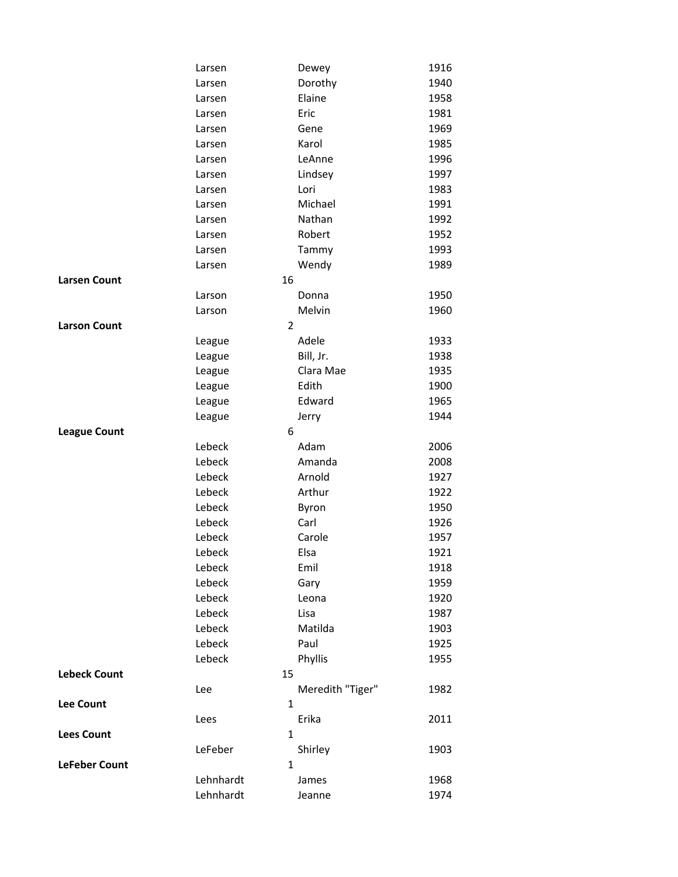|                      | Larsen           | Dewey            | 1916 |
|----------------------|------------------|------------------|------|
|                      | Larsen           | Dorothy          | 1940 |
|                      | Larsen           | Elaine           | 1958 |
|                      | Larsen           | Eric             | 1981 |
|                      | Larsen           | Gene             | 1969 |
|                      | Larsen           | Karol            | 1985 |
|                      | Larsen           | LeAnne           | 1996 |
|                      | Larsen           | Lindsey          | 1997 |
|                      | Larsen           | Lori             | 1983 |
|                      | Larsen           | Michael          | 1991 |
|                      | Larsen           | Nathan           | 1992 |
|                      | Larsen           | Robert           | 1952 |
|                      | Larsen           | Tammy            | 1993 |
|                      | Larsen           | Wendy            | 1989 |
| <b>Larsen Count</b>  | 16               |                  |      |
|                      | Larson           | Donna            | 1950 |
|                      | Larson           | Melvin           | 1960 |
| <b>Larson Count</b>  | $\overline{2}$   |                  |      |
|                      | League           | Adele            | 1933 |
|                      | League           | Bill, Jr.        | 1938 |
|                      | League           | Clara Mae        | 1935 |
|                      | League           | Edith            | 1900 |
|                      | League           | Edward           | 1965 |
|                      | League           | Jerry            | 1944 |
| <b>League Count</b>  | 6                |                  |      |
|                      | Lebeck           | Adam             | 2006 |
|                      | Lebeck           | Amanda           | 2008 |
|                      | Lebeck           | Arnold           | 1927 |
|                      | Lebeck           | Arthur           | 1922 |
|                      | Lebeck           | Byron            | 1950 |
|                      | Lebeck           | Carl             | 1926 |
|                      | Lebeck           | Carole           | 1957 |
|                      | Lebeck           | Elsa             | 1921 |
|                      | Lebeck           | Emil             | 1918 |
|                      | Lebeck           | Gary             | 1959 |
|                      | Lebeck<br>Lebeck | Leona            | 1920 |
|                      | Lebeck           | Lisa<br>Matilda  | 1987 |
|                      | Lebeck           | Paul             | 1903 |
|                      | Lebeck           |                  | 1925 |
| <b>Lebeck Count</b>  | 15               | Phyllis          | 1955 |
|                      | Lee              | Meredith "Tiger" | 1982 |
| <b>Lee Count</b>     | $\mathbf{1}$     |                  |      |
|                      | Lees             | Erika            | 2011 |
| <b>Lees Count</b>    | $\mathbf{1}$     |                  |      |
|                      | LeFeber          | Shirley          | 1903 |
| <b>LeFeber Count</b> | 1                |                  |      |
|                      | Lehnhardt        | James            | 1968 |
|                      | Lehnhardt        | Jeanne           | 1974 |
|                      |                  |                  |      |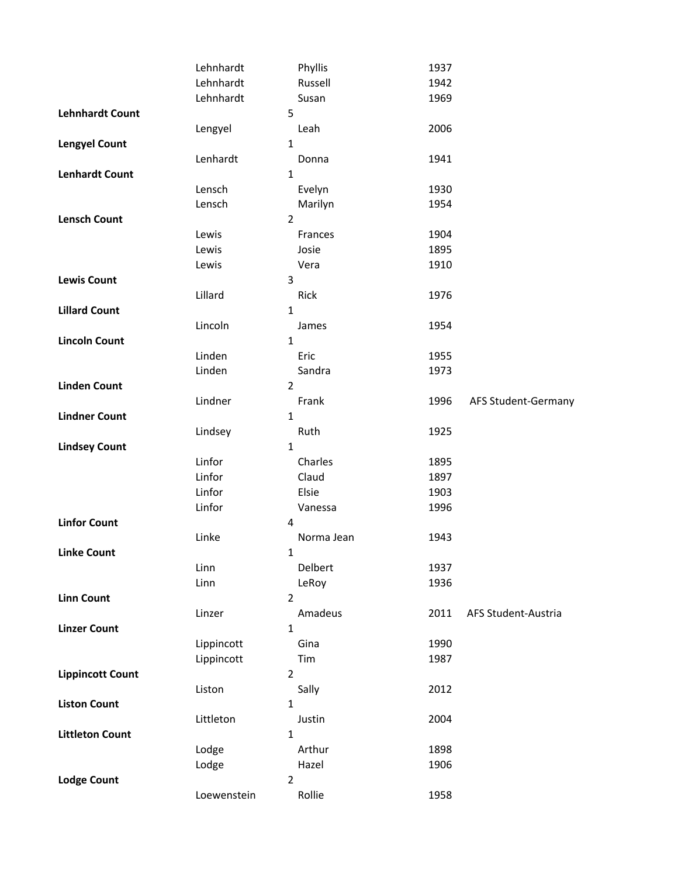|                         | Lehnhardt   | Phyllis        | 1937 |                     |
|-------------------------|-------------|----------------|------|---------------------|
|                         | Lehnhardt   | Russell        | 1942 |                     |
|                         | Lehnhardt   | Susan          | 1969 |                     |
| <b>Lehnhardt Count</b>  |             | 5              |      |                     |
|                         | Lengyel     | Leah           | 2006 |                     |
| <b>Lengyel Count</b>    |             | $\mathbf{1}$   |      |                     |
|                         | Lenhardt    | Donna          | 1941 |                     |
| <b>Lenhardt Count</b>   |             | $\mathbf{1}$   |      |                     |
|                         | Lensch      | Evelyn         | 1930 |                     |
|                         | Lensch      | Marilyn        | 1954 |                     |
| <b>Lensch Count</b>     |             | $\overline{2}$ |      |                     |
|                         | Lewis       | Frances        | 1904 |                     |
|                         | Lewis       | Josie          | 1895 |                     |
|                         | Lewis       | Vera           | 1910 |                     |
| <b>Lewis Count</b>      |             | 3              |      |                     |
|                         | Lillard     | Rick           | 1976 |                     |
| <b>Lillard Count</b>    |             | $\mathbf{1}$   |      |                     |
|                         | Lincoln     | James          | 1954 |                     |
| <b>Lincoln Count</b>    |             | 1              |      |                     |
|                         | Linden      | Eric           | 1955 |                     |
|                         | Linden      | Sandra         | 1973 |                     |
| <b>Linden Count</b>     |             | $\overline{2}$ |      |                     |
|                         | Lindner     | Frank          | 1996 | AFS Student-Germany |
| <b>Lindner Count</b>    |             | $\mathbf{1}$   |      |                     |
|                         | Lindsey     | Ruth           | 1925 |                     |
| <b>Lindsey Count</b>    |             | 1              |      |                     |
|                         | Linfor      | Charles        | 1895 |                     |
|                         | Linfor      | Claud          | 1897 |                     |
|                         | Linfor      | Elsie          | 1903 |                     |
|                         | Linfor      | Vanessa        | 1996 |                     |
| <b>Linfor Count</b>     |             | 4              |      |                     |
|                         | Linke       | Norma Jean     | 1943 |                     |
| <b>Linke Count</b>      |             | 1              |      |                     |
|                         | Linn        | Delbert        | 1937 |                     |
|                         | Linn        | LeRoy          | 1936 |                     |
| <b>Linn Count</b>       |             | $\overline{2}$ |      |                     |
|                         | Linzer      | Amadeus        | 2011 | AFS Student-Austria |
| <b>Linzer Count</b>     |             | $\mathbf 1$    |      |                     |
|                         | Lippincott  | Gina           | 1990 |                     |
|                         | Lippincott  | Tim            | 1987 |                     |
| <b>Lippincott Count</b> |             | $\overline{2}$ |      |                     |
|                         | Liston      | Sally          | 2012 |                     |
| <b>Liston Count</b>     |             | 1              |      |                     |
|                         | Littleton   | Justin         | 2004 |                     |
| <b>Littleton Count</b>  |             | 1              |      |                     |
|                         | Lodge       | Arthur         | 1898 |                     |
|                         | Lodge       | Hazel          | 1906 |                     |
| <b>Lodge Count</b>      |             | $\overline{2}$ |      |                     |
|                         | Loewenstein | Rollie         | 1958 |                     |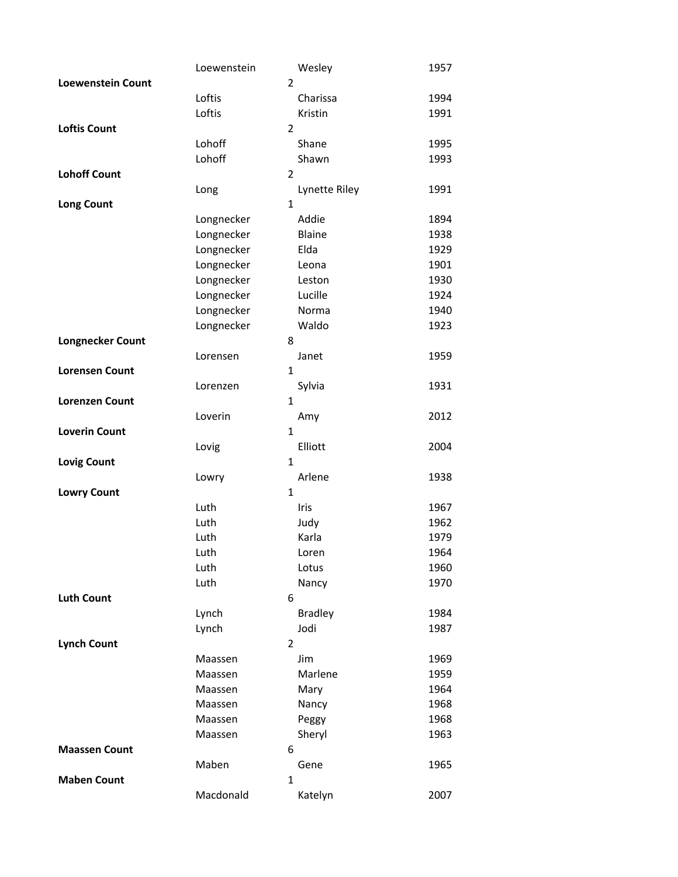|                          | Loewenstein |                | Wesley         | 1957 |
|--------------------------|-------------|----------------|----------------|------|
| <b>Loewenstein Count</b> |             | $\overline{2}$ |                |      |
|                          | Loftis      |                | Charissa       | 1994 |
|                          | Loftis      |                | Kristin        | 1991 |
| <b>Loftis Count</b>      |             | $\overline{2}$ |                |      |
|                          | Lohoff      |                | Shane          | 1995 |
|                          | Lohoff      |                | Shawn          | 1993 |
| <b>Lohoff Count</b>      |             | $\overline{2}$ |                |      |
|                          | Long        |                | Lynette Riley  | 1991 |
| <b>Long Count</b>        |             | $\mathbf{1}$   |                |      |
|                          | Longnecker  |                | Addie          | 1894 |
|                          | Longnecker  |                | <b>Blaine</b>  | 1938 |
|                          | Longnecker  |                | Elda           | 1929 |
|                          | Longnecker  |                | Leona          | 1901 |
|                          | Longnecker  |                | Leston         | 1930 |
|                          | Longnecker  |                | Lucille        | 1924 |
|                          | Longnecker  |                | Norma          | 1940 |
|                          | Longnecker  |                | Waldo          | 1923 |
| <b>Longnecker Count</b>  |             | 8              |                |      |
|                          | Lorensen    |                | Janet          | 1959 |
| <b>Lorensen Count</b>    |             | 1              |                |      |
|                          | Lorenzen    |                | Sylvia         | 1931 |
| <b>Lorenzen Count</b>    |             | 1              |                |      |
|                          | Loverin     |                | Amy            | 2012 |
| <b>Loverin Count</b>     |             | $\mathbf{1}$   |                |      |
|                          | Lovig       |                | Elliott        | 2004 |
| <b>Lovig Count</b>       |             | $\mathbf{1}$   |                |      |
|                          | Lowry       | 1              | Arlene         | 1938 |
| <b>Lowry Count</b>       | Luth        |                | Iris           | 1967 |
|                          | Luth        |                |                | 1962 |
|                          | Luth        |                | Judy<br>Karla  | 1979 |
|                          | Luth        |                | Loren          | 1964 |
|                          | Luth        |                | Lotus          | 1960 |
|                          | Luth        |                | Nancy          | 1970 |
| <b>Luth Count</b>        |             | 6              |                |      |
|                          | Lynch       |                | <b>Bradley</b> | 1984 |
|                          | Lynch       |                | Jodi           | 1987 |
| <b>Lynch Count</b>       |             | $\overline{2}$ |                |      |
|                          | Maassen     |                | Jim            | 1969 |
|                          | Maassen     |                | Marlene        | 1959 |
|                          | Maassen     |                | Mary           | 1964 |
|                          | Maassen     |                | Nancy          | 1968 |
|                          | Maassen     |                | Peggy          | 1968 |
|                          | Maassen     |                | Sheryl         | 1963 |
| <b>Maassen Count</b>     |             | 6              |                |      |
|                          | Maben       |                | Gene           | 1965 |
| <b>Maben Count</b>       |             | 1              |                |      |
|                          | Macdonald   |                | Katelyn        | 2007 |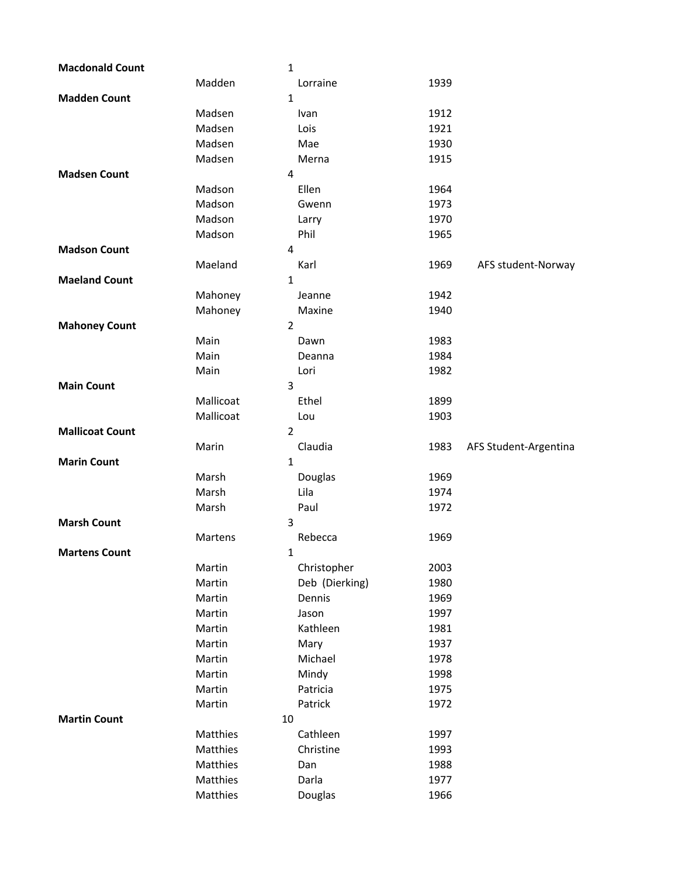| <b>Macdonald Count</b> |                      | 1                |              |                       |
|------------------------|----------------------|------------------|--------------|-----------------------|
|                        | Madden               | Lorraine         | 1939         |                       |
| <b>Madden Count</b>    |                      | 1                |              |                       |
|                        | Madsen               | Ivan             | 1912         |                       |
|                        | Madsen               | Lois             | 1921         |                       |
|                        | Madsen               | Mae              | 1930         |                       |
|                        | Madsen               | Merna            | 1915         |                       |
| <b>Madsen Count</b>    |                      | 4                |              |                       |
|                        | Madson               | Ellen            | 1964         |                       |
|                        | Madson               | Gwenn            | 1973         |                       |
|                        | Madson               | Larry            | 1970         |                       |
|                        | Madson               | Phil             | 1965         |                       |
| <b>Madson Count</b>    |                      | 4                |              |                       |
|                        | Maeland              | Karl             | 1969         | AFS student-Norway    |
| <b>Maeland Count</b>   |                      | 1                |              |                       |
|                        | Mahoney              | Jeanne           | 1942         |                       |
|                        | Mahoney              | Maxine           | 1940         |                       |
| <b>Mahoney Count</b>   |                      | $\overline{2}$   |              |                       |
|                        | Main                 | Dawn             | 1983         |                       |
|                        | Main                 | Deanna           | 1984         |                       |
|                        | Main                 | Lori             | 1982         |                       |
| <b>Main Count</b>      |                      | 3                |              |                       |
|                        | Mallicoat            | Ethel            | 1899         |                       |
|                        | Mallicoat            | Lou              | 1903         |                       |
| <b>Mallicoat Count</b> |                      | $\overline{2}$   |              |                       |
|                        |                      |                  |              |                       |
|                        | Marin                | Claudia          | 1983         | AFS Student-Argentina |
| <b>Marin Count</b>     |                      | 1                |              |                       |
|                        | Marsh                | Douglas          | 1969         |                       |
|                        | Marsh                | Lila             | 1974         |                       |
|                        | Marsh                | Paul             | 1972         |                       |
| <b>Marsh Count</b>     |                      | 3                |              |                       |
|                        | Martens              | Rebecca          | 1969         |                       |
| <b>Martens Count</b>   |                      | 1                |              |                       |
|                        | Martin               | Christopher      | 2003         |                       |
|                        | Martin               | Deb (Dierking)   | 1980         |                       |
|                        | Martin               | Dennis           | 1969         |                       |
|                        | Martin               | Jason            | 1997         |                       |
|                        | Martin               | Kathleen         | 1981         |                       |
|                        | Martin               | Mary             | 1937         |                       |
|                        | Martin               | Michael          | 1978         |                       |
|                        | Martin               | Mindy            | 1998         |                       |
|                        | Martin               | Patricia         | 1975         |                       |
|                        | Martin               | Patrick          | 1972         |                       |
| <b>Martin Count</b>    | 10                   |                  |              |                       |
|                        | Matthies             | Cathleen         | 1997         |                       |
|                        | Matthies             | Christine        | 1993         |                       |
|                        | Matthies             | Dan              | 1988         |                       |
|                        | Matthies<br>Matthies | Darla<br>Douglas | 1977<br>1966 |                       |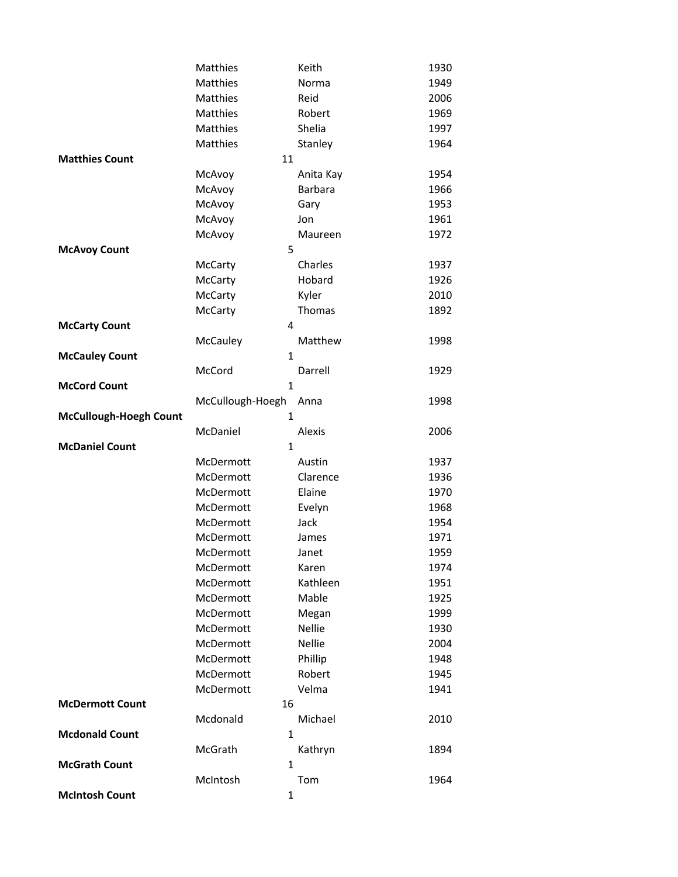|                               | Matthies         | Keith          | 1930 |
|-------------------------------|------------------|----------------|------|
|                               | Matthies         | Norma          | 1949 |
|                               | Matthies         | Reid           | 2006 |
|                               | Matthies         | Robert         | 1969 |
|                               | <b>Matthies</b>  | Shelia         | 1997 |
|                               | Matthies         | Stanley        | 1964 |
| <b>Matthies Count</b>         | 11               |                |      |
|                               | McAvoy           | Anita Kay      | 1954 |
|                               | McAvoy           | <b>Barbara</b> | 1966 |
|                               | McAvoy           | Gary           | 1953 |
|                               | McAvoy           | Jon            | 1961 |
|                               | McAvoy           | Maureen        | 1972 |
| <b>McAvoy Count</b>           | 5                |                |      |
|                               | McCarty          | Charles        | 1937 |
|                               | McCarty          | Hobard         | 1926 |
|                               | <b>McCarty</b>   | Kyler          | 2010 |
|                               | McCarty          | Thomas         | 1892 |
| <b>McCarty Count</b>          | 4                |                |      |
|                               | McCauley         | Matthew        | 1998 |
| <b>McCauley Count</b>         | $\mathbf{1}$     |                |      |
|                               | McCord           | Darrell        | 1929 |
| <b>McCord Count</b>           | 1                |                |      |
|                               | McCullough-Hoegh | Anna           | 1998 |
| <b>McCullough-Hoegh Count</b> | $\mathbf{1}$     |                |      |
|                               | McDaniel         | Alexis         | 2006 |
| <b>McDaniel Count</b>         | $\mathbf{1}$     |                |      |
|                               | McDermott        | Austin         | 1937 |
|                               | McDermott        | Clarence       | 1936 |
|                               | McDermott        | Elaine         | 1970 |
|                               | McDermott        | Evelyn         | 1968 |
|                               | McDermott        | Jack           | 1954 |
|                               | McDermott        | James          | 1971 |
|                               | McDermott        | Janet          | 1959 |
|                               | McDermott        | Karen          | 1974 |
|                               | McDermott        | Kathleen       | 1951 |
|                               | McDermott        | Mable          | 1925 |
|                               | McDermott        | Megan          | 1999 |
|                               | McDermott        | <b>Nellie</b>  | 1930 |
|                               | McDermott        | Nellie         | 2004 |
|                               | McDermott        | Phillip        | 1948 |
|                               | McDermott        | Robert         | 1945 |
|                               | McDermott        | Velma          | 1941 |
| <b>McDermott Count</b>        | 16               |                |      |
|                               | Mcdonald         | Michael        | 2010 |
| <b>Mcdonald Count</b>         | $\mathbf{1}$     |                |      |
|                               | McGrath          | Kathryn        | 1894 |
| <b>McGrath Count</b>          | 1                |                |      |
|                               | McIntosh         | Tom            | 1964 |
| <b>McIntosh Count</b>         | $\mathbf{1}$     |                |      |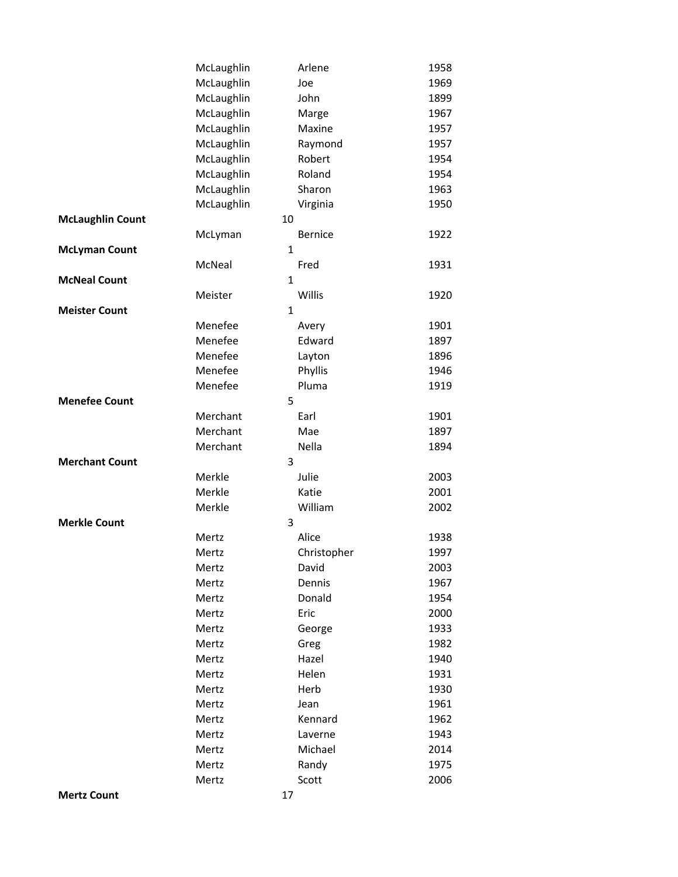|                         | McLaughlin | Arlene         | 1958 |
|-------------------------|------------|----------------|------|
|                         | McLaughlin | Joe            | 1969 |
|                         | McLaughlin | John           | 1899 |
|                         | McLaughlin | Marge          | 1967 |
|                         | McLaughlin | Maxine         | 1957 |
|                         | McLaughlin | Raymond        | 1957 |
|                         | McLaughlin | Robert         | 1954 |
|                         | McLaughlin | Roland         | 1954 |
|                         | McLaughlin | Sharon         | 1963 |
|                         | McLaughlin | Virginia       | 1950 |
| <b>McLaughlin Count</b> |            | 10             |      |
|                         | McLyman    | <b>Bernice</b> | 1922 |
| <b>McLyman Count</b>    |            | $\mathbf{1}$   |      |
|                         | McNeal     | Fred           | 1931 |
| <b>McNeal Count</b>     |            | $\mathbf{1}$   |      |
|                         | Meister    | Willis         | 1920 |
| <b>Meister Count</b>    |            | $\mathbf{1}$   |      |
|                         | Menefee    | Avery          | 1901 |
|                         | Menefee    | Edward         | 1897 |
|                         | Menefee    | Layton         | 1896 |
|                         | Menefee    | Phyllis        | 1946 |
|                         | Menefee    | Pluma          | 1919 |
| <b>Menefee Count</b>    |            | 5              |      |
|                         | Merchant   | Earl           | 1901 |
|                         | Merchant   | Mae            | 1897 |
|                         | Merchant   | Nella          | 1894 |
| <b>Merchant Count</b>   |            | 3              |      |
|                         | Merkle     | Julie          | 2003 |
|                         | Merkle     | Katie          | 2001 |
|                         | Merkle     | William        | 2002 |
| <b>Merkle Count</b>     |            | 3              |      |
|                         | Mertz      | Alice          | 1938 |
|                         | Mertz      | Christopher    | 1997 |
|                         | Mertz      | David          | 2003 |
|                         | Mertz      | Dennis         | 1967 |
|                         | Mertz      | Donald         | 1954 |
|                         | Mertz      | Eric           | 2000 |
|                         | Mertz      | George         | 1933 |
|                         | Mertz      | Greg           | 1982 |
|                         | Mertz      | Hazel          | 1940 |
|                         | Mertz      | Helen          | 1931 |
|                         | Mertz      | Herb           | 1930 |
|                         | Mertz      | Jean           | 1961 |
|                         | Mertz      | Kennard        | 1962 |
|                         | Mertz      | Laverne        | 1943 |
|                         | Mertz      | Michael        | 2014 |
|                         | Mertz      | Randy          | 1975 |
|                         | Mertz      | Scott          | 2006 |
| <b>Mertz Count</b>      |            | 17             |      |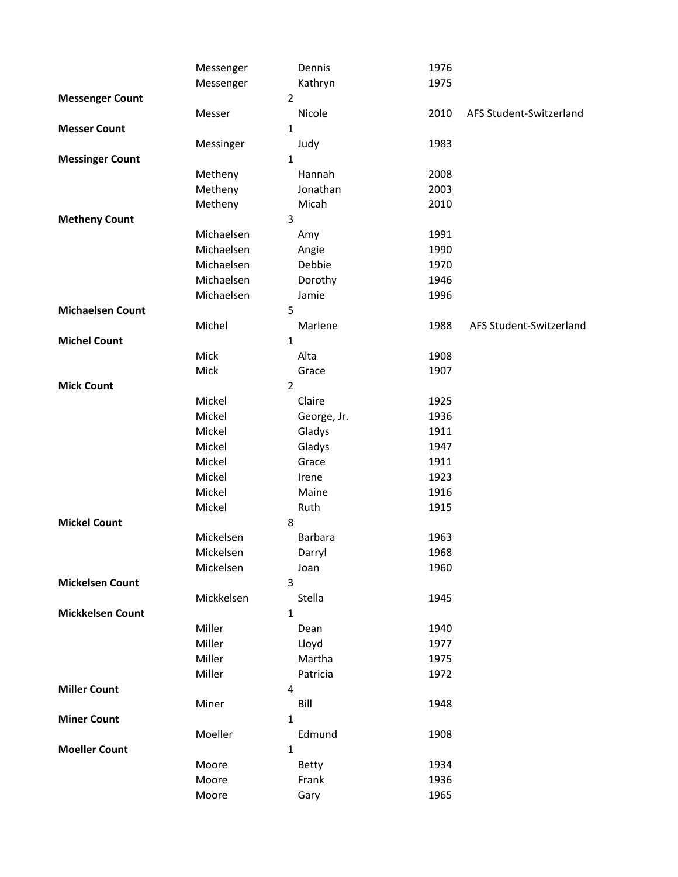|                         | Messenger  | Dennis         | 1976 |                         |
|-------------------------|------------|----------------|------|-------------------------|
|                         | Messenger  | Kathryn        | 1975 |                         |
| <b>Messenger Count</b>  |            | $\overline{2}$ |      |                         |
|                         | Messer     | Nicole         | 2010 | AFS Student-Switzerland |
| <b>Messer Count</b>     |            | $\mathbf{1}$   |      |                         |
|                         | Messinger  | Judy           | 1983 |                         |
| <b>Messinger Count</b>  |            | $\mathbf 1$    |      |                         |
|                         | Metheny    | Hannah         | 2008 |                         |
|                         | Metheny    | Jonathan       | 2003 |                         |
|                         | Metheny    | Micah          | 2010 |                         |
| <b>Metheny Count</b>    |            | 3              |      |                         |
|                         | Michaelsen | Amy            | 1991 |                         |
|                         | Michaelsen | Angie          | 1990 |                         |
|                         | Michaelsen | Debbie         | 1970 |                         |
|                         | Michaelsen | Dorothy        | 1946 |                         |
|                         | Michaelsen | Jamie          | 1996 |                         |
| <b>Michaelsen Count</b> |            | 5              |      |                         |
|                         | Michel     | Marlene        | 1988 | AFS Student-Switzerland |
| <b>Michel Count</b>     |            | $\mathbf 1$    |      |                         |
|                         | Mick       | Alta           | 1908 |                         |
|                         | Mick       | Grace          | 1907 |                         |
| <b>Mick Count</b>       |            | $\overline{2}$ |      |                         |
|                         | Mickel     | Claire         | 1925 |                         |
|                         | Mickel     | George, Jr.    | 1936 |                         |
|                         | Mickel     | Gladys         | 1911 |                         |
|                         | Mickel     | Gladys         | 1947 |                         |
|                         | Mickel     | Grace          | 1911 |                         |
|                         | Mickel     | Irene          | 1923 |                         |
|                         | Mickel     | Maine          | 1916 |                         |
|                         | Mickel     | Ruth           | 1915 |                         |
| <b>Mickel Count</b>     |            | 8              |      |                         |
|                         | Mickelsen  | <b>Barbara</b> | 1963 |                         |
|                         | Mickelsen  | Darryl         | 1968 |                         |
|                         | Mickelsen  | Joan           | 1960 |                         |
| <b>Mickelsen Count</b>  |            | 3              |      |                         |
|                         | Mickkelsen | Stella         | 1945 |                         |
| <b>Mickkelsen Count</b> |            | $\mathbf 1$    |      |                         |
|                         | Miller     | Dean           | 1940 |                         |
|                         | Miller     | Lloyd          | 1977 |                         |
|                         | Miller     | Martha         | 1975 |                         |
|                         | Miller     | Patricia       | 1972 |                         |
| <b>Miller Count</b>     |            | 4              |      |                         |
|                         | Miner      | Bill           | 1948 |                         |
| <b>Miner Count</b>      |            | $\mathbf 1$    |      |                         |
|                         | Moeller    | Edmund         | 1908 |                         |
| <b>Moeller Count</b>    |            | $\mathbf 1$    |      |                         |
|                         | Moore      | Betty          | 1934 |                         |
|                         | Moore      | Frank          | 1936 |                         |
|                         | Moore      | Gary           | 1965 |                         |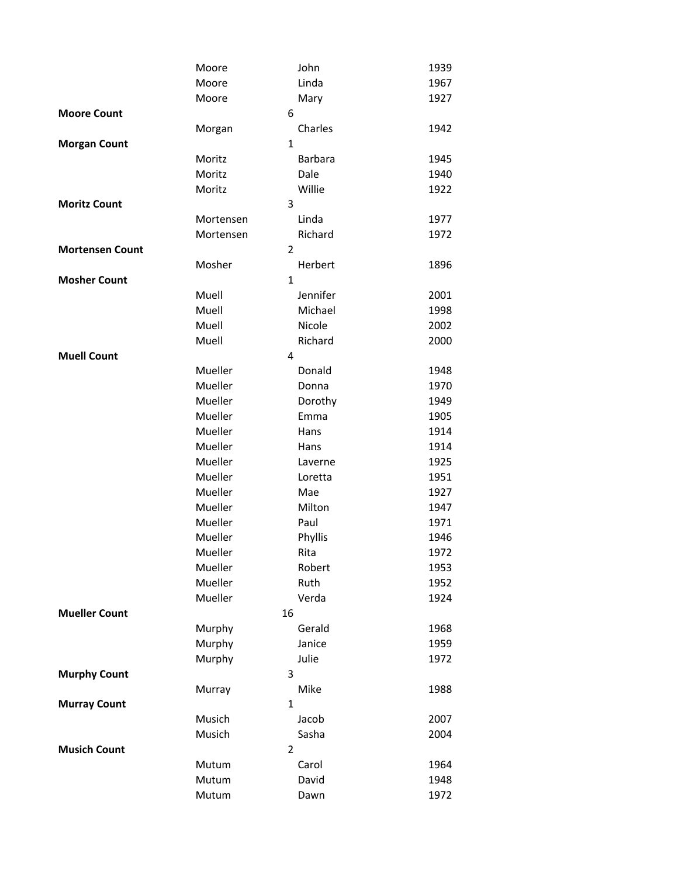|                        | Moore              | John            | 1939         |
|------------------------|--------------------|-----------------|--------------|
|                        | Moore              | Linda           | 1967         |
|                        | Moore              | Mary            | 1927         |
| <b>Moore Count</b>     |                    | 6               |              |
|                        | Morgan             | Charles         | 1942         |
| <b>Morgan Count</b>    |                    | $\mathbf{1}$    |              |
|                        | Moritz             | <b>Barbara</b>  | 1945         |
|                        | Moritz             | Dale            | 1940         |
|                        | Moritz             | Willie          | 1922         |
| <b>Moritz Count</b>    |                    | 3               |              |
|                        | Mortensen          | Linda           | 1977         |
|                        | Mortensen          | Richard         | 1972         |
| <b>Mortensen Count</b> |                    | $\overline{2}$  |              |
|                        | Mosher             | Herbert         | 1896         |
| <b>Mosher Count</b>    |                    | $\mathbf{1}$    |              |
|                        | Muell              | Jennifer        | 2001         |
|                        | Muell              | Michael         | 1998         |
|                        | Muell              | Nicole          | 2002         |
|                        | Muell              | Richard         | 2000         |
| <b>Muell Count</b>     |                    | 4               |              |
|                        | Mueller            | Donald          | 1948         |
|                        | Mueller            | Donna           | 1970         |
|                        | Mueller            | Dorothy         | 1949         |
|                        | Mueller<br>Mueller | Emma            | 1905         |
|                        | Mueller            | Hans            | 1914         |
|                        | Mueller            | Hans<br>Laverne | 1914<br>1925 |
|                        | Mueller            | Loretta         | 1951         |
|                        | Mueller            | Mae             | 1927         |
|                        | Mueller            | Milton          | 1947         |
|                        | Mueller            | Paul            | 1971         |
|                        | Mueller            | Phyllis         | 1946         |
|                        | Mueller            | Rita            | 1972         |
|                        | Mueller            | Robert          | 1953         |
|                        | Mueller            | Ruth            | 1952         |
|                        | Mueller            | Verda           | 1924         |
| <b>Mueller Count</b>   |                    | 16              |              |
|                        | Murphy             | Gerald          | 1968         |
|                        | Murphy             | Janice          | 1959         |
|                        | Murphy             | Julie           | 1972         |
| <b>Murphy Count</b>    |                    | 3               |              |
|                        | Murray             | Mike            | 1988         |
| <b>Murray Count</b>    |                    | $\mathbf{1}$    |              |
|                        | Musich             | Jacob           | 2007         |
|                        | Musich             | Sasha           | 2004         |
| <b>Musich Count</b>    |                    | $\overline{2}$  |              |
|                        | Mutum              | Carol           | 1964         |
|                        | Mutum              | David           | 1948         |
|                        | Mutum              | Dawn            | 1972         |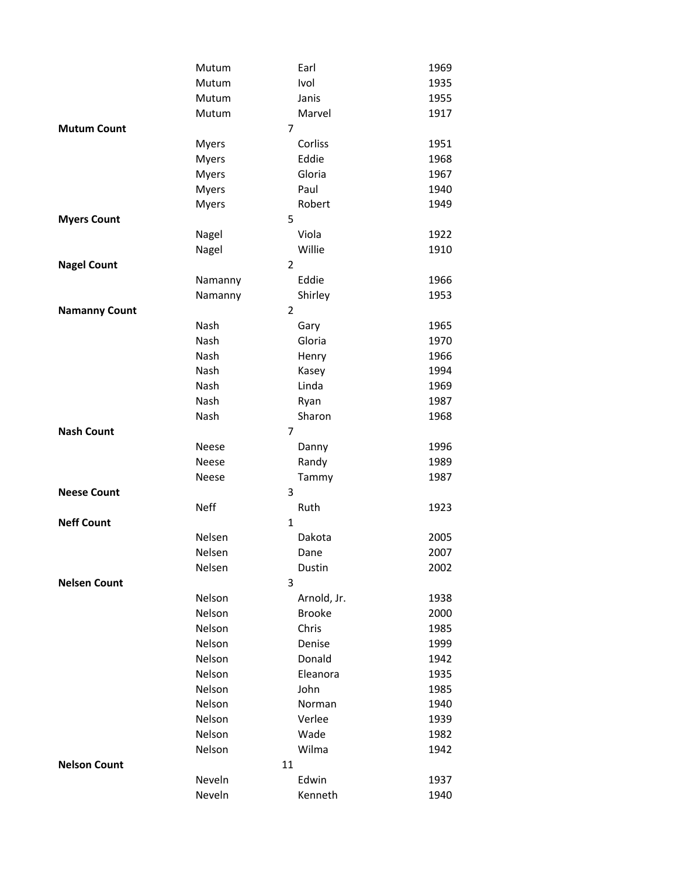|                      | Mutum          | Earl          | 1969 |
|----------------------|----------------|---------------|------|
|                      | Mutum          | Ivol          | 1935 |
|                      | Mutum          | Janis         | 1955 |
|                      | Mutum          | Marvel        | 1917 |
| <b>Mutum Count</b>   | $\overline{7}$ |               |      |
|                      | Myers          | Corliss       | 1951 |
|                      | <b>Myers</b>   | Eddie         | 1968 |
|                      | <b>Myers</b>   | Gloria        | 1967 |
|                      | <b>Myers</b>   | Paul          | 1940 |
|                      | <b>Myers</b>   | Robert        | 1949 |
| <b>Myers Count</b>   | 5              |               |      |
|                      | Nagel          | Viola         | 1922 |
|                      | Nagel          | Willie        | 1910 |
| <b>Nagel Count</b>   | $\overline{2}$ |               |      |
|                      | Namanny        | Eddie         | 1966 |
|                      | Namanny        | Shirley       | 1953 |
| <b>Namanny Count</b> | $\overline{2}$ |               |      |
|                      | Nash           | Gary          | 1965 |
|                      | Nash           | Gloria        | 1970 |
|                      | Nash           | Henry         | 1966 |
|                      | Nash           | Kasey         | 1994 |
|                      | Nash           | Linda         | 1969 |
|                      | Nash           | Ryan          | 1987 |
|                      | Nash           | Sharon        | 1968 |
| <b>Nash Count</b>    | 7              |               |      |
|                      | Neese          | Danny         | 1996 |
|                      | Neese          | Randy         | 1989 |
|                      | Neese          | Tammy         | 1987 |
| <b>Neese Count</b>   | 3              |               |      |
|                      | <b>Neff</b>    | Ruth          | 1923 |
| <b>Neff Count</b>    | $\mathbf{1}$   |               |      |
|                      | Nelsen         | Dakota        | 2005 |
|                      | Nelsen         | Dane          | 2007 |
|                      | Nelsen         | Dustin        | 2002 |
| <b>Nelsen Count</b>  | 3              |               |      |
|                      | Nelson         | Arnold, Jr.   | 1938 |
|                      | Nelson         | <b>Brooke</b> | 2000 |
|                      | Nelson         | Chris         | 1985 |
|                      | Nelson         | Denise        | 1999 |
|                      | Nelson         | Donald        | 1942 |
|                      | Nelson         | Eleanora      | 1935 |
|                      | Nelson         | John          | 1985 |
|                      | Nelson         | Norman        | 1940 |
|                      | Nelson         | Verlee        | 1939 |
|                      | Nelson         | Wade          | 1982 |
|                      | Nelson         | Wilma         | 1942 |
| <b>Nelson Count</b>  | 11             |               |      |
|                      | Neveln         | Edwin         | 1937 |
|                      | Neveln         | Kenneth       | 1940 |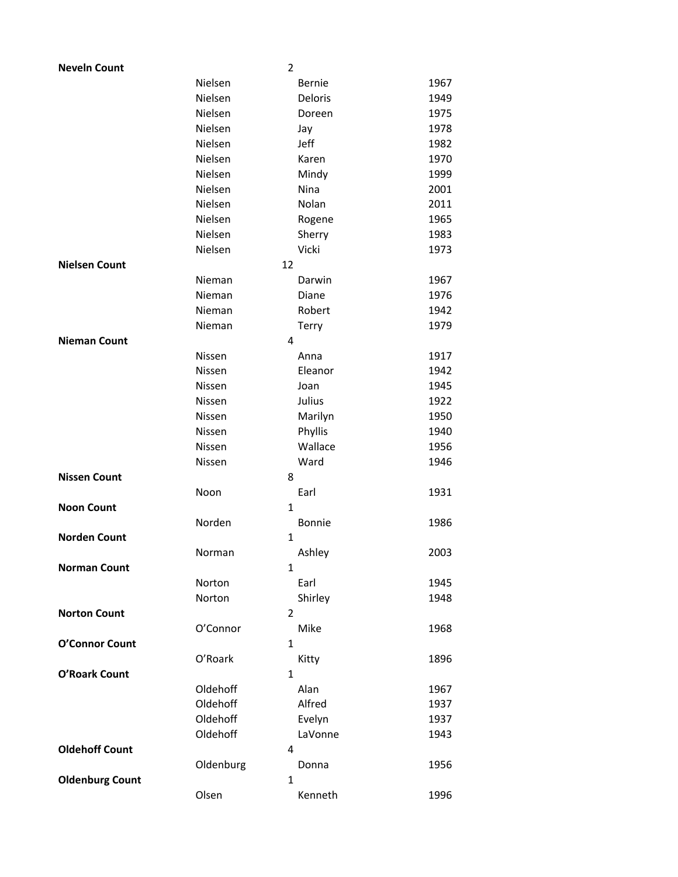| <b>Neveln Count</b>    |           | $\overline{2}$ |      |
|------------------------|-----------|----------------|------|
|                        | Nielsen   | <b>Bernie</b>  | 1967 |
|                        | Nielsen   | Deloris        | 1949 |
|                        | Nielsen   | Doreen         | 1975 |
|                        | Nielsen   | Jay            | 1978 |
|                        | Nielsen   | Jeff           | 1982 |
|                        | Nielsen   | Karen          | 1970 |
|                        | Nielsen   | Mindy          | 1999 |
|                        | Nielsen   | Nina           | 2001 |
|                        | Nielsen   | Nolan          | 2011 |
|                        | Nielsen   | Rogene         | 1965 |
|                        | Nielsen   | Sherry         | 1983 |
|                        | Nielsen   | Vicki          | 1973 |
| <b>Nielsen Count</b>   |           | 12             |      |
|                        | Nieman    | Darwin         | 1967 |
|                        | Nieman    | Diane          | 1976 |
|                        | Nieman    | Robert         | 1942 |
|                        | Nieman    | Terry          | 1979 |
| <b>Nieman Count</b>    |           | 4              |      |
|                        | Nissen    | Anna           | 1917 |
|                        | Nissen    | Eleanor        | 1942 |
|                        | Nissen    | Joan           | 1945 |
|                        | Nissen    | Julius         | 1922 |
|                        | Nissen    | Marilyn        | 1950 |
|                        | Nissen    | Phyllis        | 1940 |
|                        | Nissen    | Wallace        | 1956 |
|                        | Nissen    | Ward           | 1946 |
| <b>Nissen Count</b>    |           | 8              |      |
|                        | Noon      | Earl           | 1931 |
| <b>Noon Count</b>      |           | 1              |      |
|                        | Norden    | <b>Bonnie</b>  | 1986 |
| <b>Norden Count</b>    |           | 1              |      |
|                        | Norman    | Ashley         | 2003 |
| <b>Norman Count</b>    |           | $\mathbf{1}$   |      |
|                        | Norton    | Earl           | 1945 |
|                        | Norton    | Shirley        | 1948 |
| <b>Norton Count</b>    |           | $\overline{2}$ |      |
|                        | O'Connor  | Mike           | 1968 |
| O'Connor Count         |           | $\mathbf{1}$   |      |
|                        | O'Roark   | Kitty          | 1896 |
| O'Roark Count          |           | $\mathbf{1}$   |      |
|                        | Oldehoff  | Alan           | 1967 |
|                        | Oldehoff  | Alfred         | 1937 |
|                        | Oldehoff  | Evelyn         | 1937 |
|                        | Oldehoff  | LaVonne        |      |
| <b>Oldehoff Count</b>  |           | 4              | 1943 |
|                        |           |                |      |
| <b>Oldenburg Count</b> | Oldenburg | Donna<br>1     | 1956 |
|                        | Olsen     | Kenneth        | 1996 |
|                        |           |                |      |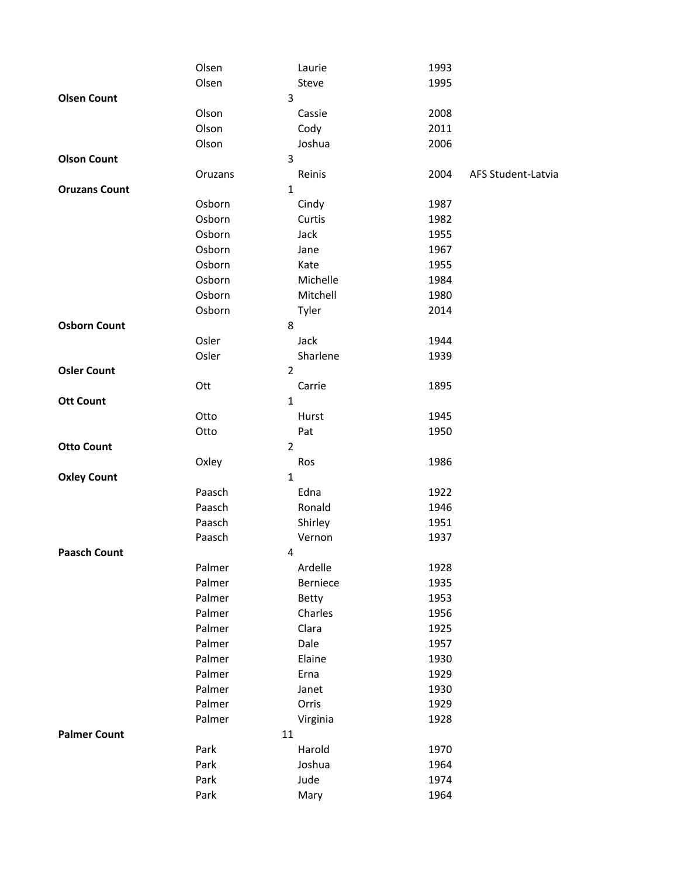|                      | Olsen            | Laurie              | 1993                       |
|----------------------|------------------|---------------------|----------------------------|
|                      | Olsen            | Steve               | 1995                       |
| <b>Olsen Count</b>   |                  | 3                   |                            |
|                      | Olson            | Cassie              | 2008                       |
|                      | Olson            | Cody                | 2011                       |
|                      | Olson            | Joshua              | 2006                       |
| <b>Olson Count</b>   |                  | 3                   |                            |
|                      | Oruzans          | Reinis              | 2004<br>AFS Student-Latvia |
| <b>Oruzans Count</b> |                  | $\mathbf{1}$        |                            |
|                      | Osborn           | Cindy               | 1987                       |
|                      | Osborn           | Curtis              | 1982                       |
|                      | Osborn           | Jack                | 1955                       |
|                      | Osborn           | Jane                | 1967                       |
|                      | Osborn           | Kate                | 1955                       |
|                      | Osborn           | Michelle            | 1984                       |
|                      | Osborn           | Mitchell            | 1980                       |
|                      | Osborn           | Tyler               | 2014                       |
| <b>Osborn Count</b>  |                  | 8                   |                            |
|                      | Osler            | Jack                | 1944                       |
|                      | Osler            | Sharlene            | 1939                       |
| <b>Osler Count</b>   |                  | $\overline{2}$      |                            |
|                      | Ott              | Carrie              | 1895                       |
| <b>Ott Count</b>     |                  | $\mathbf{1}$        |                            |
|                      | Otto             | Hurst               | 1945                       |
|                      | Otto             | Pat                 | 1950                       |
| <b>Otto Count</b>    |                  | $\overline{2}$      |                            |
|                      | Oxley            | Ros                 | 1986                       |
| <b>Oxley Count</b>   |                  | $\mathbf{1}$        |                            |
|                      | Paasch           | Edna                | 1922                       |
|                      | Paasch           | Ronald              | 1946                       |
|                      | Paasch           | Shirley             | 1951                       |
| <b>Paasch Count</b>  | Paasch           | Vernon              | 1937                       |
|                      |                  | 4                   |                            |
|                      | Palmer<br>Palmer | Ardelle<br>Berniece | 1928<br>1935               |
|                      | Palmer           | Betty               |                            |
|                      | Palmer           | Charles             | 1953<br>1956               |
|                      | Palmer           | Clara               | 1925                       |
|                      | Palmer           | Dale                | 1957                       |
|                      | Palmer           | Elaine              | 1930                       |
|                      | Palmer           | Erna                | 1929                       |
|                      | Palmer           | Janet               | 1930                       |
|                      | Palmer           | Orris               | 1929                       |
|                      | Palmer           | Virginia            | 1928                       |
| <b>Palmer Count</b>  | 11               |                     |                            |
|                      | Park             | Harold              | 1970                       |
|                      | Park             | Joshua              | 1964                       |
|                      | Park             | Jude                | 1974                       |
|                      | Park             | Mary                | 1964                       |
|                      |                  |                     |                            |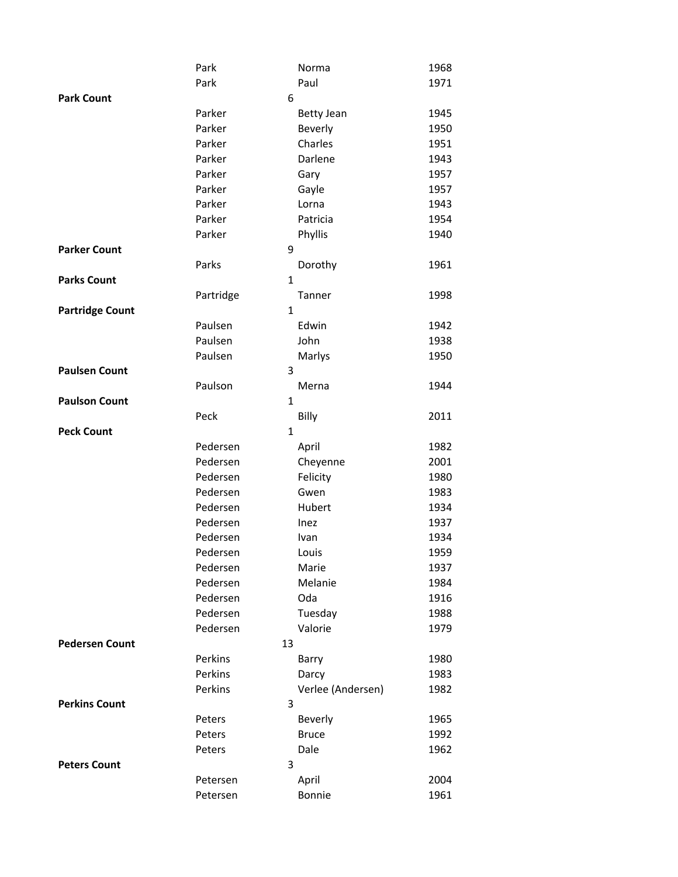|                        | Park         | Norma             | 1968 |
|------------------------|--------------|-------------------|------|
|                        | Park         | Paul              | 1971 |
| <b>Park Count</b>      | 6            |                   |      |
|                        | Parker       | <b>Betty Jean</b> | 1945 |
|                        | Parker       | Beverly           | 1950 |
|                        | Parker       | Charles           | 1951 |
|                        | Parker       | Darlene           | 1943 |
|                        | Parker       | Gary              | 1957 |
|                        | Parker       | Gayle             | 1957 |
|                        | Parker       | Lorna             | 1943 |
|                        | Parker       | Patricia          | 1954 |
|                        | Parker       | Phyllis           | 1940 |
| <b>Parker Count</b>    | 9            |                   |      |
|                        | Parks        | Dorothy           | 1961 |
| <b>Parks Count</b>     | $\mathbf{1}$ |                   |      |
|                        | Partridge    | Tanner            | 1998 |
| <b>Partridge Count</b> | 1            |                   |      |
|                        | Paulsen      | Edwin             | 1942 |
|                        | Paulsen      | John              | 1938 |
|                        | Paulsen      | Marlys            | 1950 |
| <b>Paulsen Count</b>   | 3            |                   |      |
|                        | Paulson      | Merna             | 1944 |
| <b>Paulson Count</b>   | 1            |                   |      |
|                        | Peck         | Billy             | 2011 |
| <b>Peck Count</b>      | $\mathbf{1}$ |                   |      |
|                        | Pedersen     | April             | 1982 |
|                        | Pedersen     | Cheyenne          | 2001 |
|                        | Pedersen     | Felicity          | 1980 |
|                        | Pedersen     | Gwen              | 1983 |
|                        | Pedersen     | Hubert            | 1934 |
|                        | Pedersen     | Inez              | 1937 |
|                        | Pedersen     | Ivan              | 1934 |
|                        | Pedersen     | Louis             | 1959 |
|                        | Pedersen     | Marie             | 1937 |
|                        | Pedersen     | Melanie           | 1984 |
|                        | Pedersen     | Oda               | 1916 |
|                        | Pedersen     | Tuesday           | 1988 |
|                        | Pedersen     | Valorie           | 1979 |
| <b>Pedersen Count</b>  | 13           |                   |      |
|                        | Perkins      | Barry             | 1980 |
|                        | Perkins      | Darcy             | 1983 |
|                        | Perkins      | Verlee (Andersen) | 1982 |
| <b>Perkins Count</b>   | 3            |                   |      |
|                        | Peters       | Beverly           | 1965 |
|                        | Peters       | <b>Bruce</b>      | 1992 |
|                        | Peters       | Dale              | 1962 |
| <b>Peters Count</b>    | 3            |                   |      |
|                        | Petersen     | April             | 2004 |
|                        | Petersen     | Bonnie            | 1961 |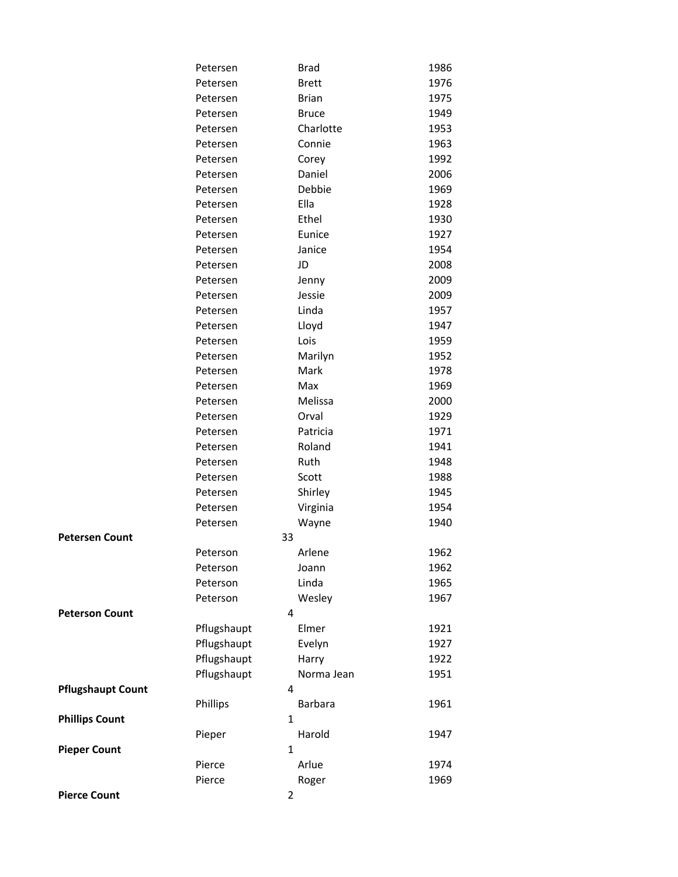|                          | Petersen    | <b>Brad</b>             | 1986 |
|--------------------------|-------------|-------------------------|------|
|                          | Petersen    | <b>Brett</b>            | 1976 |
|                          | Petersen    | <b>Brian</b>            | 1975 |
|                          | Petersen    | <b>Bruce</b>            | 1949 |
|                          | Petersen    | Charlotte               | 1953 |
|                          | Petersen    | Connie                  | 1963 |
|                          | Petersen    | Corey                   | 1992 |
|                          | Petersen    | Daniel                  | 2006 |
|                          | Petersen    | Debbie                  | 1969 |
|                          | Petersen    | Ella                    | 1928 |
|                          | Petersen    | Ethel                   | 1930 |
|                          | Petersen    | Eunice                  | 1927 |
|                          | Petersen    | Janice                  | 1954 |
|                          | Petersen    | JD                      | 2008 |
|                          | Petersen    | Jenny                   | 2009 |
|                          | Petersen    | Jessie                  | 2009 |
|                          | Petersen    | Linda                   | 1957 |
|                          | Petersen    | Lloyd                   | 1947 |
|                          | Petersen    | Lois                    | 1959 |
|                          | Petersen    | Marilyn                 | 1952 |
|                          | Petersen    | Mark                    | 1978 |
|                          | Petersen    | Max                     | 1969 |
|                          | Petersen    | Melissa                 | 2000 |
|                          | Petersen    | Orval                   | 1929 |
|                          | Petersen    | Patricia                | 1971 |
|                          | Petersen    | Roland                  | 1941 |
|                          | Petersen    | Ruth                    | 1948 |
|                          | Petersen    | Scott                   | 1988 |
|                          | Petersen    | Shirley                 | 1945 |
|                          | Petersen    | Virginia                | 1954 |
|                          | Petersen    | Wayne                   | 1940 |
| <b>Petersen Count</b>    | 33          |                         |      |
|                          | Peterson    | Arlene                  | 1962 |
|                          | Peterson    | Joann                   | 1962 |
|                          | Peterson    | Linda                   | 1965 |
|                          | Peterson    | Wesley                  | 1967 |
| <b>Peterson Count</b>    |             | 4                       |      |
|                          | Pflugshaupt | Elmer                   | 1921 |
|                          | Pflugshaupt | Evelyn                  | 1927 |
|                          | Pflugshaupt | Harry                   | 1922 |
|                          | Pflugshaupt | Norma Jean<br>4         | 1951 |
| <b>Pflugshaupt Count</b> |             |                         | 1961 |
| <b>Phillips Count</b>    | Phillips    | Barbara<br>$\mathbf{1}$ |      |
|                          |             | Harold                  | 1947 |
| <b>Pieper Count</b>      | Pieper      | $\mathbf{1}$            |      |
|                          | Pierce      | Arlue                   | 1974 |
|                          | Pierce      | Roger                   | 1969 |
| <b>Pierce Count</b>      |             | $\overline{2}$          |      |
|                          |             |                         |      |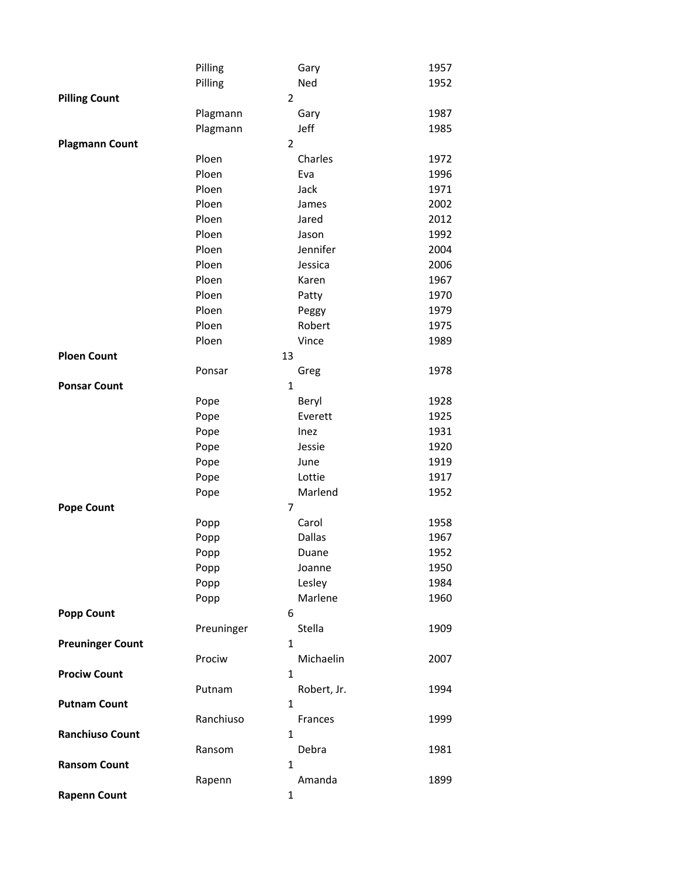|                         | Pilling    |                | Gary          | 1957 |
|-------------------------|------------|----------------|---------------|------|
|                         | Pilling    |                | Ned           | 1952 |
| <b>Pilling Count</b>    |            | $\overline{2}$ |               |      |
|                         | Plagmann   |                | Gary          | 1987 |
|                         | Plagmann   |                | Jeff          | 1985 |
| <b>Plagmann Count</b>   |            | $\overline{2}$ |               |      |
|                         | Ploen      |                | Charles       | 1972 |
|                         | Ploen      |                | Eva           | 1996 |
|                         | Ploen      |                | Jack          | 1971 |
|                         | Ploen      |                | James         | 2002 |
|                         | Ploen      |                | Jared         | 2012 |
|                         | Ploen      |                | Jason         | 1992 |
|                         | Ploen      |                | Jennifer      | 2004 |
|                         | Ploen      |                | Jessica       | 2006 |
|                         | Ploen      |                | Karen         | 1967 |
|                         | Ploen      |                | Patty         | 1970 |
|                         | Ploen      |                | Peggy         | 1979 |
|                         | Ploen      |                | Robert        | 1975 |
|                         | Ploen      |                | Vince         | 1989 |
| <b>Ploen Count</b>      |            | 13             |               |      |
|                         | Ponsar     |                | Greg          | 1978 |
| <b>Ponsar Count</b>     |            | $\mathbf{1}$   |               |      |
|                         | Pope       |                | Beryl         | 1928 |
|                         | Pope       |                | Everett       | 1925 |
|                         | Pope       |                | Inez          | 1931 |
|                         | Pope       |                | Jessie        | 1920 |
|                         | Pope       |                | June          | 1919 |
|                         | Pope       |                | Lottie        | 1917 |
|                         | Pope       |                | Marlend       | 1952 |
| <b>Pope Count</b>       |            | 7              |               |      |
|                         | Popp       |                | Carol         | 1958 |
|                         | Popp       |                | <b>Dallas</b> | 1967 |
|                         | Popp       |                | Duane         | 1952 |
|                         | Popp       |                | Joanne        | 1950 |
|                         | Popp       |                | Lesley        | 1984 |
|                         | Popp       |                | Marlene       | 1960 |
| <b>Popp Count</b>       |            | 6              |               |      |
|                         | Preuninger |                | Stella        | 1909 |
| <b>Preuninger Count</b> |            | $\mathbf{1}$   |               |      |
|                         | Prociw     |                | Michaelin     | 2007 |
| <b>Prociw Count</b>     |            | 1              |               |      |
|                         | Putnam     |                | Robert, Jr.   | 1994 |
| <b>Putnam Count</b>     |            | $\mathbf{1}$   |               |      |
|                         | Ranchiuso  |                | Frances       | 1999 |
| <b>Ranchiuso Count</b>  |            | $\mathbf{1}$   |               |      |
|                         | Ransom     |                | Debra         | 1981 |
| <b>Ransom Count</b>     |            | 1              |               |      |
|                         | Rapenn     |                | Amanda        | 1899 |
| <b>Rapenn Count</b>     |            | 1              |               |      |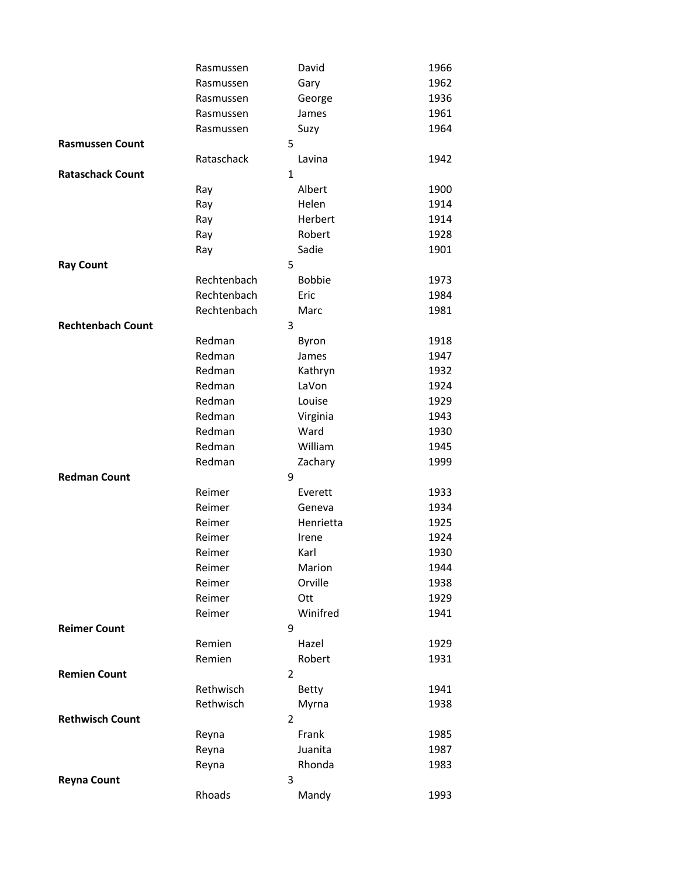|                          | Rasmussen   |                | David         | 1966 |
|--------------------------|-------------|----------------|---------------|------|
|                          | Rasmussen   |                | Gary          | 1962 |
|                          | Rasmussen   |                | George        | 1936 |
|                          | Rasmussen   |                | James         | 1961 |
|                          | Rasmussen   |                | Suzy          | 1964 |
| <b>Rasmussen Count</b>   |             | 5              |               |      |
|                          | Rataschack  |                | Lavina        | 1942 |
| <b>Rataschack Count</b>  |             | $\mathbf{1}$   |               |      |
|                          | Ray         |                | Albert        | 1900 |
|                          | Ray         |                | Helen         | 1914 |
|                          | Ray         |                | Herbert       | 1914 |
|                          | Ray         |                | Robert        | 1928 |
|                          | Ray         |                | Sadie         | 1901 |
| <b>Ray Count</b>         |             | 5              |               |      |
|                          | Rechtenbach |                | <b>Bobbie</b> | 1973 |
|                          | Rechtenbach |                | Eric          | 1984 |
|                          | Rechtenbach |                | Marc          | 1981 |
| <b>Rechtenbach Count</b> |             | 3              |               |      |
|                          | Redman      |                | Byron         | 1918 |
|                          | Redman      |                | James         | 1947 |
|                          | Redman      |                | Kathryn       | 1932 |
|                          | Redman      |                | LaVon         | 1924 |
|                          | Redman      |                | Louise        | 1929 |
|                          | Redman      |                | Virginia      | 1943 |
|                          | Redman      |                | Ward          | 1930 |
|                          | Redman      |                | William       | 1945 |
|                          | Redman      |                | Zachary       | 1999 |
| <b>Redman Count</b>      |             | 9              |               |      |
|                          | Reimer      |                | Everett       | 1933 |
|                          | Reimer      |                | Geneva        | 1934 |
|                          | Reimer      |                | Henrietta     | 1925 |
|                          | Reimer      |                | Irene         | 1924 |
|                          | Reimer      |                | Karl          | 1930 |
|                          | Reimer      |                | Marion        | 1944 |
|                          | Reimer      |                | Orville       | 1938 |
|                          | Reimer      |                | Ott           | 1929 |
|                          | Reimer      |                | Winifred      | 1941 |
| <b>Reimer Count</b>      |             | 9              |               |      |
|                          | Remien      |                | Hazel         | 1929 |
|                          | Remien      |                | Robert        | 1931 |
| <b>Remien Count</b>      |             | $\overline{2}$ |               |      |
|                          | Rethwisch   |                | <b>Betty</b>  | 1941 |
|                          | Rethwisch   |                | Myrna         | 1938 |
| <b>Rethwisch Count</b>   |             | 2              |               |      |
|                          | Reyna       |                | Frank         | 1985 |
|                          | Reyna       |                | Juanita       | 1987 |
|                          | Reyna       |                | Rhonda        | 1983 |
| <b>Reyna Count</b>       |             | 3              |               |      |
|                          | Rhoads      |                | Mandy         | 1993 |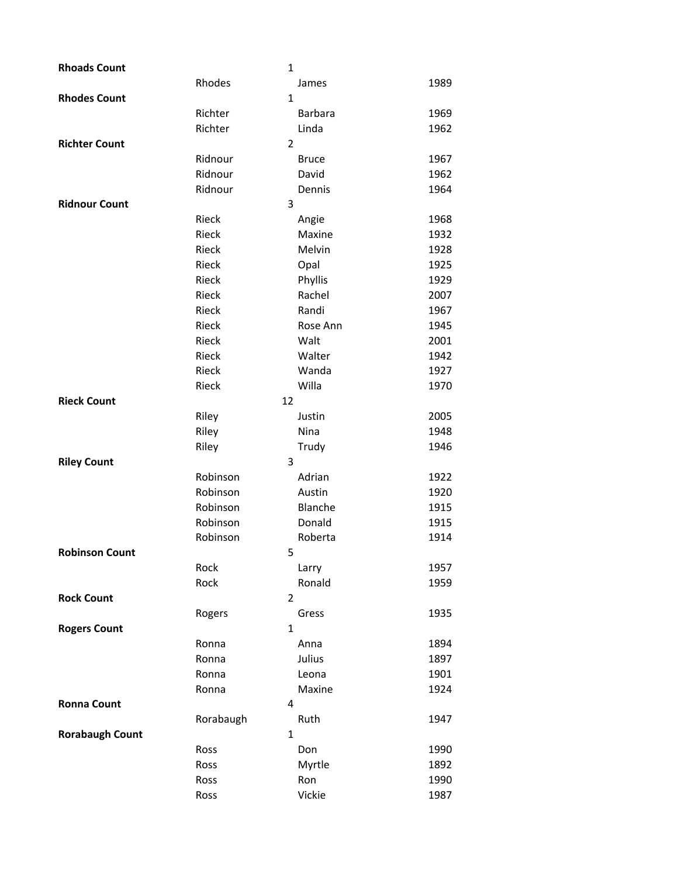| <b>Rhoads Count</b>    |           | $\mathbf{1}$   |      |
|------------------------|-----------|----------------|------|
|                        | Rhodes    | James          | 1989 |
| <b>Rhodes Count</b>    |           | $\mathbf{1}$   |      |
|                        | Richter   | <b>Barbara</b> | 1969 |
|                        | Richter   | Linda          | 1962 |
| <b>Richter Count</b>   |           | $\overline{2}$ |      |
|                        | Ridnour   | <b>Bruce</b>   | 1967 |
|                        | Ridnour   | David          | 1962 |
|                        | Ridnour   | Dennis         | 1964 |
| <b>Ridnour Count</b>   |           | 3              |      |
|                        | Rieck     | Angie          | 1968 |
|                        | Rieck     | Maxine         | 1932 |
|                        | Rieck     | Melvin         | 1928 |
|                        | Rieck     | Opal           | 1925 |
|                        | Rieck     | Phyllis        | 1929 |
|                        | Rieck     | Rachel         | 2007 |
|                        | Rieck     | Randi          | 1967 |
|                        | Rieck     | Rose Ann       | 1945 |
|                        | Rieck     | Walt           | 2001 |
|                        | Rieck     | Walter         | 1942 |
|                        | Rieck     | Wanda          | 1927 |
|                        | Rieck     | Willa          | 1970 |
| <b>Rieck Count</b>     | 12        |                |      |
|                        | Riley     | Justin         | 2005 |
|                        | Riley     | Nina           | 1948 |
|                        | Riley     | Trudy          | 1946 |
| <b>Riley Count</b>     |           | 3              |      |
|                        | Robinson  | Adrian         | 1922 |
|                        | Robinson  | Austin         | 1920 |
|                        | Robinson  | Blanche        | 1915 |
|                        | Robinson  | Donald         | 1915 |
|                        | Robinson  | Roberta        | 1914 |
| <b>Robinson Count</b>  |           | 5              |      |
|                        | Rock      | Larry          | 1957 |
|                        | Rock      | Ronald         | 1959 |
| <b>Rock Count</b>      |           | $\overline{2}$ |      |
|                        | Rogers    | Gress          | 1935 |
| <b>Rogers Count</b>    |           | 1              |      |
|                        | Ronna     | Anna           | 1894 |
|                        | Ronna     | Julius         | 1897 |
|                        | Ronna     | Leona          | 1901 |
|                        | Ronna     | Maxine         | 1924 |
| <b>Ronna Count</b>     |           | 4              |      |
|                        | Rorabaugh | Ruth           | 1947 |
| <b>Rorabaugh Count</b> |           | $\mathbf{1}$   |      |
|                        | Ross      | Don            | 1990 |
|                        | Ross      | Myrtle         | 1892 |
|                        | Ross      | Ron            | 1990 |
|                        | Ross      | Vickie         | 1987 |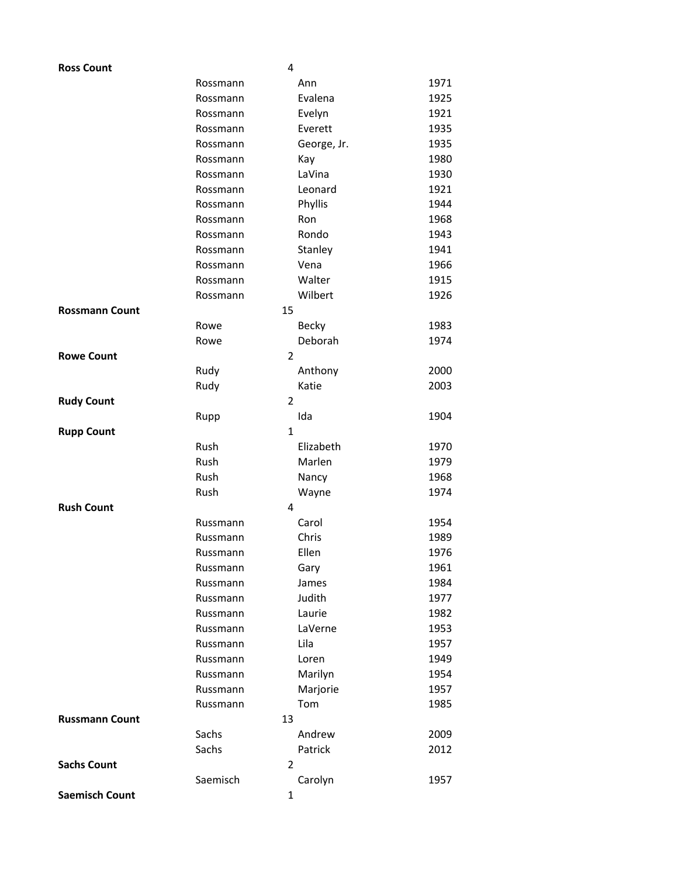| <b>Ross Count</b>     |                      | 4              |              |
|-----------------------|----------------------|----------------|--------------|
|                       | Rossmann             | Ann            | 1971         |
|                       | Rossmann             | Evalena        | 1925         |
|                       | Rossmann             | Evelyn         | 1921         |
|                       | Rossmann             | Everett        | 1935         |
|                       | Rossmann             | George, Jr.    | 1935         |
|                       | Rossmann             | Kay            | 1980         |
|                       | Rossmann             | LaVina         | 1930         |
|                       | Rossmann             | Leonard        | 1921         |
|                       | Rossmann             | Phyllis        | 1944         |
|                       | Rossmann             | Ron            | 1968         |
|                       | Rossmann             | Rondo          | 1943         |
|                       | Rossmann             | Stanley        | 1941         |
|                       | Rossmann             | Vena           | 1966         |
|                       | Rossmann             | Walter         | 1915         |
|                       | Rossmann             | Wilbert        | 1926         |
| <b>Rossmann Count</b> |                      | 15             |              |
|                       | Rowe                 | <b>Becky</b>   | 1983         |
|                       | Rowe                 | Deborah        | 1974         |
| <b>Rowe Count</b>     |                      | $\overline{2}$ |              |
|                       | Rudy                 | Anthony        | 2000         |
|                       | Rudy                 | Katie          | 2003         |
| <b>Rudy Count</b>     |                      | $\overline{2}$ |              |
|                       | Rupp                 | Ida            | 1904         |
| <b>Rupp Count</b>     |                      | $\mathbf{1}$   |              |
|                       | Rush                 | Elizabeth      | 1970         |
|                       | Rush                 | Marlen         | 1979         |
|                       | Rush                 | Nancy          | 1968         |
|                       | Rush                 | Wayne          | 1974         |
| <b>Rush Count</b>     |                      | 4              |              |
|                       | Russmann<br>Russmann | Carol<br>Chris | 1954         |
|                       |                      | Ellen          | 1989<br>1976 |
|                       | Russmann<br>Russmann | Gary           | 1961         |
|                       | Russmann             | James          | 1984         |
|                       | Russmann             | Judith         | 1977         |
|                       | Russmann             | Laurie         | 1982         |
|                       | Russmann             | LaVerne        | 1953         |
|                       | Russmann             | Lila           | 1957         |
|                       | Russmann             | Loren          | 1949         |
|                       | Russmann             | Marilyn        | 1954         |
|                       | Russmann             | Marjorie       | 1957         |
|                       | Russmann             | Tom            | 1985         |
| <b>Russmann Count</b> |                      | 13             |              |
|                       | Sachs                | Andrew         | 2009         |
|                       | Sachs                | Patrick        | 2012         |
| <b>Sachs Count</b>    |                      | 2              |              |
|                       | Saemisch             | Carolyn        | 1957         |
| <b>Saemisch Count</b> |                      | 1              |              |
|                       |                      |                |              |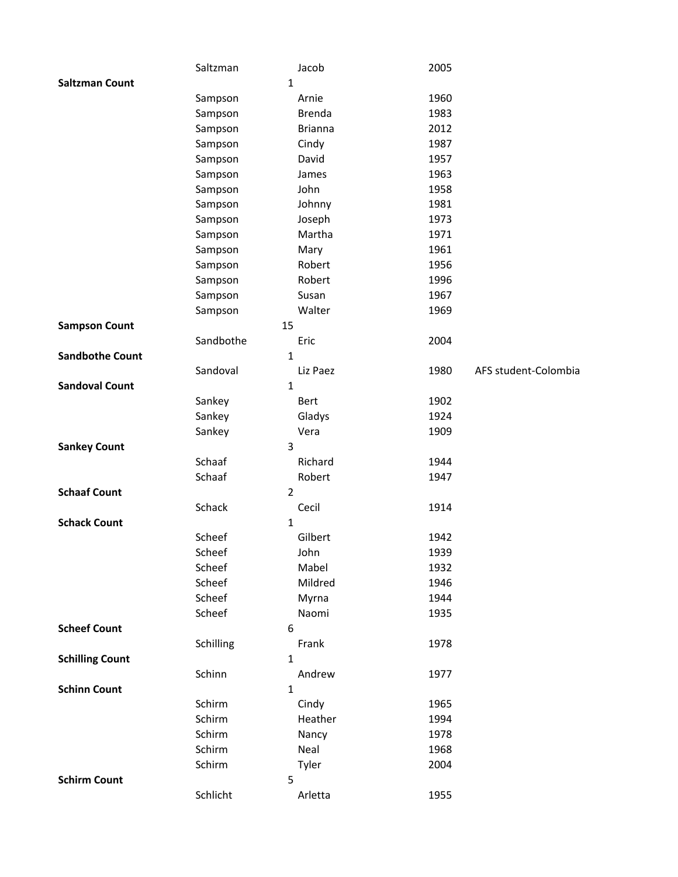|                        | Saltzman  | Jacob          | 2005 |                      |
|------------------------|-----------|----------------|------|----------------------|
| <b>Saltzman Count</b>  |           | $\mathbf{1}$   |      |                      |
|                        | Sampson   | Arnie          | 1960 |                      |
|                        | Sampson   | <b>Brenda</b>  | 1983 |                      |
|                        | Sampson   | <b>Brianna</b> | 2012 |                      |
|                        | Sampson   | Cindy          | 1987 |                      |
|                        | Sampson   | David          | 1957 |                      |
|                        | Sampson   | James          | 1963 |                      |
|                        | Sampson   | John           | 1958 |                      |
|                        | Sampson   | Johnny         | 1981 |                      |
|                        | Sampson   | Joseph         | 1973 |                      |
|                        | Sampson   | Martha         | 1971 |                      |
|                        | Sampson   | Mary           | 1961 |                      |
|                        | Sampson   | Robert         | 1956 |                      |
|                        | Sampson   | Robert         | 1996 |                      |
|                        | Sampson   | Susan          | 1967 |                      |
|                        | Sampson   | Walter         | 1969 |                      |
| <b>Sampson Count</b>   | 15        |                |      |                      |
|                        | Sandbothe | Eric           | 2004 |                      |
| <b>Sandbothe Count</b> |           | $\mathbf{1}$   |      |                      |
|                        | Sandoval  | Liz Paez       | 1980 | AFS student-Colombia |
| <b>Sandoval Count</b>  |           | $\mathbf{1}$   |      |                      |
|                        | Sankey    | <b>Bert</b>    | 1902 |                      |
|                        | Sankey    | Gladys         | 1924 |                      |
|                        | Sankey    | Vera           | 1909 |                      |
| <b>Sankey Count</b>    |           | 3              |      |                      |
|                        | Schaaf    | Richard        | 1944 |                      |
|                        | Schaaf    | Robert         | 1947 |                      |
| <b>Schaaf Count</b>    |           | $\overline{2}$ |      |                      |
|                        | Schack    | Cecil          | 1914 |                      |
| <b>Schack Count</b>    |           | $\mathbf{1}$   |      |                      |
|                        | Scheef    | Gilbert        | 1942 |                      |
|                        | Scheef    | John           | 1939 |                      |
|                        | Scheef    | Mabel          | 1932 |                      |
|                        | Scheef    | Mildred        | 1946 |                      |
|                        | Scheef    | Myrna          | 1944 |                      |
|                        | Scheef    | Naomi          | 1935 |                      |
| <b>Scheef Count</b>    |           | 6              |      |                      |
|                        | Schilling | Frank          | 1978 |                      |
| <b>Schilling Count</b> |           | $\mathbf{1}$   |      |                      |
|                        | Schinn    | Andrew         | 1977 |                      |
| <b>Schinn Count</b>    |           | 1              |      |                      |
|                        | Schirm    | Cindy          | 1965 |                      |
|                        | Schirm    | Heather        | 1994 |                      |
|                        | Schirm    | Nancy          | 1978 |                      |
|                        | Schirm    | Neal           | 1968 |                      |
|                        | Schirm    | Tyler          | 2004 |                      |
| <b>Schirm Count</b>    |           | 5              |      |                      |
|                        | Schlicht  | Arletta        | 1955 |                      |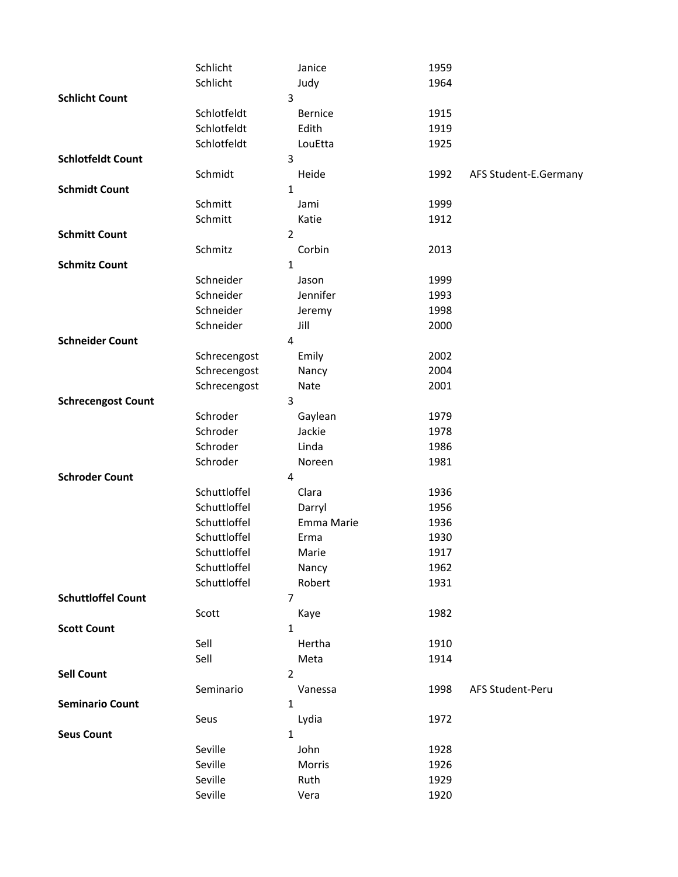|                           | Schlicht     |                | Janice         | 1959 |                       |
|---------------------------|--------------|----------------|----------------|------|-----------------------|
|                           | Schlicht     |                | Judy           | 1964 |                       |
| <b>Schlicht Count</b>     |              | 3              |                |      |                       |
|                           | Schlotfeldt  |                | <b>Bernice</b> | 1915 |                       |
|                           | Schlotfeldt  |                | Edith          | 1919 |                       |
|                           | Schlotfeldt  |                | LouEtta        | 1925 |                       |
| <b>Schlotfeldt Count</b>  |              | 3              |                |      |                       |
|                           | Schmidt      |                | Heide          | 1992 | AFS Student-E.Germany |
| <b>Schmidt Count</b>      |              | 1              |                |      |                       |
|                           | Schmitt      |                | Jami           | 1999 |                       |
|                           | Schmitt      |                | Katie          | 1912 |                       |
| <b>Schmitt Count</b>      |              | $\overline{2}$ |                |      |                       |
|                           | Schmitz      |                | Corbin         | 2013 |                       |
| <b>Schmitz Count</b>      |              | $\mathbf{1}$   |                |      |                       |
|                           | Schneider    |                | Jason          | 1999 |                       |
|                           | Schneider    |                | Jennifer       | 1993 |                       |
|                           | Schneider    |                | Jeremy         | 1998 |                       |
|                           | Schneider    |                | Jill           | 2000 |                       |
| <b>Schneider Count</b>    |              | 4              |                |      |                       |
|                           | Schrecengost |                | Emily          | 2002 |                       |
|                           | Schrecengost |                | Nancy          | 2004 |                       |
|                           | Schrecengost |                | Nate           | 2001 |                       |
| <b>Schrecengost Count</b> |              | 3              |                |      |                       |
|                           | Schroder     |                | Gaylean        | 1979 |                       |
|                           | Schroder     |                | Jackie         | 1978 |                       |
|                           | Schroder     |                | Linda          | 1986 |                       |
|                           | Schroder     |                | Noreen         | 1981 |                       |
| <b>Schroder Count</b>     |              | 4              |                |      |                       |
|                           | Schuttloffel |                | Clara          | 1936 |                       |
|                           | Schuttloffel |                | Darryl         | 1956 |                       |
|                           | Schuttloffel |                | Emma Marie     | 1936 |                       |
|                           | Schuttloffel |                | Erma           | 1930 |                       |
|                           | Schuttloffel |                | Marie          | 1917 |                       |
|                           | Schuttloffel |                | Nancy          | 1962 |                       |
|                           | Schuttloffel |                | Robert         | 1931 |                       |
| <b>Schuttloffel Count</b> |              | 7              |                |      |                       |
|                           | Scott        |                | Kaye           | 1982 |                       |
| <b>Scott Count</b>        |              | $\mathbf{1}$   |                |      |                       |
|                           | Sell         |                | Hertha         | 1910 |                       |
|                           | Sell         |                | Meta           | 1914 |                       |
| <b>Sell Count</b>         |              | $\overline{2}$ |                |      |                       |
|                           | Seminario    |                | Vanessa        | 1998 | AFS Student-Peru      |
| <b>Seminario Count</b>    |              | $\mathbf{1}$   |                |      |                       |
|                           | Seus         |                | Lydia          | 1972 |                       |
| <b>Seus Count</b>         |              | $\mathbf{1}$   |                |      |                       |
|                           | Seville      |                | John           | 1928 |                       |
|                           | Seville      |                | Morris         | 1926 |                       |
|                           | Seville      |                | Ruth           | 1929 |                       |
|                           | Seville      |                | Vera           | 1920 |                       |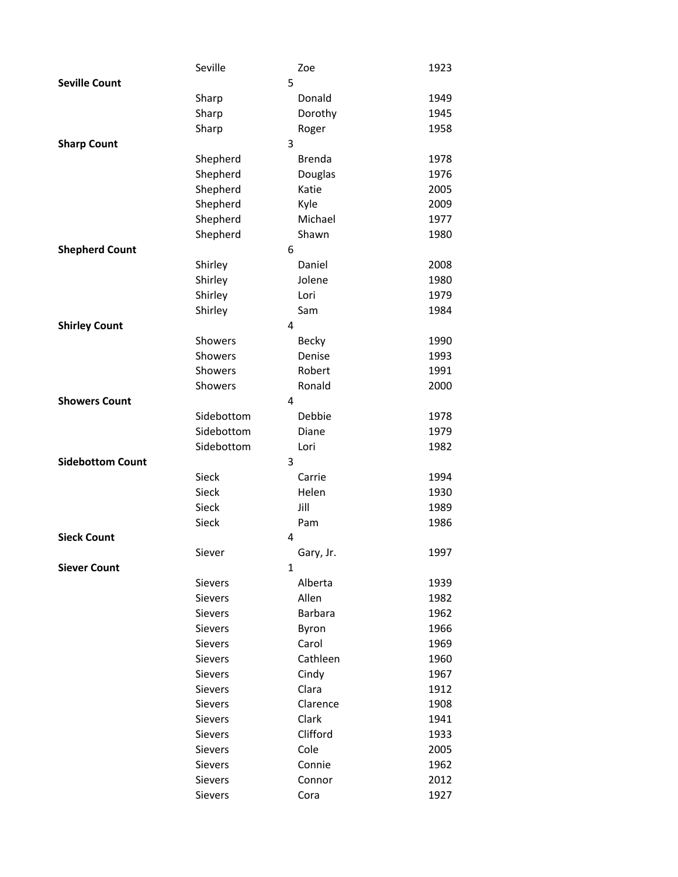|                         | Seville        | Zoe            | 1923 |
|-------------------------|----------------|----------------|------|
| <b>Seville Count</b>    |                | 5              |      |
|                         | Sharp          | Donald         | 1949 |
|                         | Sharp          | Dorothy        | 1945 |
|                         | Sharp          | Roger          | 1958 |
| <b>Sharp Count</b>      |                | 3              |      |
|                         | Shepherd       | <b>Brenda</b>  | 1978 |
|                         | Shepherd       | Douglas        | 1976 |
|                         | Shepherd       | Katie          | 2005 |
|                         | Shepherd       | Kyle           | 2009 |
|                         | Shepherd       | Michael        | 1977 |
|                         | Shepherd       | Shawn          | 1980 |
| <b>Shepherd Count</b>   |                | 6              |      |
|                         | Shirley        | Daniel         | 2008 |
|                         | Shirley        | Jolene         | 1980 |
|                         | Shirley        | Lori           | 1979 |
|                         | Shirley        | Sam            | 1984 |
| <b>Shirley Count</b>    |                | 4              |      |
|                         | Showers        | <b>Becky</b>   | 1990 |
|                         | Showers        | Denise         | 1993 |
|                         | Showers        | Robert         | 1991 |
|                         | Showers        | Ronald         | 2000 |
| <b>Showers Count</b>    |                | 4              |      |
|                         | Sidebottom     | Debbie         | 1978 |
|                         | Sidebottom     | Diane          | 1979 |
|                         | Sidebottom     | Lori           | 1982 |
| <b>Sidebottom Count</b> |                | 3              |      |
|                         | Sieck          | Carrie         | 1994 |
|                         | <b>Sieck</b>   | Helen          | 1930 |
|                         | Sieck          | Jill           | 1989 |
|                         | Sieck          | Pam            | 1986 |
| <b>Sieck Count</b>      |                | 4              |      |
|                         | Siever         | Gary, Jr.      | 1997 |
| <b>Siever Count</b>     |                | 1              |      |
|                         | Sievers        | Alberta        | 1939 |
|                         | Sievers        | Allen          | 1982 |
|                         | Sievers        | <b>Barbara</b> | 1962 |
|                         | <b>Sievers</b> | Byron          | 1966 |
|                         | Sievers        | Carol          | 1969 |
|                         | Sievers        | Cathleen       | 1960 |
|                         | Sievers        | Cindy          | 1967 |
|                         | Sievers        | Clara          | 1912 |
|                         | Sievers        | Clarence       | 1908 |
|                         | Sievers        | Clark          | 1941 |
|                         | Sievers        | Clifford       | 1933 |
|                         | Sievers        | Cole           | 2005 |
|                         | Sievers        | Connie         | 1962 |
|                         | Sievers        | Connor         | 2012 |
|                         | Sievers        | Cora           | 1927 |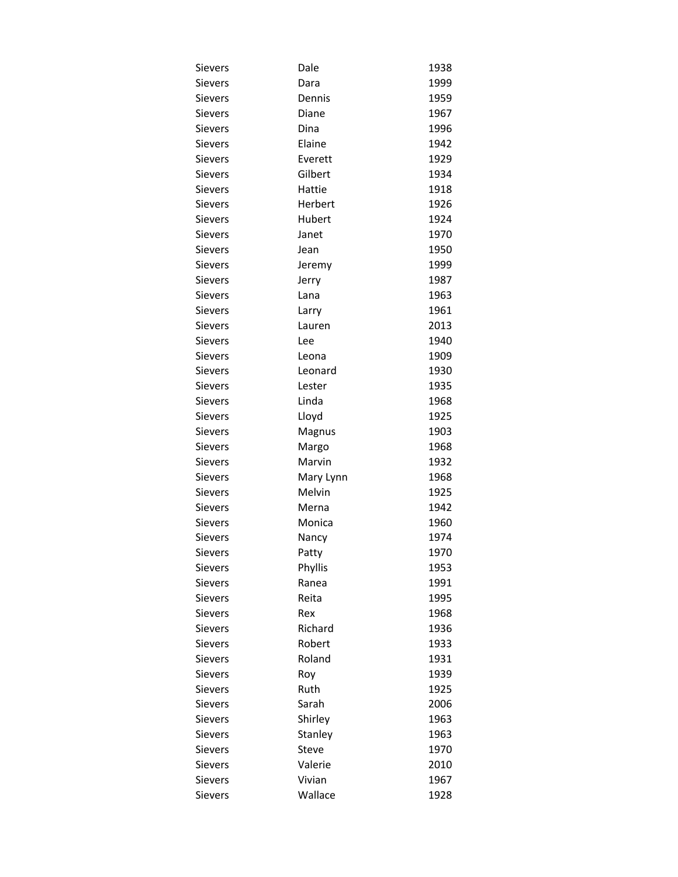| Sievers        | Dale      | 1938 |
|----------------|-----------|------|
| Sievers        | Dara      | 1999 |
| Sievers        | Dennis    | 1959 |
| <b>Sievers</b> | Diane     | 1967 |
| Sievers        | Dina      | 1996 |
| <b>Sievers</b> | Elaine    | 1942 |
| Sievers        | Everett   | 1929 |
| Sievers        | Gilbert   | 1934 |
| Sievers        | Hattie    | 1918 |
| <b>Sievers</b> | Herbert   | 1926 |
| <b>Sievers</b> | Hubert    | 1924 |
| Sievers        | Janet     | 1970 |
| <b>Sievers</b> | Jean      | 1950 |
| Sievers        | Jeremy    | 1999 |
| Sievers        | Jerry     | 1987 |
| Sievers        | Lana      | 1963 |
| <b>Sievers</b> | Larry     | 1961 |
| Sievers        | Lauren    | 2013 |
| Sievers        | Lee       | 1940 |
| Sievers        | Leona     | 1909 |
| <b>Sievers</b> | Leonard   | 1930 |
| <b>Sievers</b> | Lester    | 1935 |
| Sievers        | Linda     | 1968 |
| <b>Sievers</b> | Lloyd     | 1925 |
| Sievers        | Magnus    | 1903 |
| Sievers        | Margo     | 1968 |
| Sievers        | Marvin    | 1932 |
| Sievers        | Mary Lynn | 1968 |
| Sievers        | Melvin    | 1925 |
| Sievers        | Merna     | 1942 |
| <b>Sievers</b> | Monica    | 1960 |
| Sievers        | Nancy     | 1974 |
| Sievers        | Patty     | 1970 |
| Sievers        | Phyllis   | 1953 |
| Sievers        | Ranea     | 1991 |
| Sievers        | Reita     | 1995 |
| Sievers        | Rex       | 1968 |
| <b>Sievers</b> | Richard   | 1936 |
| Sievers        | Robert    | 1933 |
| Sievers        | Roland    | 1931 |
| Sievers        | Roy       | 1939 |
| Sievers        | Ruth      | 1925 |
| <b>Sievers</b> | Sarah     | 2006 |
| Sievers        | Shirley   | 1963 |
| Sievers        | Stanley   | 1963 |
| Sievers        | Steve     | 1970 |
| <b>Sievers</b> | Valerie   | 2010 |
| Sievers        | Vivian    | 1967 |
| Sievers        | Wallace   | 1928 |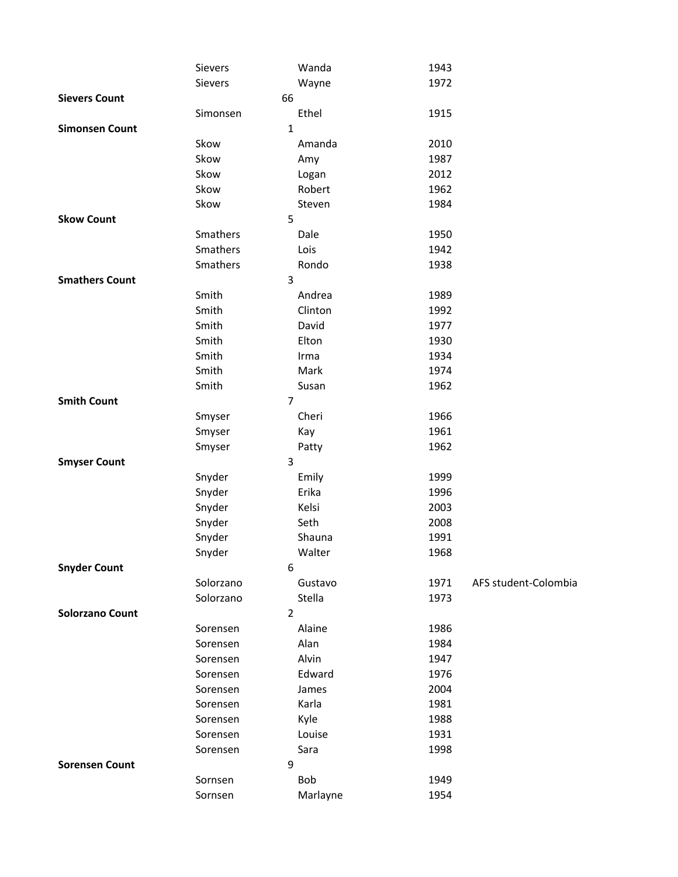|                        | Sievers   | Wanda          | 1943 |                      |
|------------------------|-----------|----------------|------|----------------------|
|                        | Sievers   | Wayne          | 1972 |                      |
| <b>Sievers Count</b>   |           | 66             |      |                      |
|                        | Simonsen  | Ethel          | 1915 |                      |
| <b>Simonsen Count</b>  |           | 1              |      |                      |
|                        | Skow      | Amanda         | 2010 |                      |
|                        | Skow      | Amy            | 1987 |                      |
|                        | Skow      | Logan          | 2012 |                      |
|                        | Skow      | Robert         | 1962 |                      |
|                        | Skow      | Steven         | 1984 |                      |
| <b>Skow Count</b>      |           | 5              |      |                      |
|                        | Smathers  | Dale           | 1950 |                      |
|                        | Smathers  | Lois           | 1942 |                      |
|                        | Smathers  | Rondo          | 1938 |                      |
| <b>Smathers Count</b>  |           | 3              |      |                      |
|                        | Smith     | Andrea         | 1989 |                      |
|                        | Smith     | Clinton        | 1992 |                      |
|                        | Smith     | David          | 1977 |                      |
|                        | Smith     | Elton          | 1930 |                      |
|                        | Smith     | Irma           | 1934 |                      |
|                        | Smith     | Mark           | 1974 |                      |
|                        | Smith     | Susan          | 1962 |                      |
| <b>Smith Count</b>     |           | 7              |      |                      |
|                        | Smyser    | Cheri          | 1966 |                      |
|                        | Smyser    | Kay            | 1961 |                      |
|                        | Smyser    | Patty          | 1962 |                      |
| <b>Smyser Count</b>    |           | 3              |      |                      |
|                        | Snyder    | Emily          | 1999 |                      |
|                        | Snyder    | Erika          | 1996 |                      |
|                        | Snyder    | Kelsi          | 2003 |                      |
|                        | Snyder    | Seth           | 2008 |                      |
|                        | Snyder    | Shauna         | 1991 |                      |
|                        | Snyder    | Walter         | 1968 |                      |
| <b>Snyder Count</b>    |           | 6              |      |                      |
|                        | Solorzano | Gustavo        | 1971 | AFS student-Colombia |
|                        | Solorzano | Stella         | 1973 |                      |
| <b>Solorzano Count</b> |           | $\overline{2}$ |      |                      |
|                        | Sorensen  | Alaine         | 1986 |                      |
|                        | Sorensen  | Alan           | 1984 |                      |
|                        | Sorensen  | Alvin          | 1947 |                      |
|                        | Sorensen  | Edward         | 1976 |                      |
|                        | Sorensen  | James          | 2004 |                      |
|                        | Sorensen  | Karla          | 1981 |                      |
|                        | Sorensen  | Kyle           | 1988 |                      |
|                        | Sorensen  | Louise         | 1931 |                      |
|                        | Sorensen  | Sara           | 1998 |                      |
| <b>Sorensen Count</b>  |           | 9              |      |                      |
|                        | Sornsen   | Bob            | 1949 |                      |
|                        | Sornsen   | Marlayne       | 1954 |                      |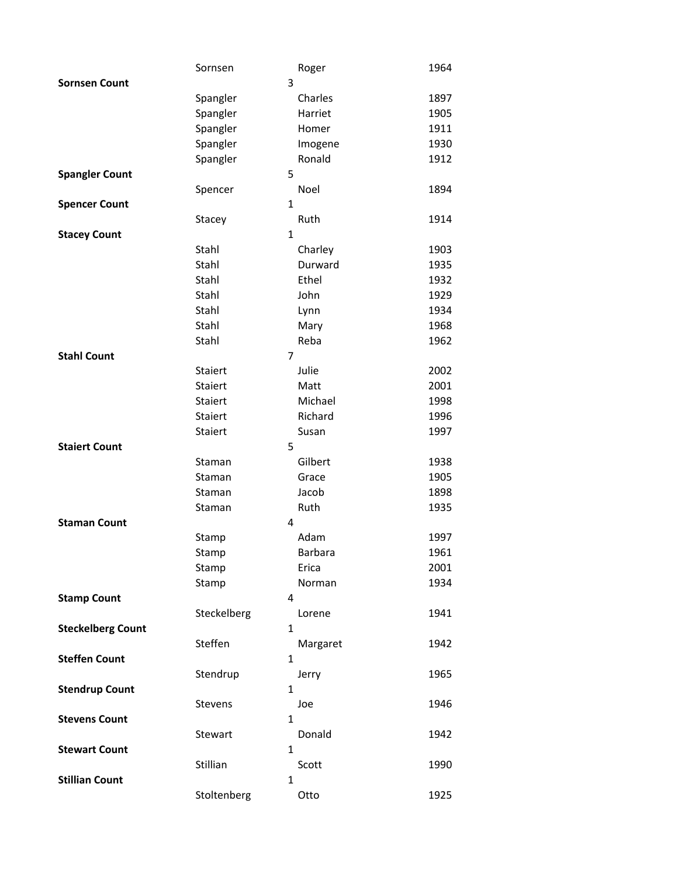|                          | Sornsen     | Roger                  | 1964 |
|--------------------------|-------------|------------------------|------|
| <b>Sornsen Count</b>     |             | 3                      |      |
|                          | Spangler    | Charles                | 1897 |
|                          | Spangler    | Harriet                | 1905 |
|                          | Spangler    | Homer                  | 1911 |
|                          | Spangler    | Imogene                | 1930 |
|                          | Spangler    | Ronald                 | 1912 |
| <b>Spangler Count</b>    |             | 5                      |      |
|                          | Spencer     | Noel                   | 1894 |
| <b>Spencer Count</b>     |             | $\mathbf{1}$           |      |
|                          | Stacey      | Ruth                   | 1914 |
| <b>Stacey Count</b>      |             | $\mathbf{1}$           |      |
|                          | Stahl       | Charley                | 1903 |
|                          | Stahl       | Durward                | 1935 |
|                          | Stahl       | Ethel                  | 1932 |
|                          | Stahl       | John                   | 1929 |
|                          | Stahl       | Lynn                   | 1934 |
|                          | Stahl       | Mary                   | 1968 |
|                          | Stahl       | Reba                   | 1962 |
| <b>Stahl Count</b>       |             | 7                      |      |
|                          | Staiert     | Julie                  | 2002 |
|                          | Staiert     | Matt                   | 2001 |
|                          | Staiert     | Michael                | 1998 |
|                          | Staiert     | Richard                | 1996 |
|                          | Staiert     | Susan                  | 1997 |
| <b>Staiert Count</b>     |             | 5                      |      |
|                          | Staman      | Gilbert                | 1938 |
|                          | Staman      | Grace                  | 1905 |
|                          | Staman      | Jacob                  | 1898 |
|                          | Staman      | Ruth                   | 1935 |
| <b>Staman Count</b>      |             | 4                      |      |
|                          | Stamp       | Adam                   | 1997 |
|                          | Stamp       | <b>Barbara</b>         | 1961 |
|                          | Stamp       | Erica                  | 2001 |
|                          | Stamp       | Norman                 | 1934 |
| <b>Stamp Count</b>       |             | 4                      |      |
|                          | Steckelberg | Lorene                 | 1941 |
| <b>Steckelberg Count</b> |             | 1                      |      |
|                          | Steffen     | Margaret               | 1942 |
| <b>Steffen Count</b>     |             | 1                      |      |
|                          | Stendrup    | Jerry                  | 1965 |
| <b>Stendrup Count</b>    |             | 1                      |      |
|                          | Stevens     | Joe                    | 1946 |
| <b>Stevens Count</b>     |             | $\mathbf{1}$           |      |
|                          | Stewart     | Donald<br>$\mathbf{1}$ | 1942 |
| <b>Stewart Count</b>     | Stillian    |                        |      |
| <b>Stillian Count</b>    |             | Scott<br>1             | 1990 |
|                          |             |                        | 1925 |
|                          | Stoltenberg | Otto                   |      |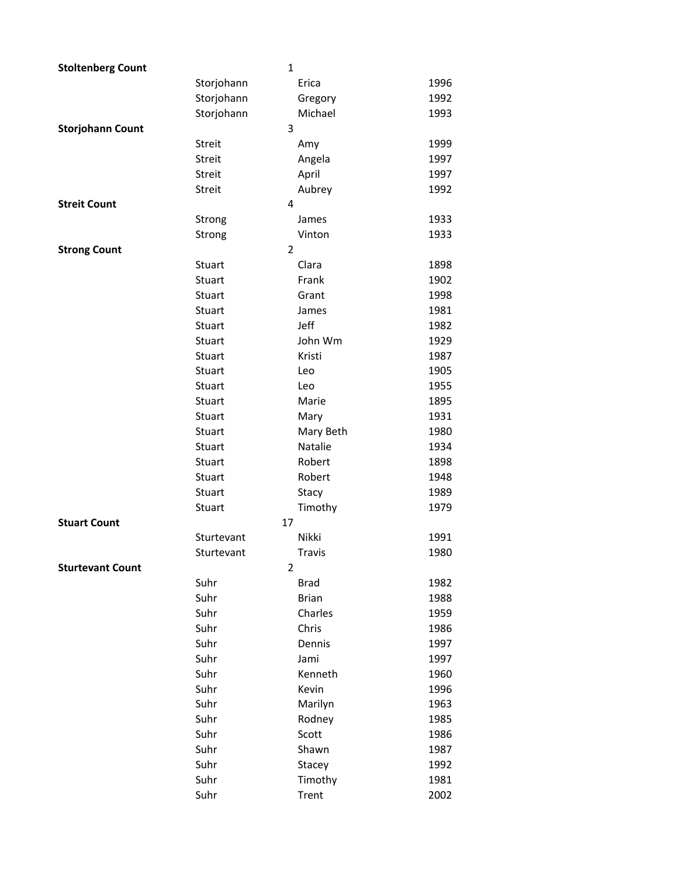| <b>Stoltenberg Count</b> | $\mathbf{1}$   |               |      |
|--------------------------|----------------|---------------|------|
|                          | Storjohann     | Erica         | 1996 |
|                          | Storjohann     | Gregory       | 1992 |
|                          | Storjohann     | Michael       | 1993 |
| <b>Storjohann Count</b>  | 3              |               |      |
|                          | Streit         | Amy           | 1999 |
|                          | Streit         | Angela        | 1997 |
|                          | <b>Streit</b>  | April         | 1997 |
|                          | Streit         | Aubrey        | 1992 |
| <b>Streit Count</b>      | 4              |               |      |
|                          | Strong         | James         | 1933 |
|                          | Strong         | Vinton        | 1933 |
| <b>Strong Count</b>      | $\overline{2}$ |               |      |
|                          | Stuart         | Clara         | 1898 |
|                          | Stuart         | Frank         | 1902 |
|                          | Stuart         | Grant         | 1998 |
|                          | Stuart         | James         | 1981 |
|                          | Stuart         | Jeff          | 1982 |
|                          | Stuart         | John Wm       | 1929 |
|                          | Stuart         | Kristi        | 1987 |
|                          | Stuart         | Leo           | 1905 |
|                          | Stuart         | Leo           | 1955 |
|                          | Stuart         | Marie         | 1895 |
|                          | Stuart         | Mary          | 1931 |
|                          | Stuart         | Mary Beth     | 1980 |
|                          | Stuart         | Natalie       | 1934 |
|                          | Stuart         | Robert        | 1898 |
|                          | Stuart         | Robert        | 1948 |
|                          | Stuart         | Stacy         | 1989 |
|                          | Stuart         | Timothy       | 1979 |
| <b>Stuart Count</b>      | 17             |               |      |
|                          | Sturtevant     | Nikki         | 1991 |
|                          | Sturtevant     | <b>Travis</b> | 1980 |
| <b>Sturtevant Count</b>  | $\overline{2}$ |               |      |
|                          | Suhr           | <b>Brad</b>   | 1982 |
|                          | Suhr           | <b>Brian</b>  | 1988 |
|                          | Suhr           | Charles       | 1959 |
|                          | Suhr           | Chris         | 1986 |
|                          | Suhr           | Dennis        | 1997 |
|                          | Suhr           | Jami          | 1997 |
|                          | Suhr           | Kenneth       | 1960 |
|                          | Suhr           | Kevin         | 1996 |
|                          | Suhr           | Marilyn       | 1963 |
|                          | Suhr           | Rodney        | 1985 |
|                          | Suhr           | Scott         | 1986 |
|                          | Suhr           | Shawn         | 1987 |
|                          | Suhr           | Stacey        | 1992 |
|                          | Suhr           | Timothy       | 1981 |
|                          | Suhr           | Trent         | 2002 |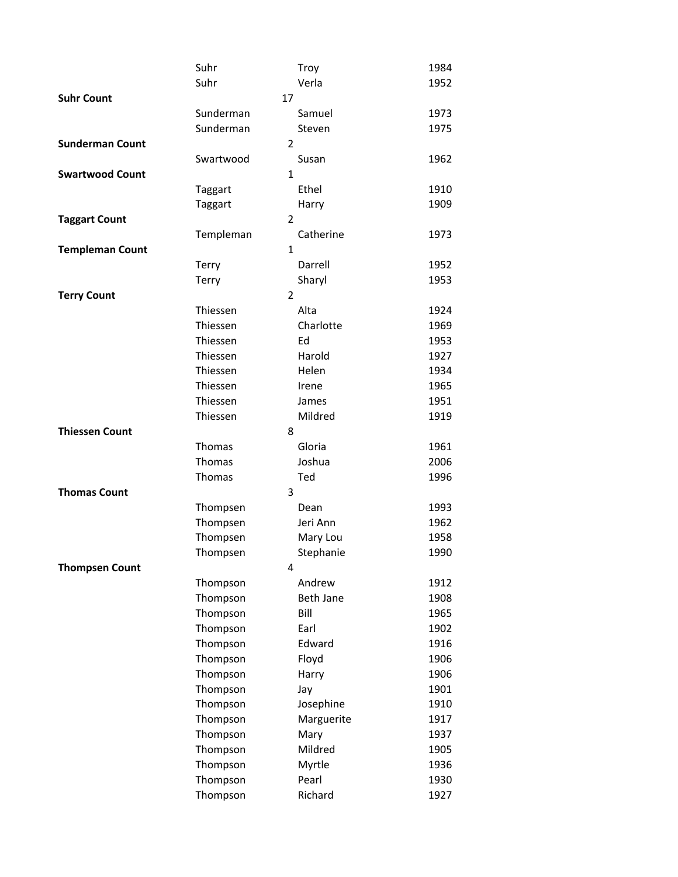|                        | Suhr           | Troy       | 1984 |
|------------------------|----------------|------------|------|
|                        | Suhr           | Verla      | 1952 |
| <b>Suhr Count</b>      | 17             |            |      |
|                        | Sunderman      | Samuel     | 1973 |
|                        | Sunderman      | Steven     | 1975 |
| <b>Sunderman Count</b> | $\overline{2}$ |            |      |
|                        | Swartwood      | Susan      | 1962 |
| <b>Swartwood Count</b> | $\mathbf{1}$   |            |      |
|                        | Taggart        | Ethel      | 1910 |
|                        | Taggart        | Harry      | 1909 |
| <b>Taggart Count</b>   | $\overline{2}$ |            |      |
|                        | Templeman      | Catherine  | 1973 |
| <b>Templeman Count</b> | $\mathbf{1}$   |            |      |
|                        | Terry          | Darrell    | 1952 |
|                        | Terry          | Sharyl     | 1953 |
| <b>Terry Count</b>     | 2              |            |      |
|                        | Thiessen       | Alta       | 1924 |
|                        | Thiessen       | Charlotte  | 1969 |
|                        | Thiessen       | Ed         | 1953 |
|                        | Thiessen       | Harold     | 1927 |
|                        | Thiessen       | Helen      | 1934 |
|                        | Thiessen       | Irene      | 1965 |
|                        | Thiessen       | James      | 1951 |
|                        | Thiessen       | Mildred    | 1919 |
| <b>Thiessen Count</b>  | 8              |            |      |
|                        | Thomas         | Gloria     | 1961 |
|                        | Thomas         | Joshua     | 2006 |
|                        | Thomas         | Ted        | 1996 |
| <b>Thomas Count</b>    | 3              |            |      |
|                        | Thompsen       | Dean       | 1993 |
|                        | Thompsen       | Jeri Ann   | 1962 |
|                        | Thompsen       | Mary Lou   | 1958 |
|                        | Thompsen       | Stephanie  | 1990 |
| <b>Thompsen Count</b>  | 4              |            |      |
|                        | Thompson       | Andrew     | 1912 |
|                        | Thompson       | Beth Jane  | 1908 |
|                        | Thompson       | Bill       | 1965 |
|                        | Thompson       | Earl       | 1902 |
|                        | Thompson       | Edward     | 1916 |
|                        | Thompson       | Floyd      | 1906 |
|                        | Thompson       | Harry      | 1906 |
|                        | Thompson       | Jay        | 1901 |
|                        | Thompson       | Josephine  | 1910 |
|                        | Thompson       | Marguerite | 1917 |
|                        | Thompson       | Mary       | 1937 |
|                        | Thompson       | Mildred    | 1905 |
|                        | Thompson       | Myrtle     | 1936 |
|                        | Thompson       | Pearl      | 1930 |
|                        | Thompson       | Richard    | 1927 |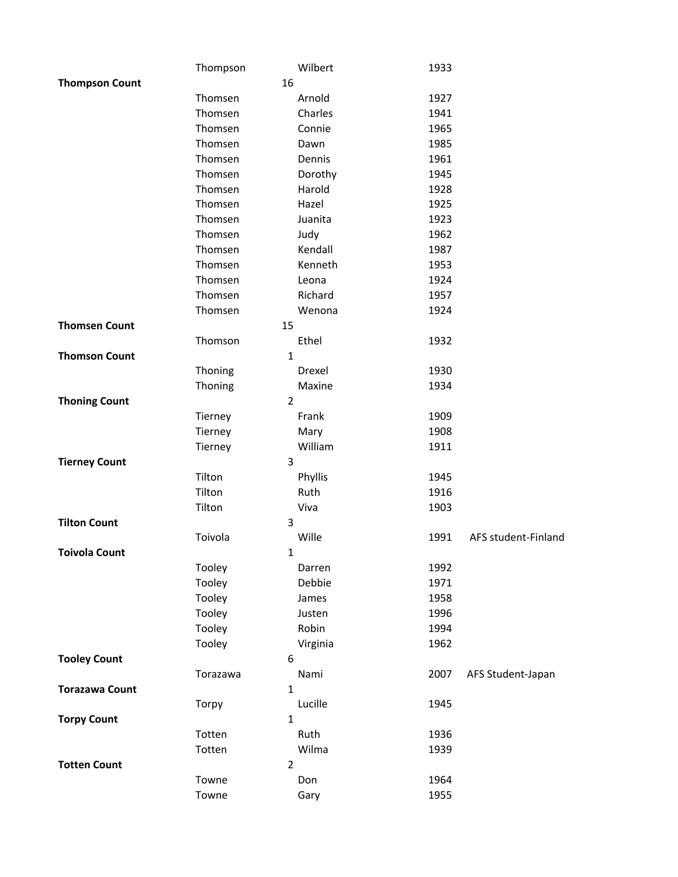|                       | Thompson       | Wilbert  | 1933 |                     |
|-----------------------|----------------|----------|------|---------------------|
| <b>Thompson Count</b> | 16             |          |      |                     |
|                       | Thomsen        | Arnold   | 1927 |                     |
|                       | Thomsen        | Charles  | 1941 |                     |
|                       | Thomsen        | Connie   | 1965 |                     |
|                       | Thomsen        | Dawn     | 1985 |                     |
|                       | Thomsen        | Dennis   | 1961 |                     |
|                       | Thomsen        | Dorothy  | 1945 |                     |
|                       | Thomsen        | Harold   | 1928 |                     |
|                       | Thomsen        | Hazel    | 1925 |                     |
|                       | Thomsen        | Juanita  | 1923 |                     |
|                       | Thomsen        | Judy     | 1962 |                     |
|                       | Thomsen        | Kendall  | 1987 |                     |
|                       | Thomsen        | Kenneth  | 1953 |                     |
|                       | Thomsen        | Leona    | 1924 |                     |
|                       | Thomsen        | Richard  | 1957 |                     |
|                       | Thomsen        | Wenona   | 1924 |                     |
| <b>Thomsen Count</b>  | 15             |          |      |                     |
|                       | Thomson        | Ethel    | 1932 |                     |
| <b>Thomson Count</b>  | 1              |          |      |                     |
|                       | Thoning        | Drexel   | 1930 |                     |
|                       | Thoning        | Maxine   | 1934 |                     |
| <b>Thoning Count</b>  | $\overline{2}$ |          |      |                     |
|                       | Tierney        | Frank    | 1909 |                     |
|                       | Tierney        | Mary     | 1908 |                     |
|                       | Tierney        | William  | 1911 |                     |
| <b>Tierney Count</b>  | 3              |          |      |                     |
|                       | Tilton         | Phyllis  | 1945 |                     |
|                       | Tilton         | Ruth     | 1916 |                     |
|                       | Tilton         | Viva     | 1903 |                     |
| <b>Tilton Count</b>   | 3              |          |      |                     |
|                       | Toivola        | Wille    | 1991 | AFS student-Finland |
| <b>Toivola Count</b>  | 1              |          |      |                     |
|                       | Tooley         | Darren   | 1992 |                     |
|                       | Tooley         | Debbie   | 1971 |                     |
|                       | Tooley         | James    | 1958 |                     |
|                       | Tooley         | Justen   | 1996 |                     |
|                       | Tooley         | Robin    | 1994 |                     |
|                       | Tooley         | Virginia | 1962 |                     |
| <b>Tooley Count</b>   | 6              |          |      |                     |
|                       | Torazawa       | Nami     | 2007 | AFS Student-Japan   |
| <b>Torazawa Count</b> | 1              |          |      |                     |
|                       | Torpy          | Lucille  | 1945 |                     |
| <b>Torpy Count</b>    | 1              |          |      |                     |
|                       | Totten         | Ruth     | 1936 |                     |
|                       | Totten         | Wilma    | 1939 |                     |
| <b>Totten Count</b>   | $\overline{2}$ |          |      |                     |
|                       | Towne          | Don      | 1964 |                     |
|                       | Towne          | Gary     | 1955 |                     |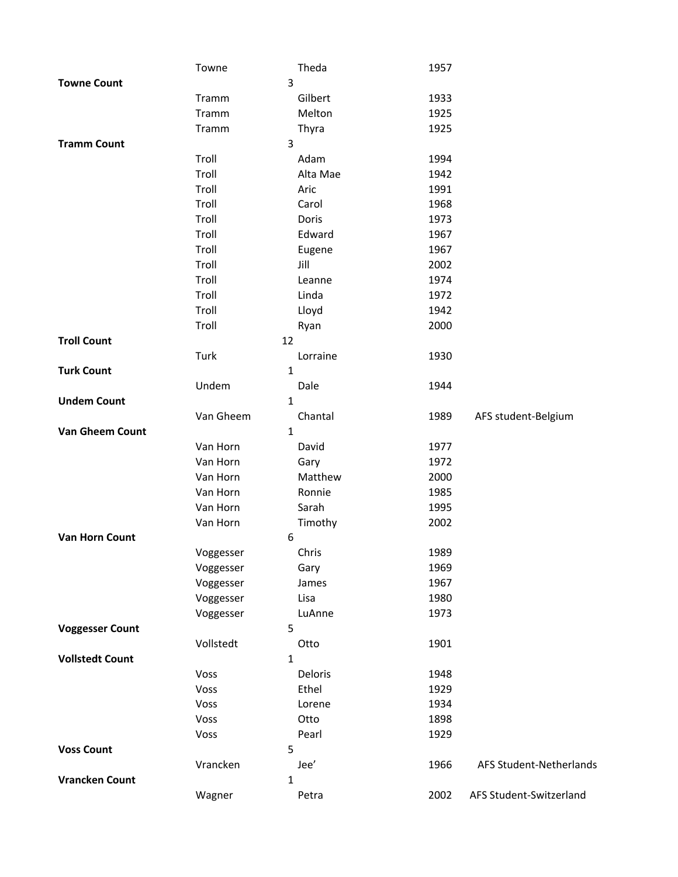|                        | Towne        | Theda            | 1957 |                         |
|------------------------|--------------|------------------|------|-------------------------|
| <b>Towne Count</b>     |              | 3                |      |                         |
|                        | Tramm        | Gilbert          | 1933 |                         |
|                        | Tramm        | Melton           | 1925 |                         |
|                        | Tramm        | Thyra            | 1925 |                         |
| <b>Tramm Count</b>     |              | 3                |      |                         |
|                        | Troll        | Adam             | 1994 |                         |
|                        | Troll        | Alta Mae         | 1942 |                         |
|                        | Troll        | Aric             | 1991 |                         |
|                        | Troll        | Carol            | 1968 |                         |
|                        | Troll        | Doris            | 1973 |                         |
|                        | Troll        | Edward           | 1967 |                         |
|                        | Troll        | Eugene           | 1967 |                         |
|                        | Troll        | Jill             | 2002 |                         |
|                        | Troll        | Leanne           | 1974 |                         |
|                        | Troll        | Linda            | 1972 |                         |
|                        | Troll        | Lloyd            | 1942 |                         |
|                        | Troll        | Ryan             | 2000 |                         |
| <b>Troll Count</b>     |              | 12               |      |                         |
|                        | Turk         | Lorraine         | 1930 |                         |
| <b>Turk Count</b>      |              | $\mathbf{1}$     |      |                         |
|                        | Undem        | Dale             | 1944 |                         |
| <b>Undem Count</b>     |              | 1                |      |                         |
|                        | Van Gheem    | Chantal          | 1989 | AFS student-Belgium     |
| <b>Van Gheem Count</b> |              | $\mathbf{1}$     |      |                         |
|                        | Van Horn     | David            | 1977 |                         |
|                        | Van Horn     | Gary             | 1972 |                         |
|                        | Van Horn     | Matthew          | 2000 |                         |
|                        | Van Horn     | Ronnie           | 1985 |                         |
|                        | Van Horn     | Sarah            | 1995 |                         |
|                        | Van Horn     | Timothy          | 2002 |                         |
| <b>Van Horn Count</b>  |              | 6                |      |                         |
|                        | Voggesser    | Chris            | 1989 |                         |
|                        | Voggesser    | Gary             | 1969 |                         |
|                        | Voggesser    | James            | 1967 |                         |
|                        | Voggesser    | Lisa             | 1980 |                         |
|                        | Voggesser    | LuAnne           | 1973 |                         |
| <b>Voggesser Count</b> |              | 5                |      |                         |
|                        | Vollstedt    | Otto             | 1901 |                         |
| <b>Vollstedt Count</b> |              | 1                |      |                         |
|                        | Voss<br>Voss | Deloris<br>Ethel | 1948 |                         |
|                        |              |                  | 1929 |                         |
|                        | Voss<br>Voss | Lorene           | 1934 |                         |
|                        |              | Otto             | 1898 |                         |
| <b>Voss Count</b>      | Voss         | Pearl<br>5       | 1929 |                         |
|                        | Vrancken     | Jee'             | 1966 | AFS Student-Netherlands |
| <b>Vrancken Count</b>  |              | 1                |      |                         |
|                        |              | Petra            | 2002 | AFS Student-Switzerland |
|                        | Wagner       |                  |      |                         |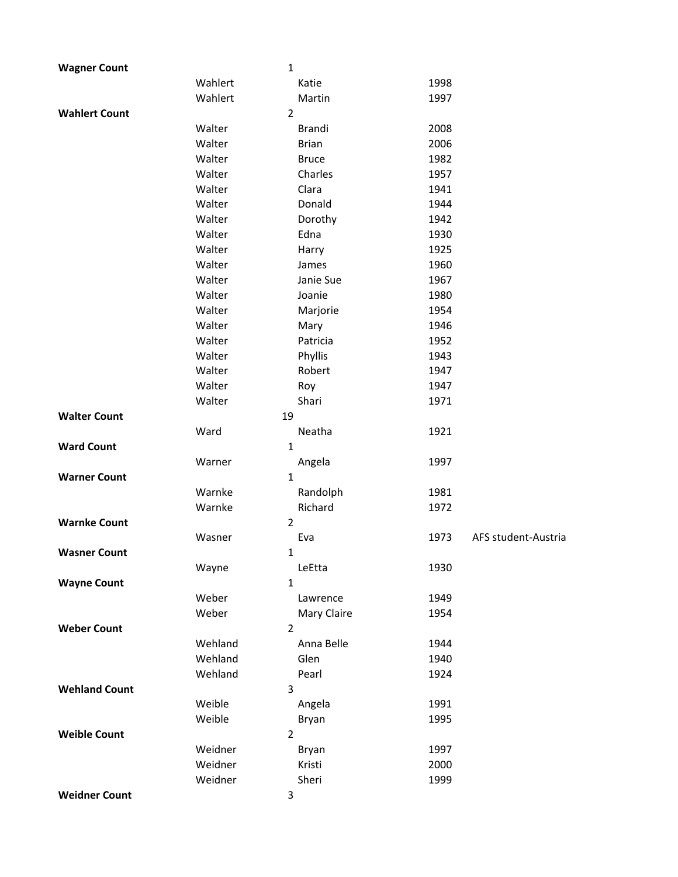| <b>Wagner Count</b>  | 1              |               |      |                     |
|----------------------|----------------|---------------|------|---------------------|
|                      | Wahlert        | Katie         | 1998 |                     |
|                      | Wahlert        | Martin        | 1997 |                     |
| <b>Wahlert Count</b> | $\overline{2}$ |               |      |                     |
|                      | Walter         | <b>Brandi</b> | 2008 |                     |
|                      | Walter         | <b>Brian</b>  | 2006 |                     |
|                      | Walter         | <b>Bruce</b>  | 1982 |                     |
|                      | Walter         | Charles       | 1957 |                     |
|                      | Walter         | Clara         | 1941 |                     |
|                      | Walter         | Donald        | 1944 |                     |
|                      | Walter         | Dorothy       | 1942 |                     |
|                      | Walter         | Edna          | 1930 |                     |
|                      | Walter         | Harry         | 1925 |                     |
|                      | Walter         | James         | 1960 |                     |
|                      | Walter         | Janie Sue     | 1967 |                     |
|                      | Walter         | Joanie        | 1980 |                     |
|                      | Walter         | Marjorie      | 1954 |                     |
|                      | Walter         | Mary          | 1946 |                     |
|                      | Walter         | Patricia      | 1952 |                     |
|                      | Walter         | Phyllis       | 1943 |                     |
|                      | Walter         | Robert        | 1947 |                     |
|                      | Walter         | Roy           | 1947 |                     |
|                      | Walter         | Shari         | 1971 |                     |
| <b>Walter Count</b>  | 19             |               |      |                     |
|                      | Ward           | Neatha        | 1921 |                     |
| <b>Ward Count</b>    | $\mathbf 1$    |               |      |                     |
|                      | Warner         | Angela        | 1997 |                     |
| <b>Warner Count</b>  | 1              |               |      |                     |
|                      | Warnke         | Randolph      | 1981 |                     |
|                      | Warnke         | Richard       | 1972 |                     |
| <b>Warnke Count</b>  | $\overline{2}$ |               |      |                     |
|                      | Wasner         | Eva           | 1973 | AFS student-Austria |
| <b>Wasner Count</b>  | 1              |               |      |                     |
|                      | Wayne          | LeEtta        | 1930 |                     |
| <b>Wayne Count</b>   | 1              |               |      |                     |
|                      | Weber          | Lawrence      | 1949 |                     |
|                      | Weber          | Mary Claire   | 1954 |                     |
| <b>Weber Count</b>   | $\overline{2}$ |               |      |                     |
|                      | Wehland        | Anna Belle    | 1944 |                     |
|                      | Wehland        | Glen          | 1940 |                     |
|                      | Wehland        | Pearl         | 1924 |                     |
| <b>Wehland Count</b> | 3              |               |      |                     |
|                      | Weible         | Angela        | 1991 |                     |
|                      | Weible         | Bryan         | 1995 |                     |
| <b>Weible Count</b>  | $\overline{2}$ |               |      |                     |
|                      | Weidner        | Bryan         | 1997 |                     |
|                      | Weidner        | Kristi        | 2000 |                     |
|                      | Weidner        | Sheri         | 1999 |                     |
| <b>Weidner Count</b> | 3              |               |      |                     |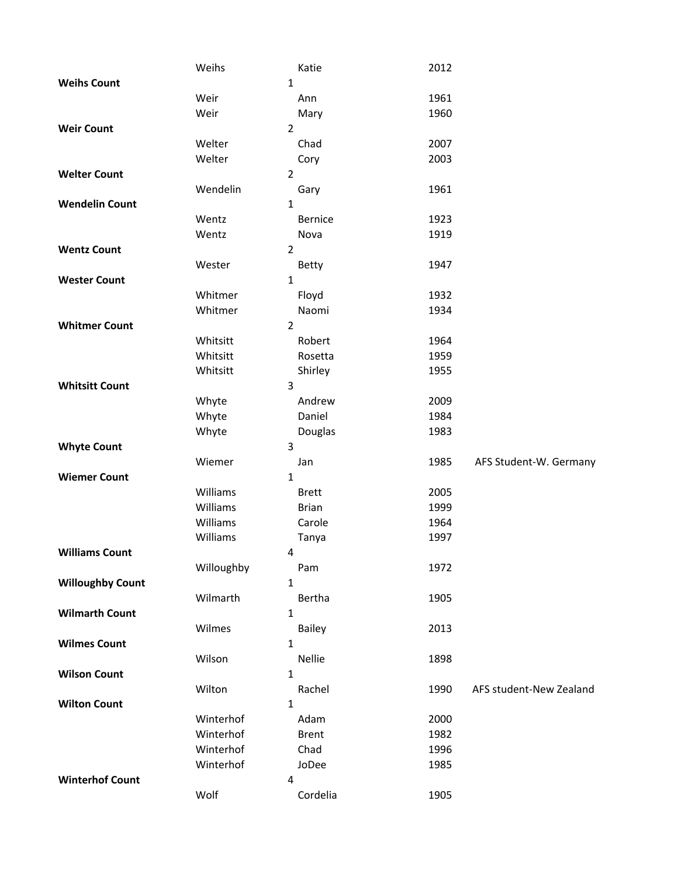|                         | Weihs      | Katie          | 2012 |                         |
|-------------------------|------------|----------------|------|-------------------------|
| <b>Weihs Count</b>      |            | 1              |      |                         |
|                         | Weir       | Ann            | 1961 |                         |
|                         | Weir       | Mary           | 1960 |                         |
| <b>Weir Count</b>       |            | $\overline{2}$ |      |                         |
|                         | Welter     | Chad           | 2007 |                         |
|                         | Welter     | Cory           | 2003 |                         |
| <b>Welter Count</b>     |            | $\overline{2}$ |      |                         |
|                         | Wendelin   | Gary           | 1961 |                         |
| <b>Wendelin Count</b>   |            | $\mathbf{1}$   |      |                         |
|                         | Wentz      | <b>Bernice</b> | 1923 |                         |
|                         | Wentz      | Nova           | 1919 |                         |
| <b>Wentz Count</b>      |            | $\overline{2}$ |      |                         |
|                         |            |                | 1947 |                         |
|                         | Wester     | Betty          |      |                         |
| <b>Wester Count</b>     |            | $\mathbf{1}$   |      |                         |
|                         | Whitmer    | Floyd          | 1932 |                         |
|                         | Whitmer    | Naomi          | 1934 |                         |
| <b>Whitmer Count</b>    |            | $\overline{2}$ |      |                         |
|                         | Whitsitt   | Robert         | 1964 |                         |
|                         | Whitsitt   | Rosetta        | 1959 |                         |
|                         | Whitsitt   | Shirley        | 1955 |                         |
| <b>Whitsitt Count</b>   |            | 3              |      |                         |
|                         | Whyte      | Andrew         | 2009 |                         |
|                         | Whyte      | Daniel         | 1984 |                         |
|                         | Whyte      | Douglas        | 1983 |                         |
| <b>Whyte Count</b>      |            | 3              |      |                         |
|                         | Wiemer     | Jan            | 1985 | AFS Student-W. Germany  |
| <b>Wiemer Count</b>     |            | $\mathbf{1}$   |      |                         |
|                         | Williams   | <b>Brett</b>   | 2005 |                         |
|                         | Williams   | <b>Brian</b>   | 1999 |                         |
|                         | Williams   | Carole         | 1964 |                         |
|                         | Williams   | Tanya          | 1997 |                         |
| <b>Williams Count</b>   |            | 4              |      |                         |
|                         | Willoughby | Pam            | 1972 |                         |
| <b>Willoughby Count</b> |            | $\mathbf{1}$   |      |                         |
|                         | Wilmarth   | Bertha         | 1905 |                         |
| <b>Wilmarth Count</b>   |            | 1              |      |                         |
|                         | Wilmes     | Bailey         | 2013 |                         |
| <b>Wilmes Count</b>     |            | $\mathbf{1}$   |      |                         |
|                         | Wilson     | Nellie         | 1898 |                         |
| <b>Wilson Count</b>     |            | 1              |      |                         |
|                         |            |                |      |                         |
|                         | Wilton     | Rachel         | 1990 | AFS student-New Zealand |
| <b>Wilton Count</b>     |            | $\mathbf 1$    |      |                         |
|                         | Winterhof  | Adam           | 2000 |                         |
|                         | Winterhof  | <b>Brent</b>   | 1982 |                         |
|                         | Winterhof  | Chad           | 1996 |                         |
|                         | Winterhof  | JoDee          | 1985 |                         |
| <b>Winterhof Count</b>  |            | 4              |      |                         |
|                         | Wolf       | Cordelia       | 1905 |                         |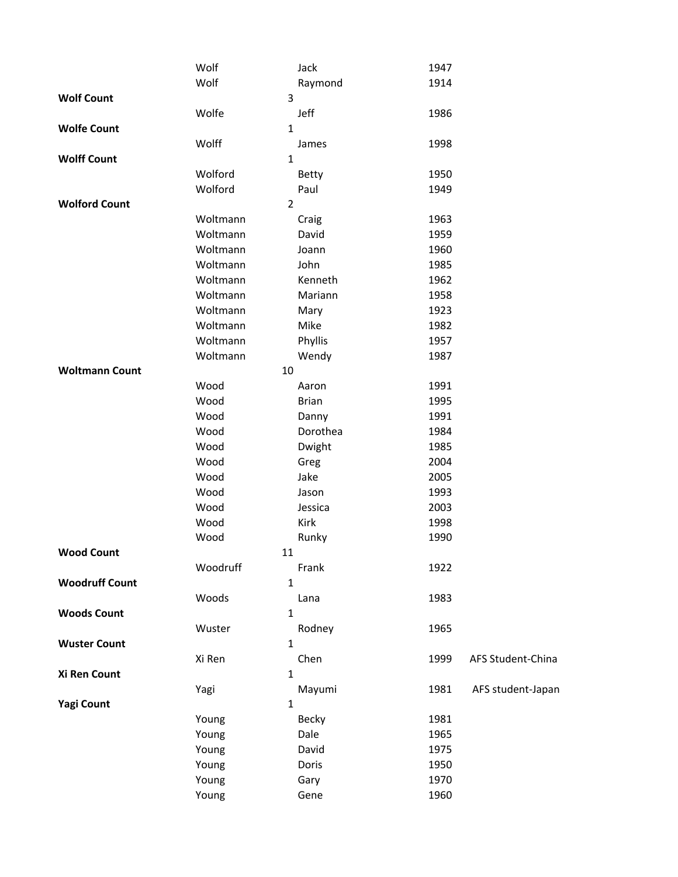|                       | Wolf           | Jack         | 1947 |                   |
|-----------------------|----------------|--------------|------|-------------------|
|                       | Wolf           | Raymond      | 1914 |                   |
| <b>Wolf Count</b>     | 3              |              |      |                   |
|                       | Wolfe          | Jeff         | 1986 |                   |
| <b>Wolfe Count</b>    | 1              |              |      |                   |
|                       | Wolff          | James        | 1998 |                   |
| <b>Wolff Count</b>    | $\mathbf{1}$   |              |      |                   |
|                       | Wolford        | Betty        | 1950 |                   |
|                       | Wolford        | Paul         | 1949 |                   |
| <b>Wolford Count</b>  | $\overline{2}$ |              |      |                   |
|                       | Woltmann       | Craig        | 1963 |                   |
|                       | Woltmann       | David        | 1959 |                   |
|                       | Woltmann       | Joann        | 1960 |                   |
|                       | Woltmann       | John         | 1985 |                   |
|                       | Woltmann       | Kenneth      | 1962 |                   |
|                       | Woltmann       | Mariann      | 1958 |                   |
|                       | Woltmann       | Mary         | 1923 |                   |
|                       | Woltmann       | Mike         | 1982 |                   |
|                       | Woltmann       | Phyllis      | 1957 |                   |
|                       | Woltmann       | Wendy        | 1987 |                   |
| <b>Woltmann Count</b> | 10             |              |      |                   |
|                       | Wood           | Aaron        | 1991 |                   |
|                       | Wood           | <b>Brian</b> | 1995 |                   |
|                       | Wood           | Danny        | 1991 |                   |
|                       | Wood           | Dorothea     | 1984 |                   |
|                       | Wood           | Dwight       | 1985 |                   |
|                       | Wood           | Greg         | 2004 |                   |
|                       | Wood           | Jake         | 2005 |                   |
|                       | Wood           | Jason        | 1993 |                   |
|                       | Wood           | Jessica      | 2003 |                   |
|                       | Wood           | Kirk         | 1998 |                   |
|                       | Wood           | Runky        | 1990 |                   |
| <b>Wood Count</b>     | 11             |              |      |                   |
|                       | Woodruff       | Frank        | 1922 |                   |
| <b>Woodruff Count</b> | $\mathbf{1}$   |              |      |                   |
| <b>Woods Count</b>    | Woods<br>1     | Lana         | 1983 |                   |
|                       | Wuster         |              | 1965 |                   |
| <b>Wuster Count</b>   | $\mathbf{1}$   | Rodney       |      |                   |
|                       | Xi Ren         | Chen         | 1999 | AFS Student-China |
| Xi Ren Count          | $\mathbf{1}$   |              |      |                   |
|                       | Yagi           | Mayumi       | 1981 | AFS student-Japan |
| <b>Yagi Count</b>     | $\mathbf 1$    |              |      |                   |
|                       | Young          | Becky        | 1981 |                   |
|                       | Young          | Dale         | 1965 |                   |
|                       | Young          | David        | 1975 |                   |
|                       | Young          | Doris        | 1950 |                   |
|                       | Young          | Gary         | 1970 |                   |
|                       | Young          | Gene         | 1960 |                   |
|                       |                |              |      |                   |